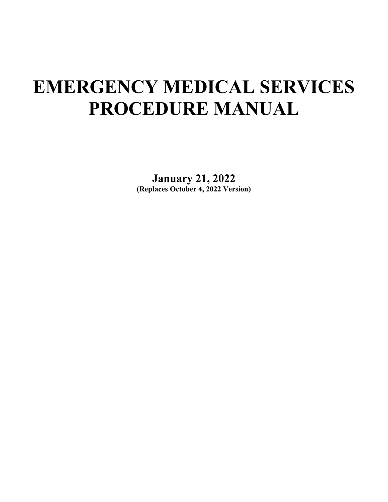## **EMERGENCY MEDICAL SERVICES PROCEDURE MANUAL**

**January 21, 2022 (Replaces October 4, 2022 Version)**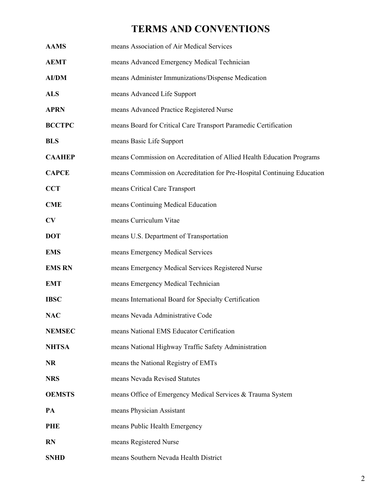## **TERMS AND CONVENTIONS**

<span id="page-1-0"></span>

| <b>AAMS</b>   | means Association of Air Medical Services                               |
|---------------|-------------------------------------------------------------------------|
| <b>AEMT</b>   | means Advanced Emergency Medical Technician                             |
| <b>AI/DM</b>  | means Administer Immunizations/Dispense Medication                      |
| <b>ALS</b>    | means Advanced Life Support                                             |
| <b>APRN</b>   | means Advanced Practice Registered Nurse                                |
| <b>BCCTPC</b> | means Board for Critical Care Transport Paramedic Certification         |
| <b>BLS</b>    | means Basic Life Support                                                |
| <b>CAAHEP</b> | means Commission on Accreditation of Allied Health Education Programs   |
| <b>CAPCE</b>  | means Commission on Accreditation for Pre-Hospital Continuing Education |
| <b>CCT</b>    | means Critical Care Transport                                           |
| <b>CME</b>    | means Continuing Medical Education                                      |
| CV            | means Curriculum Vitae                                                  |
| <b>DOT</b>    | means U.S. Department of Transportation                                 |
| <b>EMS</b>    | means Emergency Medical Services                                        |
| <b>EMS RN</b> | means Emergency Medical Services Registered Nurse                       |
| <b>EMT</b>    | means Emergency Medical Technician                                      |
| <b>IBSC</b>   | means International Board for Specialty Certification                   |
| <b>NAC</b>    | means Nevada Administrative Code                                        |
| <b>NEMSEC</b> | means National EMS Educator Certification                               |
| <b>NHTSA</b>  | means National Highway Traffic Safety Administration                    |
| <b>NR</b>     | means the National Registry of EMTs                                     |
| <b>NRS</b>    | means Nevada Revised Statutes                                           |
| <b>OEMSTS</b> | means Office of Emergency Medical Services & Trauma System              |
| PA            | means Physician Assistant                                               |
| <b>PHE</b>    | means Public Health Emergency                                           |
| <b>RN</b>     | means Registered Nurse                                                  |
| <b>SNHD</b>   | means Southern Nevada Health District                                   |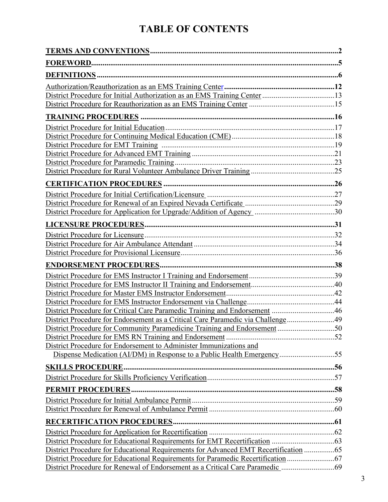## **TABLE OF CONTENTS**

| District Procedure for Critical Care Paramedic Training and Endorsement 46                                                                                  |  |
|-------------------------------------------------------------------------------------------------------------------------------------------------------------|--|
| District Procedure for Endorsement as a Critical Care Paramedic via Challenge49                                                                             |  |
| District Procedure for Community Paramedicine Training and Endorsement 50                                                                                   |  |
|                                                                                                                                                             |  |
| District Procedure for Endorsement to Administer Immunizations and                                                                                          |  |
| Dispense Medication (AI/DM) in Response to a Public Health Emergency55                                                                                      |  |
|                                                                                                                                                             |  |
|                                                                                                                                                             |  |
|                                                                                                                                                             |  |
|                                                                                                                                                             |  |
|                                                                                                                                                             |  |
|                                                                                                                                                             |  |
|                                                                                                                                                             |  |
|                                                                                                                                                             |  |
|                                                                                                                                                             |  |
| District Procedure for Educational Requirements for Advanced EMT Recertification 65                                                                         |  |
| District Procedure for Educational Requirements for Paramedic Recertification<br>District Procedure for Renewal of Endorsement as a Critical Care Paramedic |  |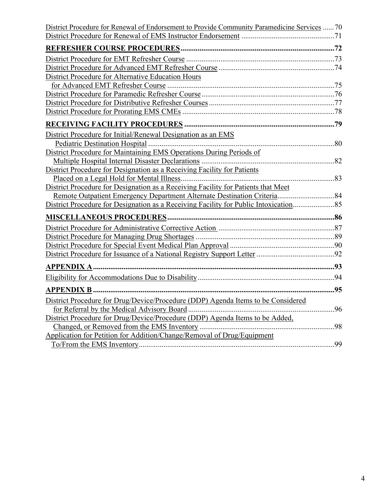| District Procedure for Renewal of Endorsement to Provide Community Paramedicine Services  70 |     |
|----------------------------------------------------------------------------------------------|-----|
|                                                                                              |     |
|                                                                                              |     |
|                                                                                              |     |
|                                                                                              |     |
| District Procedure for Alternative Education Hours                                           |     |
|                                                                                              |     |
|                                                                                              |     |
|                                                                                              |     |
|                                                                                              |     |
|                                                                                              |     |
| District Procedure for Initial/Renewal Designation as an EMS                                 |     |
|                                                                                              |     |
| District Procedure for Maintaining EMS Operations During Periods of                          |     |
|                                                                                              |     |
| District Procedure for Designation as a Receiving Facility for Patients                      |     |
|                                                                                              |     |
| District Procedure for Designation as a Receiving Facility for Patients that Meet            |     |
|                                                                                              |     |
| District Procedure for Designation as a Receiving Facility for Public Intoxication           |     |
|                                                                                              |     |
|                                                                                              |     |
|                                                                                              |     |
|                                                                                              |     |
|                                                                                              |     |
|                                                                                              |     |
|                                                                                              |     |
| . 95<br><b>APPENDIX B </b>                                                                   |     |
| District Procedure for Drug/Device/Procedure (DDP) Agenda Items to be Considered             |     |
| for Referral by the Medical Advisory Board                                                   | .96 |
| District Procedure for Drug/Device/Procedure (DDP) Agenda Items to be Added,                 |     |
|                                                                                              |     |
| Application for Petition for Addition/Change/Removal of Drug/Equipment                       |     |
|                                                                                              | 99  |
|                                                                                              |     |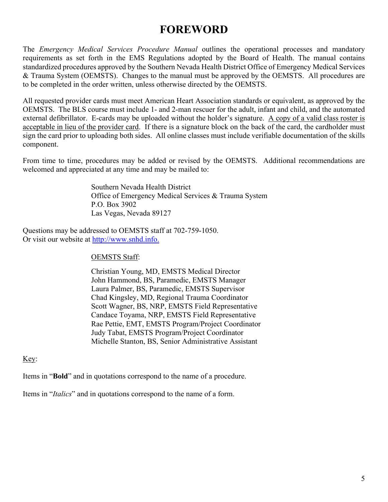## **FOREWORD**

<span id="page-4-0"></span>The *Emergency Medical Services Procedure Manual* outlines the operational processes and mandatory requirements as set forth in the EMS Regulations adopted by the Board of Health. The manual contains standardized procedures approved by the Southern Nevada Health District Office of Emergency Medical Services & Trauma System (OEMSTS). Changes to the manual must be approved by the OEMSTS. All procedures are to be completed in the order written, unless otherwise directed by the OEMSTS.

All requested provider cards must meet American Heart Association standards or equivalent, as approved by the OEMSTS. The BLS course must include 1- and 2-man rescuer for the adult, infant and child, and the automated external defibrillator. E-cards may be uploaded without the holder's signature. A copy of a valid class roster is acceptable in lieu of the provider card. If there is a signature block on the back of the card, the cardholder must sign the card prior to uploading both sides. All online classes must include verifiable documentation of the skills component.

From time to time, procedures may be added or revised by the OEMSTS. Additional recommendations are welcomed and appreciated at any time and may be mailed to:

> Southern Nevada Health District Office of Emergency Medical Services & Trauma System P.O. Box 3902 Las Vegas, Nevada 89127

Questions may be addressed to OEMSTS staff at 702-759-1050. Or visit our website at [http://www.snhd.info.](http://www.snhd.info/)

#### OEMSTS Staff:

Christian Young, MD, EMSTS Medical Director John Hammond, BS, Paramedic, EMSTS Manager Laura Palmer, BS, Paramedic, EMSTS Supervisor Chad Kingsley, MD, Regional Trauma Coordinator Scott Wagner, BS, NRP, EMSTS Field Representative Candace Toyama, NRP, EMSTS Field Representative Rae Pettie, EMT, EMSTS Program/Project Coordinator Judy Tabat, EMSTS Program/Project Coordinator Michelle Stanton, BS, Senior Administrative Assistant

#### Key:

Items in "**Bold**" and in quotations correspond to the name of a procedure.

Items in "*Italics*" and in quotations correspond to the name of a form.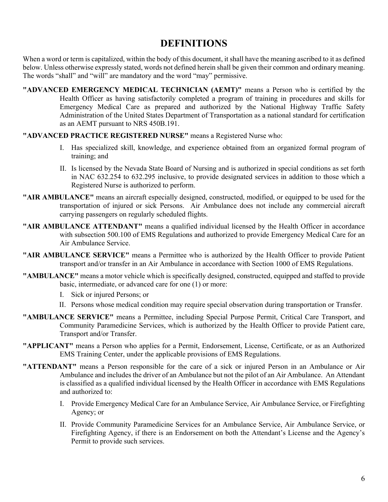## **DEFINITIONS**

<span id="page-5-0"></span>When a word or term is capitalized, within the body of this document, it shall have the meaning ascribed to it as defined below. Unless otherwise expressly stated, words not defined herein shall be given their common and ordinary meaning. The words "shall" and "will" are mandatory and the word "may" permissive.

- **"ADVANCED EMERGENCY MEDICAL TECHNICIAN (AEMT)"** means a Person who is certified by the Health Officer as having satisfactorily completed a program of training in procedures and skills for Emergency Medical Care as prepared and authorized by the National Highway Traffic Safety Administration of the United States Department of Transportation as a national standard for certification as an AEMT pursuant to NRS 450B.191.
- **"ADVANCED PRACTICE REGISTERED NURSE"** means a Registered Nurse who:
	- I. Has specialized skill, knowledge, and experience obtained from an organized formal program of training; and
	- II. Is licensed by the Nevada State Board of Nursing and is authorized in special conditions as set forth in NAC 632.254 to 632.295 inclusive, to provide designated services in addition to those which a Registered Nurse is authorized to perform.
- **"AIR AMBULANCE"** means an aircraft especially designed, constructed, modified, or equipped to be used for the transportation of injured or sick Persons. Air Ambulance does not include any commercial aircraft carrying passengers on regularly scheduled flights.
- **"AIR AMBULANCE ATTENDANT"** means a qualified individual licensed by the Health Officer in accordance with subsection 500.100 of EMS Regulations and authorized to provide Emergency Medical Care for an Air Ambulance Service.
- **"AIR AMBULANCE SERVICE"** means a Permittee who is authorized by the Health Officer to provide Patient transport and/or transfer in an Air Ambulance in accordance with Section 1000 of EMS Regulations.
- **"AMBULANCE"** means a motor vehicle which is specifically designed, constructed, equipped and staffed to provide basic, intermediate, or advanced care for one (1) or more:
	- I. Sick or injured Persons; or
	- II. Persons whose medical condition may require special observation during transportation or Transfer.
- **"AMBULANCE SERVICE"** means a Permittee, including Special Purpose Permit, Critical Care Transport, and Community Paramedicine Services, which is authorized by the Health Officer to provide Patient care, Transport and/or Transfer.
- **"APPLICANT"** means a Person who applies for a Permit, Endorsement, License, Certificate, or as an Authorized EMS Training Center, under the applicable provisions of EMS Regulations.
- **"ATTENDANT"** means a Person responsible for the care of a sick or injured Person in an Ambulance or Air Ambulance and includes the driver of an Ambulance but not the pilot of an Air Ambulance. An Attendant is classified as a qualified individual licensed by the Health Officer in accordance with EMS Regulations and authorized to:
	- I. Provide Emergency Medical Care for an Ambulance Service, Air Ambulance Service, or Firefighting Agency; or
	- II. Provide Community Paramedicine Services for an Ambulance Service, Air Ambulance Service, or Firefighting Agency, if there is an Endorsement on both the Attendant's License and the Agency's Permit to provide such services.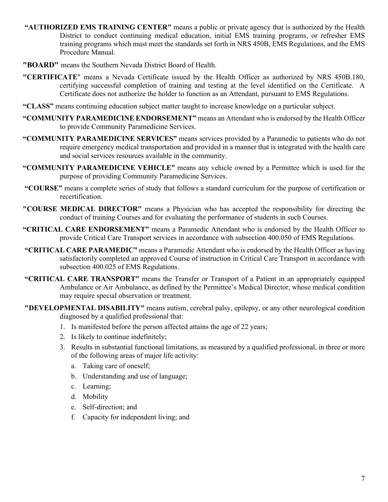- **"AUTHORIZED EMS TRAINING CENTER"** means a public or private agency that is authorized by the Health District to conduct continuing medical education, initial EMS training programs, or refresher EMS training programs which must meet the standards set forth in NRS 450B, EMS Regulations, and the EMS Procedure Manual.
- **"BOARD"** means the Southern Nevada District Board of Health.
- **"CERTIFICATE**" means a Nevada Certificate issued by the Health Officer as authorized by NRS 450B.180, certifying successful completion of training and testing at the level identified on the Certificate. A Certificate does not authorize the holder to function as an Attendant, pursuant to EMS Regulations.
- **"CLASS"** means continuing education subject matter taught to increase knowledge on a particular subject.
- **"COMMUNITY PARAMEDICINE ENDORSEMENT"** means an Attendant who is endorsed by the Health Officer to provide Community Paramedicine Services.
- **"COMMUNITY PARAMEDICINE SERVICES"** means services provided by a Paramedic to patients who do not require emergency medical transportation and provided in a manner that is integrated with the health care and social services resources available in the community.
- **"COMMUNITY PARAMEDICINE VEHICLE"** means any vehicle owned by a Permittee which is used for the purpose of providing Community Paramedicine Services.
- **"COURSE"** means a complete series of study that follows a standard curriculum for the purpose of certification or recertification.
- **"COURSE MEDICAL DIRECTOR"** means a Physician who has accepted the responsibility for directing the conduct of training Courses and for evaluating the performance of students in such Courses.
- **"CRITICAL CARE ENDORSEMENT"** means a Paramedic Attendant who is endorsed by the Health Officer to provide Critical Care Transport services in accordance with subsection 400.050 of EMS Regulations.
- **"CRITICAL CARE PARAMEDIC"** means a Paramedic Attendant who is endorsed by the Health Officer as having satisfactorily completed an approved Course of instruction in Critical Care Transport in accordance with subsection 400.025 of EMS Regulations.
- **"CRITICAL CARE TRANSPORT"** means the Transfer or Transport of a Patient in an appropriately equipped Ambulance or Air Ambulance, as defined by the Permittee's Medical Director, whose medical condition may require special observation or treatment.
- **"DEVELOPMENTAL DISABILITY"** means autism, cerebral palsy, epilepsy, or any other neurological condition diagnosed by a qualified professional that:
	- 1. Is manifested before the person affected attains the age of 22 years;
	- 2. Is likely to continue indefinitely;
	- 3. Results in substantial functional limitations, as measured by a qualified professional, in three or more of the following areas of major life activity:
		- a. Taking care of oneself;
		- b. Understanding and use of language;
		- c. Learning;
		- d. Mobility
		- e. Self-direction; and
		- f. Capacity for independent living; and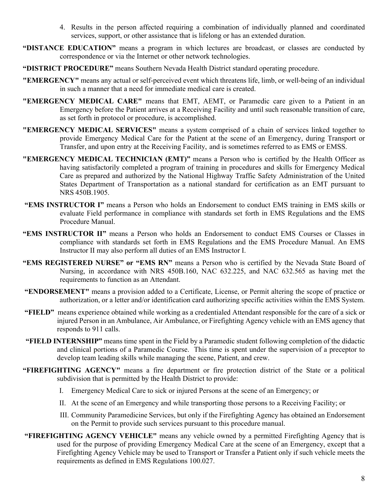- 4. Results in the person affected requiring a combination of individually planned and coordinated services, support, or other assistance that is lifelong or has an extended duration.
- **"DISTANCE EDUCATION"** means a program in which lectures are broadcast, or classes are conducted by correspondence or via the Internet or other network technologies.
- **"DISTRICT PROCEDURE"** means Southern Nevada Health District standard operating procedure.
- **"EMERGENCY"** means any actual or self-perceived event which threatens life, limb, or well-being of an individual in such a manner that a need for immediate medical care is created.
- **"EMERGENCY MEDICAL CARE"** means that EMT, AEMT, or Paramedic care given to a Patient in an Emergency before the Patient arrives at a Receiving Facility and until such reasonable transition of care, as set forth in protocol or procedure, is accomplished.
- **"EMERGENCY MEDICAL SERVICES"** means a system comprised of a chain of services linked together to provide Emergency Medical Care for the Patient at the scene of an Emergency, during Transport or Transfer, and upon entry at the Receiving Facility, and is sometimes referred to as EMS or EMSS.
- **"EMERGENCY MEDICAL TECHNICIAN (EMT)"** means a Person who is certified by the Health Officer as having satisfactorily completed a program of training in procedures and skills for Emergency Medical Care as prepared and authorized by the National Highway Traffic Safety Administration of the United States Department of Transportation as a national standard for certification as an EMT pursuant to NRS 450B.1905.
- **"EMS INSTRUCTOR I"** means a Person who holds an Endorsement to conduct EMS training in EMS skills or evaluate Field performance in compliance with standards set forth in EMS Regulations and the EMS Procedure Manual.
- **"EMS INSTRUCTOR II"** means a Person who holds an Endorsement to conduct EMS Courses or Classes in compliance with standards set forth in EMS Regulations and the EMS Procedure Manual. An EMS Instructor II may also perform all duties of an EMS Instructor I.
- **"EMS REGISTERED NURSE" or "EMS RN"** means a Person who is certified by the Nevada State Board of Nursing, in accordance with NRS 450B.160, NAC 632.225, and NAC 632.565 as having met the requirements to function as an Attendant.
- **"ENDORSEMENT"** means a provision added to a Certificate, License, or Permit altering the scope of practice or authorization, or a letter and/or identification card authorizing specific activities within the EMS System.
- **"FIELD"** means experience obtained while working as a credentialed Attendant responsible for the care of a sick or injured Person in an Ambulance, Air Ambulance, or Firefighting Agency vehicle with an EMS agency that responds to 911 calls.
- **"FIELD INTERNSHIP"** means time spent in the Field by a Paramedic student following completion of the didactic and clinical portions of a Paramedic Course. This time is spent under the supervision of a preceptor to develop team leading skills while managing the scene, Patient, and crew.
- **"FIREFIGHTING AGENCY"** means a fire department or fire protection district of the State or a political subdivision that is permitted by the Health District to provide:
	- I. Emergency Medical Care to sick or injured Persons at the scene of an Emergency; or
	- II. At the scene of an Emergency and while transporting those persons to a Receiving Facility; or
	- III. Community Paramedicine Services, but only if the Firefighting Agency has obtained an Endorsement on the Permit to provide such services pursuant to this procedure manual.
- **"FIREFIGHTING AGENCY VEHICLE"** means any vehicle owned by a permitted Firefighting Agency that is used for the purpose of providing Emergency Medical Care at the scene of an Emergency, except that a Firefighting Agency Vehicle may be used to Transport or Transfer a Patient only if such vehicle meets the requirements as defined in EMS Regulations 100.027.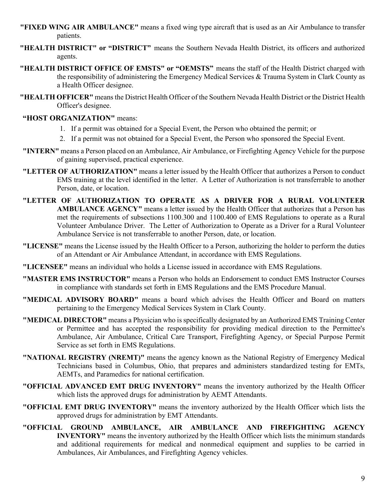- **"FIXED WING AIR AMBULANCE"** means a fixed wing type aircraft that is used as an Air Ambulance to transfer patients.
- **"HEALTH DISTRICT" or "DISTRICT"** means the Southern Nevada Health District, its officers and authorized agents.
- **"HEALTH DISTRICT OFFICE OF EMSTS" or "OEMSTS"** means the staff of the Health District charged with the responsibility of administering the Emergency Medical Services & Trauma System in Clark County as a Health Officer designee.
- **"HEALTH OFFICER"** means the District Health Officer of the Southern Nevada Health District or the District Health Officer's designee.

#### **"HOST ORGANIZATION"** means:

- 1. If a permit was obtained for a Special Event, the Person who obtained the permit; or
- 2. If a permit was not obtained for a Special Event, the Person who sponsored the Special Event.
- **"INTERN"** means a Person placed on an Ambulance, Air Ambulance, or Firefighting Agency Vehicle for the purpose of gaining supervised, practical experience.
- **"LETTER OF AUTHORIZATION"** means a letter issued by the Health Officer that authorizes a Person to conduct EMS training at the level identified in the letter. A Letter of Authorization is not transferrable to another Person, date, or location.
- **"LETTER OF AUTHORIZATION TO OPERATE AS A DRIVER FOR A RURAL VOLUNTEER AMBULANCE AGENCY"** means a letter issued by the Health Officer that authorizes that a Person has met the requirements of subsections 1100.300 and 1100.400 of EMS Regulations to operate as a Rural Volunteer Ambulance Driver. The Letter of Authorization to Operate as a Driver for a Rural Volunteer Ambulance Service is not transferrable to another Person, date, or location.
- **"LICENSE"** means the License issued by the Health Officer to a Person, authorizing the holder to perform the duties of an Attendant or Air Ambulance Attendant, in accordance with EMS Regulations.
- **"LICENSEE"** means an individual who holds a License issued in accordance with EMS Regulations.
- **"MASTER EMS INSTRUCTOR"** means a Person who holds an Endorsement to conduct EMS Instructor Courses in compliance with standards set forth in EMS Regulations and the EMS Procedure Manual.
- **"MEDICAL ADVISORY BOARD"** means a board which advises the Health Officer and Board on matters pertaining to the Emergency Medical Services System in Clark County.
- **"MEDICAL DIRECTOR"** means a Physician who is specifically designated by an Authorized EMS Training Center or Permittee and has accepted the responsibility for providing medical direction to the Permittee's Ambulance, Air Ambulance, Critical Care Transport, Firefighting Agency, or Special Purpose Permit Service as set forth in EMS Regulations.
- **"NATIONAL REGISTRY (NREMT)"** means the agency known as the National Registry of Emergency Medical Technicians based in Columbus, Ohio, that prepares and administers standardized testing for EMTs, AEMTs, and Paramedics for national certification.
- **"OFFICIAL ADVANCED EMT DRUG INVENTORY"** means the inventory authorized by the Health Officer which lists the approved drugs for administration by AEMT Attendants.
- **"OFFICIAL EMT DRUG INVENTORY"** means the inventory authorized by the Health Officer which lists the approved drugs for administration by EMT Attendants.
- **"OFFICIAL GROUND AMBULANCE, AIR AMBULANCE AND FIREFIGHTING AGENCY INVENTORY"** means the inventory authorized by the Health Officer which lists the minimum standards and additional requirements for medical and nonmedical equipment and supplies to be carried in Ambulances, Air Ambulances, and Firefighting Agency vehicles.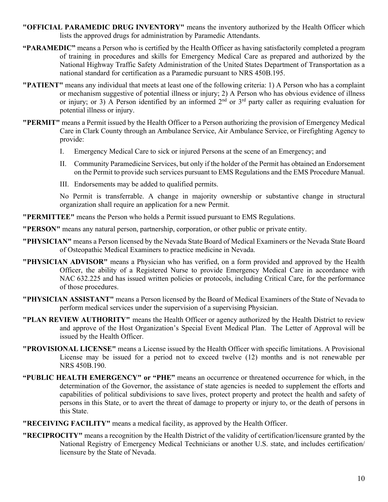- **"OFFICIAL PARAMEDIC DRUG INVENTORY"** means the inventory authorized by the Health Officer which lists the approved drugs for administration by Paramedic Attendants.
- **"PARAMEDIC"** means a Person who is certified by the Health Officer as having satisfactorily completed a program of training in procedures and skills for Emergency Medical Care as prepared and authorized by the National Highway Traffic Safety Administration of the United States Department of Transportation as a national standard for certification as a Paramedic pursuant to NRS 450B.195.
- **"PATIENT"** means any individual that meets at least one of the following criteria: 1) A Person who has a complaint or mechanism suggestive of potential illness or injury; 2) A Person who has obvious evidence of illness or injury; or 3) A Person identified by an informed  $2<sup>nd</sup>$  or  $3<sup>rd</sup>$  party caller as requiring evaluation for potential illness or injury.
- **"PERMIT"** means a Permit issued by the Health Officer to a Person authorizing the provision of Emergency Medical Care in Clark County through an Ambulance Service, Air Ambulance Service, or Firefighting Agency to provide:
	- I. Emergency Medical Care to sick or injured Persons at the scene of an Emergency; and
	- II. Community Paramedicine Services, but only if the holder of the Permit has obtained an Endorsement on the Permit to provide such services pursuant to EMS Regulations and the EMS Procedure Manual.
	- III. Endorsements may be added to qualified permits.

No Permit is transferrable. A change in majority ownership or substantive change in structural organization shall require an application for a new Permit.

**"PERMITTEE"** means the Person who holds a Permit issued pursuant to EMS Regulations.

**"PERSON"** means any natural person, partnership, corporation, or other public or private entity.

- **"PHYSICIAN"** means a Person licensed by the Nevada State Board of Medical Examiners or the Nevada State Board of Osteopathic Medical Examiners to practice medicine in Nevada.
- **"PHYSICIAN ADVISOR"** means a Physician who has verified, on a form provided and approved by the Health Officer, the ability of a Registered Nurse to provide Emergency Medical Care in accordance with NAC 632.225 and has issued written policies or protocols, including Critical Care, for the performance of those procedures.
- **"PHYSICIAN ASSISTANT"** means a Person licensed by the Board of Medical Examiners of the State of Nevada to perform medical services under the supervision of a supervising Physician.
- **"PLAN REVIEW AUTHORITY"** means the Health Officer or agency authorized by the Health District to review and approve of the Host Organization's Special Event Medical Plan. The Letter of Approval will be issued by the Health Officer.
- **"PROVISIONAL LICENSE"** means a License issued by the Health Officer with specific limitations. A Provisional License may be issued for a period not to exceed twelve (12) months and is not renewable per NRS 450B.190.
- **"PUBLIC HEALTH EMERGENCY" or "PHE"** means an occurrence or threatened occurrence for which, in the determination of the Governor, the assistance of state agencies is needed to supplement the efforts and capabilities of political subdivisions to save lives, protect property and protect the health and safety of persons in this State, or to avert the threat of damage to property or injury to, or the death of persons in this State.

**"RECEIVING FACILITY"** means a medical facility, as approved by the Health Officer.

**"RECIPROCITY"** means a recognition by the Health District of the validity of certification/licensure granted by the National Registry of Emergency Medical Technicians or another U.S. state, and includes certification/ licensure by the State of Nevada.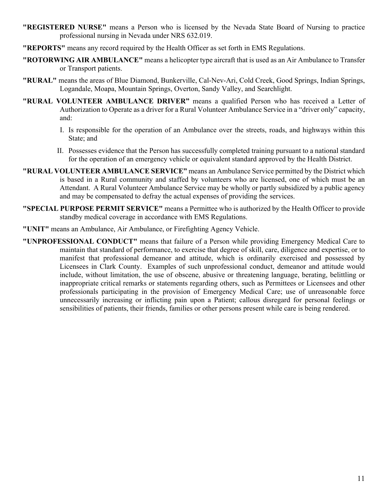- **"REGISTERED NURSE"** means a Person who is licensed by the Nevada State Board of Nursing to practice professional nursing in Nevada under NRS 632.019.
- **"REPORTS"** means any record required by the Health Officer as set forth in EMS Regulations.
- **"ROTORWING AIR AMBULANCE"** means a helicopter type aircraft that is used as an Air Ambulance to Transfer or Transport patients.
- **"RURAL"** means the areas of Blue Diamond, Bunkerville, Cal-Nev-Ari, Cold Creek, Good Springs, Indian Springs, Logandale, Moapa, Mountain Springs, Overton, Sandy Valley, and Searchlight.
- **"RURAL VOLUNTEER AMBULANCE DRIVER"** means a qualified Person who has received a Letter of Authorization to Operate as a driver for a Rural Volunteer Ambulance Service in a "driver only" capacity, and:
	- I. Is responsible for the operation of an Ambulance over the streets, roads, and highways within this State; and
	- II. Possesses evidence that the Person has successfully completed training pursuant to a national standard for the operation of an emergency vehicle or equivalent standard approved by the Health District.
- **"RURAL VOLUNTEER AMBULANCE SERVICE"** means an Ambulance Service permitted by the District which is based in a Rural community and staffed by volunteers who are licensed, one of which must be an Attendant. A Rural Volunteer Ambulance Service may be wholly or partly subsidized by a public agency and may be compensated to defray the actual expenses of providing the services.
- **"SPECIAL PURPOSE PERMIT SERVICE"** means a Permittee who is authorized by the Health Officer to provide standby medical coverage in accordance with EMS Regulations.
- **"UNIT"** means an Ambulance, Air Ambulance, or Firefighting Agency Vehicle.
- **"UNPROFESSIONAL CONDUCT"** means that failure of a Person while providing Emergency Medical Care to maintain that standard of performance, to exercise that degree of skill, care, diligence and expertise, or to manifest that professional demeanor and attitude, which is ordinarily exercised and possessed by Licensees in Clark County. Examples of such unprofessional conduct, demeanor and attitude would include, without limitation, the use of obscene, abusive or threatening language, berating, belittling or inappropriate critical remarks or statements regarding others, such as Permittees or Licensees and other professionals participating in the provision of Emergency Medical Care; use of unreasonable force unnecessarily increasing or inflicting pain upon a Patient; callous disregard for personal feelings or sensibilities of patients, their friends, families or other persons present while care is being rendered.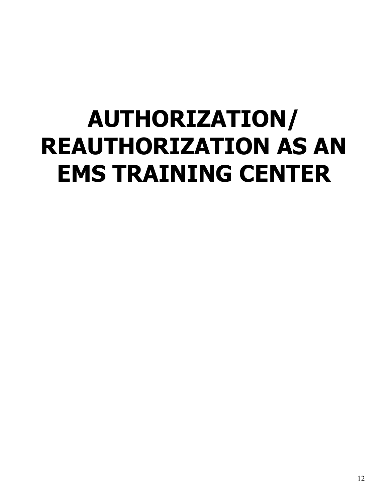# <span id="page-11-0"></span>**AUTHORIZATION/ REAUTHORIZATION AS AN EMS TRAINING CENTER**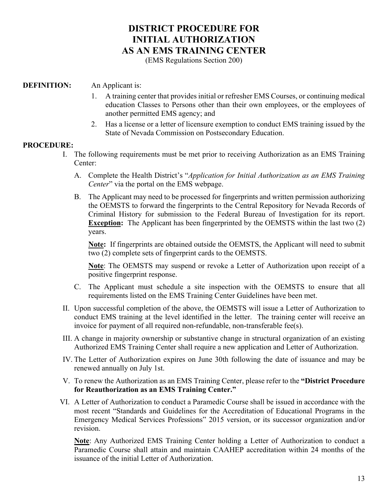### **[DISTRICT PROCEDURE FOR](#page-12-0)  [INITIAL AUTHORIZATION](#page-12-0)  [AS AN EMS TRAINING CENTER](#page-12-0)**

(EMS Regulations Section 200)

#### <span id="page-12-0"></span>**DEFINITION:** An Applicant is:

- 1. A training center that provides initial or refresher EMS Courses, or continuing medical education Classes to Persons other than their own employees, or the employees of another permitted EMS agency; and
- 2. Has a license or a letter of licensure exemption to conduct EMS training issued by the State of Nevada Commission on Postsecondary Education.

#### **PROCEDURE:**

- I. The following requirements must be met prior to receiving Authorization as an EMS Training Center:
	- A. Complete the Health District's "*Application for Initial Authorization as an EMS Training Center*" via the portal on the EMS webpage.
	- B. The Applicant may need to be processed for fingerprints and written permission authorizing the OEMSTS to forward the fingerprints to the Central Repository for Nevada Records of Criminal History for submission to the Federal Bureau of Investigation for its report. **Exception:** The Applicant has been fingerprinted by the OEMSTS within the last two (2) years.

**Note:** If fingerprints are obtained outside the OEMSTS, the Applicant will need to submit two (2) complete sets of fingerprint cards to the OEMSTS.

**Note**: The OEMSTS may suspend or revoke a Letter of Authorization upon receipt of a positive fingerprint response.

- C. The Applicant must schedule a site inspection with the OEMSTS to ensure that all requirements listed on the EMS Training Center Guidelines have been met.
- II. Upon successful completion of the above, the OEMSTS will issue a Letter of Authorization to conduct EMS training at the level identified in the letter. The training center will receive an invoice for payment of all required non-refundable, non-transferable fee(s).
- III. A change in majority ownership or substantive change in structural organization of an existing Authorized EMS Training Center shall require a new application and Letter of Authorization.
- IV. The Letter of Authorization expires on June 30th following the date of issuance and may be renewed annually on July 1st.
- V. To renew the Authorization as an EMS Training Center, please refer to the **"District Procedure for Reauthorization as an EMS Training Center."**
- VI. A Letter of Authorization to conduct a Paramedic Course shall be issued in accordance with the most recent "Standards and Guidelines for the Accreditation of Educational Programs in the Emergency Medical Services Professions" 2015 version, or its successor organization and/or revision.

**Note**: Any Authorized EMS Training Center holding a Letter of Authorization to conduct a Paramedic Course shall attain and maintain CAAHEP accreditation within 24 months of the issuance of the initial Letter of Authorization.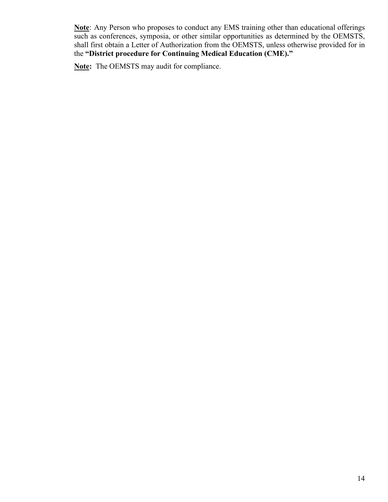**Note**: Any Person who proposes to conduct any EMS training other than educational offerings such as conferences, symposia, or other similar opportunities as determined by the OEMSTS, shall first obtain a Letter of Authorization from the OEMSTS, unless otherwise provided for in the **"District procedure for Continuing Medical Education (CME)."**

**Note:** The OEMSTS may audit for compliance.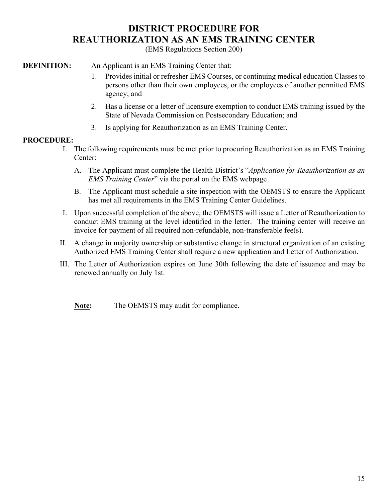### **[DISTRICT PROCEDURE FOR](#page-14-0) [REAUTHORIZATION AS AN EMS TRAINING CENTER](#page-14-0)**

(EMS Regulations Section 200)

#### <span id="page-14-0"></span>**DEFINITION:** An Applicant is an EMS Training Center that:

- 1. Provides initial or refresher EMS Courses, or continuing medical education Classes to persons other than their own employees, or the employees of another permitted EMS agency; and
- 2. Has a license or a letter of licensure exemption to conduct EMS training issued by the State of Nevada Commission on Postsecondary Education; and
- 3. Is applying for Reauthorization as an EMS Training Center.

#### **PROCEDURE:**

- I. The following requirements must be met prior to procuring Reauthorization as an EMS Training Center:
	- A. The Applicant must complete the Health District's "*Application for Reauthorization as an EMS Training Center*" via the portal on the EMS webpage
	- B. The Applicant must schedule a site inspection with the OEMSTS to ensure the Applicant has met all requirements in the EMS Training Center Guidelines.
- I. Upon successful completion of the above, the OEMSTS will issue a Letter of Reauthorization to conduct EMS training at the level identified in the letter. The training center will receive an invoice for payment of all required non-refundable, non-transferable fee(s).
- II. A change in majority ownership or substantive change in structural organization of an existing Authorized EMS Training Center shall require a new application and Letter of Authorization.
- III. The Letter of Authorization expires on June 30th following the date of issuance and may be renewed annually on July 1st.

**Note:** The OEMSTS may audit for compliance.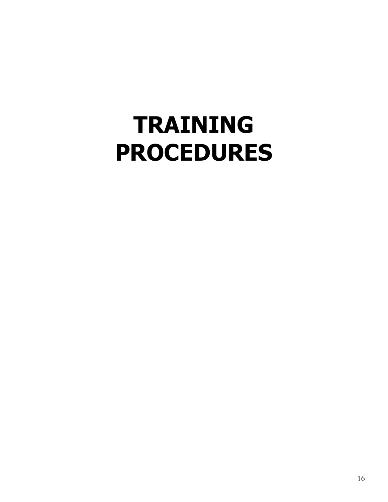## <span id="page-15-0"></span>**TRAINING PROCEDURES**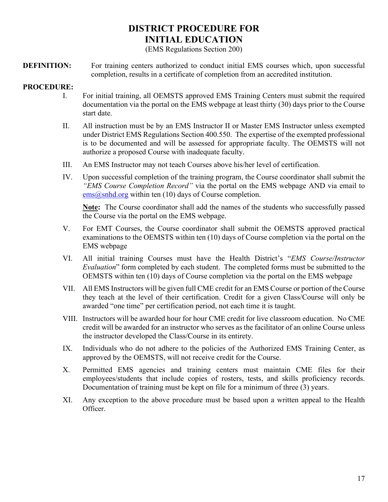## **DISTRICT PROCEDURE FOR INITIAL EDUCATION**

(EMS Regulations Section 200)

<span id="page-16-0"></span>**DEFINITION:** For training centers authorized to conduct initial EMS courses which, upon successful completion, results in a certificate of completion from an accredited institution.

#### **PROCEDURE:**

- I. For initial training, all OEMSTS approved EMS Training Centers must submit the required documentation via the portal on the EMS webpage at least thirty (30) days prior to the Course start date.
- II. All instruction must be by an EMS Instructor II or Master EMS Instructor unless exempted under District EMS Regulations Section 400.550. The expertise of the exempted professional is to be documented and will be assessed for appropriate faculty. The OEMSTS will not authorize a proposed Course with inadequate faculty.
- III. An EMS Instructor may not teach Courses above his/her level of certification.
- IV. Upon successful completion of the training program, the Course coordinator shall submit the *"EMS Course Completion Record"* via the portal on the EMS webpage AND via email to  $e$ ms  $\omega$ snhd.org within ten (10) days of Course completion.

**Note:** The Course coordinator shall add the names of the students who successfully passed the Course via the portal on the EMS webpage.

- V. For EMT Courses, the Course coordinator shall submit the OEMSTS approved practical examinations to the OEMSTS within ten (10) days of Course completion via the portal on the EMS webpage
- VI. All initial training Courses must have the Health District's "*EMS Course/Instructor Evaluation*" form completed by each student. The completed forms must be submitted to the OEMSTS within ten (10) days of Course completion via the portal on the EMS webpage
- VII. All EMS Instructors will be given full CME credit for an EMS Course or portion of the Course they teach at the level of their certification. Credit for a given Class/Course will only be awarded "one time" per certification period, not each time it is taught.
- VIII. Instructors will be awarded hour for hour CME credit for live classroom education. No CME credit will be awarded for an instructor who serves as the facilitator of an online Course unless the instructor developed the Class/Course in its entirety.
- IX. Individuals who do not adhere to the policies of the Authorized EMS Training Center, as approved by the OEMSTS, will not receive credit for the Course.
- X. Permitted EMS agencies and training centers must maintain CME files for their employees/students that include copies of rosters, tests, and skills proficiency records. Documentation of training must be kept on file for a minimum of three (3) years.
- XI. Any exception to the above procedure must be based upon a written appeal to the Health Officer.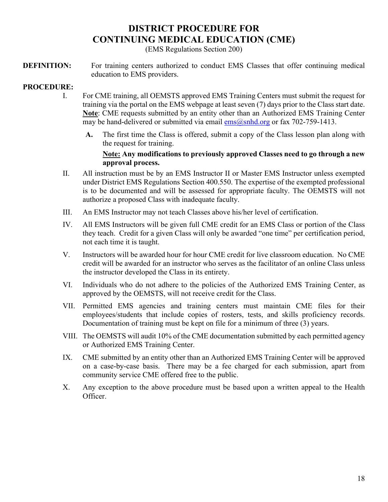## **[DISTRICT PROCEDURE FOR](#page-17-0) [CONTINUING MEDICAL EDUCATION \(CME\)](#page-17-0)**

(EMS Regulations Section 200)

<span id="page-17-0"></span>**DEFINITION:** For training centers authorized to conduct EMS Classes that offer continuing medical education to EMS providers.

#### **PROCEDURE:**

- I. For CME training, all OEMSTS approved EMS Training Centers must submit the request for training via the portal on the EMS webpage at least seven (7) days prior to the Class start date. **Note**: CME requests submitted by an entity other than an Authorized EMS Training Center may be hand-delivered or submitted via email  $\frac{\text{ems}(a)}{\text{snhd} \cdot \text{org}}$  or fax 702-759-1413.
	- **A.** The first time the Class is offered, submit a copy of the Class lesson plan along with the request for training.

#### **Note: Any modifications to previously approved Classes need to go through a new approval process.**

- II. All instruction must be by an EMS Instructor II or Master EMS Instructor unless exempted under District EMS Regulations Section 400.550. The expertise of the exempted professional is to be documented and will be assessed for appropriate faculty. The OEMSTS will not authorize a proposed Class with inadequate faculty.
- III. An EMS Instructor may not teach Classes above his/her level of certification.
- IV. All EMS Instructors will be given full CME credit for an EMS Class or portion of the Class they teach. Credit for a given Class will only be awarded "one time" per certification period, not each time it is taught.
- V. Instructors will be awarded hour for hour CME credit for live classroom education. No CME credit will be awarded for an instructor who serves as the facilitator of an online Class unless the instructor developed the Class in its entirety.
- VI. Individuals who do not adhere to the policies of the Authorized EMS Training Center, as approved by the OEMSTS, will not receive credit for the Class.
- VII. Permitted EMS agencies and training centers must maintain CME files for their employees/students that include copies of rosters, tests, and skills proficiency records. Documentation of training must be kept on file for a minimum of three (3) years.
- VIII. The OEMSTS will audit 10% of the CME documentation submitted by each permitted agency or Authorized EMS Training Center.
- IX. CME submitted by an entity other than an Authorized EMS Training Center will be approved on a case-by-case basis. There may be a fee charged for each submission, apart from community service CME offered free to the public.
- X. Any exception to the above procedure must be based upon a written appeal to the Health Officer.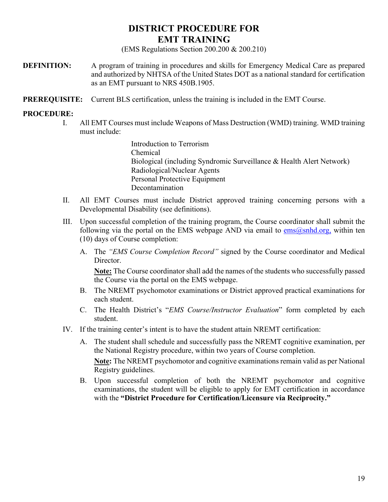### **[DISTRICT PROCEDURE FOR](#page-18-0) [EMT TRAINING](#page-18-0)**

(EMS Regulations Section 200.200 & 200.210)

- <span id="page-18-0"></span>**DEFINITION:** A program of training in procedures and skills for Emergency Medical Care as prepared and authorized by NHTSA of the United States DOT as a national standard for certification as an EMT pursuant to NRS 450B.1905.
- **PREREQUISITE:** Current BLS certification, unless the training is included in the EMT Course.

#### **PROCEDURE:**

I. All EMT Courses must include Weapons of Mass Destruction (WMD) training. WMD training must include:

> Introduction to Terrorism Chemical Biological (including Syndromic Surveillance & Health Alert Network) Radiological/Nuclear Agents Personal Protective Equipment Decontamination

- II. All EMT Courses must include District approved training concerning persons with a Developmental Disability (see definitions).
- III. Upon successful completion of the training program, the Course coordinator shall submit the following via the portal on the EMS webpage AND via email to  $\cos(\omega)$ snhd.org, within ten (10) days of Course completion:
	- A. The *"EMS Course Completion Record"* signed by the Course coordinator and Medical Director.

**Note:** The Course coordinator shall add the names of the students who successfully passed the Course via the portal on the EMS webpage.

- B. The NREMT psychomotor examinations or District approved practical examinations for each student.
- C. The Health District's "*EMS Course/Instructor Evaluation*" form completed by each student.
- IV. If the training center's intent is to have the student attain NREMT certification:
	- A. The student shall schedule and successfully pass the NREMT cognitive examination, per the National Registry procedure, within two years of Course completion.

**Note:** The NREMT psychomotor and cognitive examinations remain valid as per National Registry guidelines.

B. Upon successful completion of both the NREMT psychomotor and cognitive examinations, the student will be eligible to apply for EMT certification in accordance with the **"District Procedure for Certification/Licensure via Reciprocity."**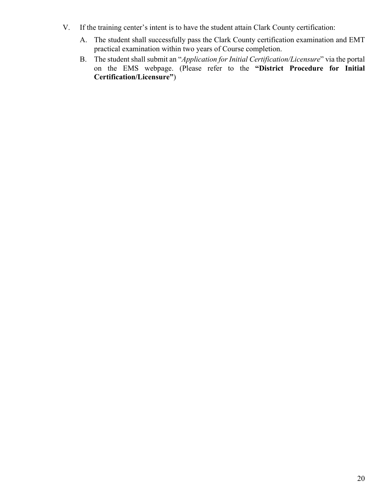- V. If the training center's intent is to have the student attain Clark County certification:
	- A. The student shall successfully pass the Clark County certification examination and EMT practical examination within two years of Course completion.
	- B. The student shall submit an "*Application for Initial Certification/Licensure*" via the portal on the EMS webpage. (Please refer to the **"District Procedure for Initial Certification/Licensure"**)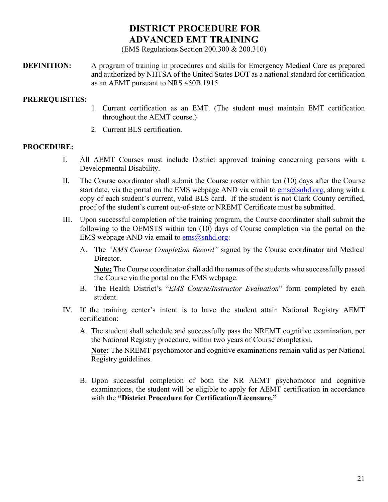## <span id="page-20-0"></span>**[DISTRICT PROCEDURE FOR](#page-20-0) [ADVANCED EMT TRAINING](#page-20-0)**

(EMS Regulations Section 200.300 & 200.310)

**DEFINITION:** A program of training in procedures and skills for Emergency Medical Care as prepared and authorized by NHTSA of the United States DOT as a national standard for certification as an AEMT pursuant to NRS 450B.1915.

#### **PREREQUISITES:**

- 1. Current certification as an EMT. (The student must maintain EMT certification throughout the AEMT course.)
- 2. Current BLS certification.

#### **PROCEDURE:**

- I. All AEMT Courses must include District approved training concerning persons with a Developmental Disability.
- II. The Course coordinator shall submit the Course roster within ten (10) days after the Course start date, via the portal on the EMS webpage AND via email to  $\cos(\omega)$ snhd.org, along with a copy of each student's current, valid BLS card. If the student is not Clark County certified, proof of the student's current out-of-state or NREMT Certificate must be submitted.
- III. Upon successful completion of the training program, the Course coordinator shall submit the following to the OEMSTS within ten (10) days of Course completion via the portal on the EMS webpage AND via email to  $ems@snhd.org$ :
	- A. The *"EMS Course Completion Record"* signed by the Course coordinator and Medical Director.

**Note:** The Course coordinator shall add the names of the students who successfully passed the Course via the portal on the EMS webpage.

- B. The Health District's "*EMS Course/Instructor Evaluation*" form completed by each student.
- IV. If the training center's intent is to have the student attain National Registry AEMT certification:
	- A. The student shall schedule and successfully pass the NREMT cognitive examination, per the National Registry procedure, within two years of Course completion. **Note:** The NREMT psychomotor and cognitive examinations remain valid as per National

Registry guidelines.

B. Upon successful completion of both the NR AEMT psychomotor and cognitive examinations, the student will be eligible to apply for AEMT certification in accordance with the **"District Procedure for Certification/Licensure."**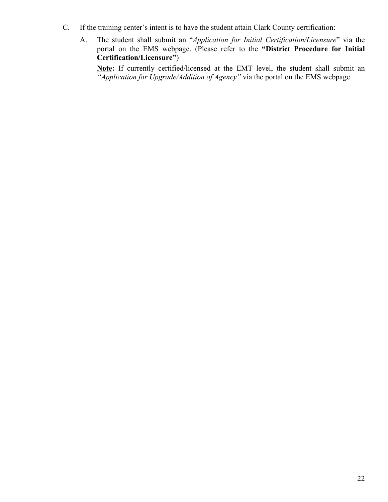- C. If the training center's intent is to have the student attain Clark County certification:
	- A. The student shall submit an "*Application for Initial Certification/Licensure*" via the portal on the EMS webpage. (Please refer to the **"District Procedure for Initial Certification/Licensure"**)

**Note:** If currently certified/licensed at the EMT level, the student shall submit an *"Application for Upgrade/Addition of Agency"* via the portal on the EMS webpage.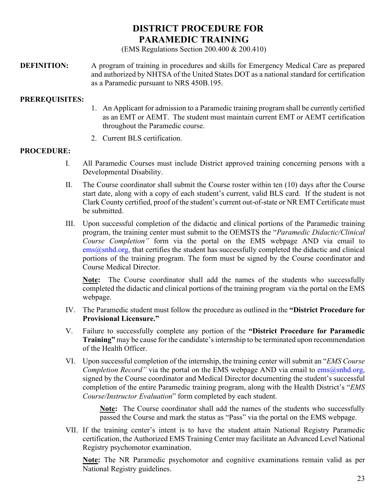## **[DISTRICT PROCEDURE FOR](#page-22-0) [PARAMEDIC TRAINING](#page-22-0)**

(EMS Regulations Section 200.400 & 200.410)

<span id="page-22-0"></span>**DEFINITION:** A program of training in procedures and skills for Emergency Medical Care as prepared and authorized by NHTSA of the United States DOT as a national standard for certification as a Paramedic pursuant to NRS 450B.195.

#### **PREREQUISITES:**

- 1. An Applicant for admission to a Paramedic training program shall be currently certified as an EMT or AEMT. The student must maintain current EMT or AEMT certification throughout the Paramedic course.
- 2. Current BLS certification.

#### **PROCEDURE:**

- I. All Paramedic Courses must include District approved training concerning persons with a Developmental Disability.
- II. The Course coordinator shall submit the Course roster within ten (10) days after the Course start date, along with a copy of each student's current, valid BLS card. If the student is not Clark County certified, proof of the student's current out-of-state or NR EMT Certificate must be submitted.
- III. Upon successful completion of the didactic and clinical portions of the Paramedic training program, the training center must submit to the OEMSTS the "*Paramedic Didactic/Clinical Course Completion"* form via the portal on the EMS webpage AND via email to  $e$ ms $(a)$ snhd.org, that certifies the student has successfully completed the didactic and clinical portions of the training program. The form must be signed by the Course coordinator and Course Medical Director.

**Note:** The Course coordinator shall add the names of the students who successfully completed the didactic and clinical portions of the training program via the portal on the EMS webpage.

- IV. The Paramedic student must follow the procedure as outlined in the **"District Procedure for Provisional Licensure."**
- V. Failure to successfully complete any portion of the **"District Procedure for Paramedic Training"** may be cause for the candidate's internship to be terminated upon recommendation of the Health Officer.
- VI. Upon successful completion of the internship, the training center will submit an "*EMS Course Completion Record"* via the portal on the EMS webpage AND via email to [ems@snhd.org,](mailto:ems@snhd.org) signed by the Course coordinator and Medical Director documenting the student's successful completion of the entire Paramedic training program, along with the Health District's "*EMS Course/Instructor Evaluation*" form completed by each student.

**Note:** The Course coordinator shall add the names of the students who successfully passed the Course and mark the status as "Pass" via the portal on the EMS webpage.

VII. If the training center's intent is to have the student attain National Registry Paramedic certification, the Authorized EMS Training Center may facilitate an Advanced Level National Registry psychomotor examination.

**Note:** The NR Paramedic psychomotor and cognitive examinations remain valid as per National Registry guidelines.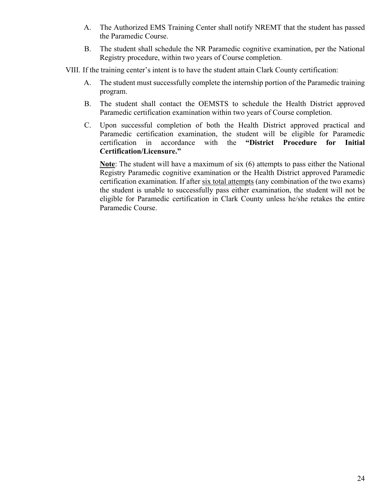- A. The Authorized EMS Training Center shall notify NREMT that the student has passed the Paramedic Course.
- B. The student shall schedule the NR Paramedic cognitive examination, per the National Registry procedure, within two years of Course completion.
- VIII. If the training center's intent is to have the student attain Clark County certification:
	- A. The student must successfully complete the internship portion of the Paramedic training program.
	- B. The student shall contact the OEMSTS to schedule the Health District approved Paramedic certification examination within two years of Course completion.
	- C. Upon successful completion of both the Health District approved practical and Paramedic certification examination, the student will be eligible for Paramedic certification in accordance with the **"District Procedure for Initial Certification/Licensure."**

**Note**: The student will have a maximum of six (6) attempts to pass either the National Registry Paramedic cognitive examination or the Health District approved Paramedic certification examination. If after six total attempts (any combination of the two exams) the student is unable to successfully pass either examination, the student will not be eligible for Paramedic certification in Clark County unless he/she retakes the entire Paramedic Course.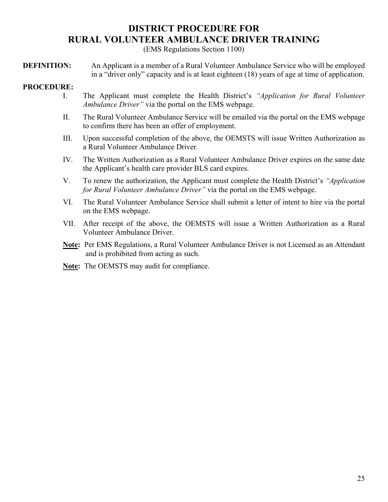## **[DISTRICT PROCEDURE FOR](#page-24-0) [RURAL VOLUNTEER AMBULANCE DRIVER TRAINING](#page-24-0)**

(EMS Regulations Section 1100)

<span id="page-24-0"></span>**DEFINITION:** An Applicant is a member of a Rural Volunteer Ambulance Service who will be employed in a "driver only" capacity and is at least eighteen (18) years of age at time of application.

#### **PROCEDURE:**

- I. The Applicant must complete the Health District's *"Application for Rural Volunteer Ambulance Driver"* via the portal on the EMS webpage.
- II. The Rural Volunteer Ambulance Service will be emailed via the portal on the EMS webpage to confirm there has been an offer of employment.
- III. Upon successful completion of the above, the OEMSTS will issue Written Authorization as a Rural Volunteer Ambulance Driver.
- IV. The Written Authorization as a Rural Volunteer Ambulance Driver expires on the same date the Applicant's health care provider BLS card expires.
- V. To renew the authorization, the Applicant must complete the Health District's *"Application for Rural Volunteer Ambulance Driver"* via the portal on the EMS webpage.
- VI. The Rural Volunteer Ambulance Service shall submit a letter of intent to hire via the portal on the EMS webpage.
- VII. After receipt of the above, the OEMSTS will issue a Written Authorization as a Rural Volunteer Ambulance Driver.
- **Note:** Per EMS Regulations, a Rural Volunteer Ambulance Driver is not Licensed as an Attendant and is prohibited from acting as such.
- **Note:** The OEMSTS may audit for compliance.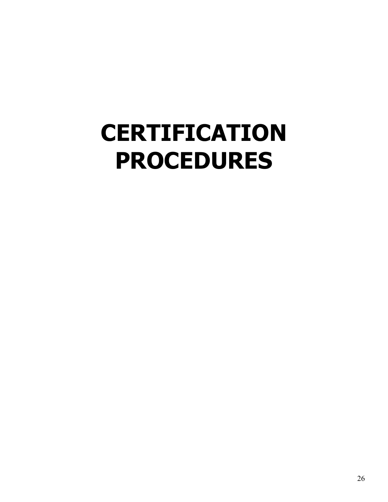## <span id="page-25-0"></span>**[CERTIFICATION](#page-25-0) [PROCEDURES](#page-25-0)**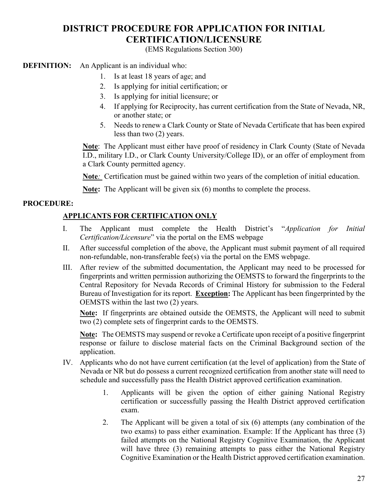## **[DISTRICT PROCEDURE FOR APPLICATION FOR INITIAL](#page-26-0)  [CERTIFICATION/LICENSURE](#page-26-0)**

(EMS Regulations Section 300)

<span id="page-26-0"></span>**DEFINITION:** An Applicant is an individual who:

- 1. Is at least 18 years of age; and
- 2. Is applying for initial certification; or
- 3. Is applying for initial licensure; or
- 4. If applying for Reciprocity, has current certification from the State of Nevada, NR, or another state; or
- 5. Needs to renew a Clark County or State of Nevada Certificate that has been expired less than two (2) years.

**Note**: The Applicant must either have proof of residency in Clark County (State of Nevada I.D., military I.D., or Clark County University/College ID), or an offer of employment from a Clark County permitted agency.

**Note***:* Certification must be gained within two years of the completion of initial education.

**Note:** The Applicant will be given six (6) months to complete the process.

#### **PROCEDURE:**

#### **APPLICANTS FOR CERTIFICATION ONLY**

- I. The Applicant must complete the Health District's "*Application for Initial Certification/Licensure*" via the portal on the EMS webpage
- II. After successful completion of the above, the Applicant must submit payment of all required non-refundable, non-transferable fee(s) via the portal on the EMS webpage.
- III. After review of the submitted documentation, the Applicant may need to be processed for fingerprints and written permission authorizing the OEMSTS to forward the fingerprints to the Central Repository for Nevada Records of Criminal History for submission to the Federal Bureau of Investigation for its report. **Exception:** The Applicant has been fingerprinted by the OEMSTS within the last two (2) years.

**Note:** If fingerprints are obtained outside the OEMSTS, the Applicant will need to submit two (2) complete sets of fingerprint cards to the OEMSTS.

**Note:** The OEMSTS may suspend or revoke a Certificate upon receipt of a positive fingerprint response or failure to disclose material facts on the Criminal Background section of the application.

- IV. Applicants who do not have current certification (at the level of application) from the State of Nevada or NR but do possess a current recognized certification from another state will need to schedule and successfully pass the Health District approved certification examination.
	- 1. Applicants will be given the option of either gaining National Registry certification or successfully passing the Health District approved certification exam.
	- 2. The Applicant will be given a total of six (6) attempts (any combination of the two exams) to pass either examination. Example: If the Applicant has three (3) failed attempts on the National Registry Cognitive Examination, the Applicant will have three (3) remaining attempts to pass either the National Registry Cognitive Examination or the Health District approved certification examination.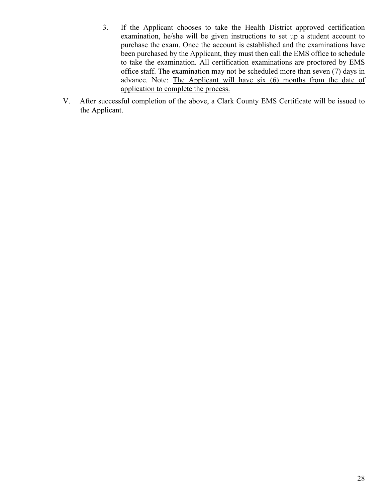- 3. If the Applicant chooses to take the Health District approved certification examination, he/she will be given instructions to set up a student account to purchase the exam. Once the account is established and the examinations have been purchased by the Applicant, they must then call the EMS office to schedule to take the examination. All certification examinations are proctored by EMS office staff. The examination may not be scheduled more than seven (7) days in advance. Note: The Applicant will have six (6) months from the date of application to complete the process.
- V. After successful completion of the above, a Clark County EMS Certificate will be issued to the Applicant.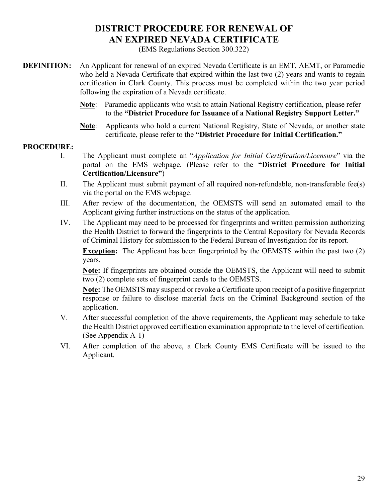## **[DISTRICT PROCEDURE FOR RENEWAL OF](#page-28-0) [AN EXPIRED NEVADA CERTIFICATE](#page-28-0)**

(EMS Regulations Section 300.322)

- <span id="page-28-0"></span>**DEFINITION:** An Applicant for renewal of an expired Nevada Certificate is an EMT, AEMT, or Paramedic who held a Nevada Certificate that expired within the last two (2) years and wants to regain certification in Clark County. This process must be completed within the two year period following the expiration of a Nevada certificate.
	- **Note**: Paramedic applicants who wish to attain National Registry certification, please refer to the **"District Procedure for Issuance of a National Registry Support Letter."**
	- **Note**: Applicants who hold a current National Registry, State of Nevada, or another state certificate, please refer to the **"District Procedure for Initial Certification."**

#### **PROCEDURE:**

- I. The Applicant must complete an "*Application for Initial Certification/Licensure*" via the portal on the EMS webpage*.* (Please refer to the **"District Procedure for Initial Certification/Licensure"**)
- II. The Applicant must submit payment of all required non-refundable, non-transferable fee(s) via the portal on the EMS webpage.
- III. After review of the documentation, the OEMSTS will send an automated email to the Applicant giving further instructions on the status of the application.
- IV. The Applicant may need to be processed for fingerprints and written permission authorizing the Health District to forward the fingerprints to the Central Repository for Nevada Records of Criminal History for submission to the Federal Bureau of Investigation for its report.

**Exception:** The Applicant has been fingerprinted by the OEMSTS within the past two (2) years.

**Note:** If fingerprints are obtained outside the OEMSTS, the Applicant will need to submit two (2) complete sets of fingerprint cards to the OEMSTS.

**Note:** The OEMSTS may suspend or revoke a Certificate upon receipt of a positive fingerprint response or failure to disclose material facts on the Criminal Background section of the application.

- V. After successful completion of the above requirements, the Applicant may schedule to take the Health District approved certification examination appropriate to the level of certification. (See Appendix A-1)
- VI. After completion of the above, a Clark County EMS Certificate will be issued to the Applicant.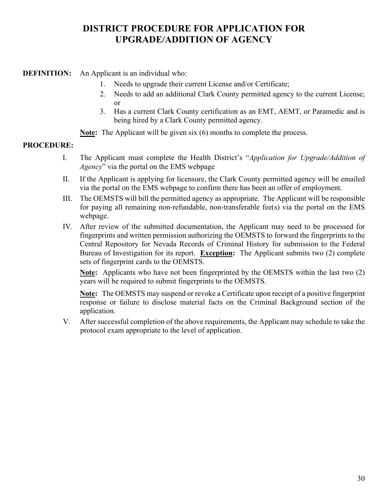## **[DISTRICT PROCEDURE FOR APPLICATION FOR](#page-29-0)  [UPGRADE/ADDITION OF AGENCY](#page-29-0)**

#### <span id="page-29-0"></span>**DEFINITION:** An Applicant is an individual who:

- 1. Needs to upgrade their current License and/or Certificate;
- 2. Needs to add an additional Clark County permitted agency to the current License; or
- 3. Has a current Clark County certification as an EMT, AEMT, or Paramedic and is being hired by a Clark County permitted agency.

**Note:** The Applicant will be given six (6) months to complete the process.

#### **PROCEDURE:**

- I. The Applicant must complete the Health District's "*Application for Upgrade/Addition of Agency*" via the portal on the EMS webpage
- II. If the Applicant is applying for licensure, the Clark County permitted agency will be emailed via the portal on the EMS webpage to confirm there has been an offer of employment.
- III. The OEMSTS will bill the permitted agency as appropriate. The Applicant will be responsible for paying all remaining non-refundable, non-transferable fee(s) via the portal on the EMS webpage.
- IV. After review of the submitted documentation, the Applicant may need to be processed for fingerprints and written permission authorizing the OEMSTS to forward the fingerprints to the Central Repository for Nevada Records of Criminal History for submission to the Federal Bureau of Investigation for its report. **Exception:** The Applicant submits two (2) complete sets of fingerprint cards to the OEMSTS.

**Note:** Applicants who have not been fingerprinted by the OEMSTS within the last two (2) years will be required to submit fingerprints to the OEMSTS.

**Note:** The OEMSTS may suspend or revoke a Certificate upon receipt of a positive fingerprint response or failure to disclose material facts on the Criminal Background section of the application.

V. After successful completion of the above requirements, the Applicant may schedule to take the protocol exam appropriate to the level of application.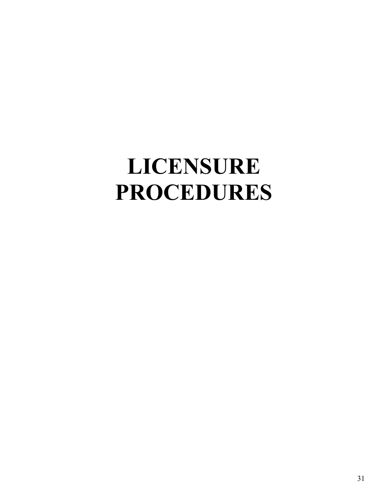## **LICENSURE PROCEDURES**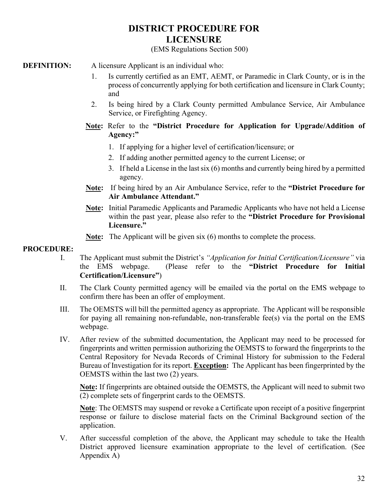### **DISTRICT PROCEDURE FOR LICENSURE**

#### (EMS Regulations Section 500)

- **DEFINITION:** A licensure Applicant is an individual who:
	- 1. Is currently certified as an EMT, AEMT, or Paramedic in Clark County, or is in the process of concurrently applying for both certification and licensure in Clark County; and
	- 2. Is being hired by a Clark County permitted Ambulance Service, Air Ambulance Service, or Firefighting Agency.
	- **Note:** Refer to the **"District Procedure for Application for Upgrade/Addition of Agency:"**
		- 1. If applying for a higher level of certification/licensure; or
		- 2. If adding another permitted agency to the current License; or
		- 3. If held a License in the last six (6) months and currently being hired by a permitted agency.
	- **Note:** If being hired by an Air Ambulance Service, refer to the **"District Procedure for Air Ambulance Attendant."**
	- **Note:** Initial Paramedic Applicants and Paramedic Applicants who have not held a License within the past year, please also refer to the **"District Procedure for Provisional Licensure."**
	- **Note:** The Applicant will be given six (6) months to complete the process.

#### **PROCEDURE:**

- I. The Applicant must submit the District's *"Application for Initial Certification/Licensure"* via the EMS webpage. (Please refer to the **"District Procedure for Initial Certification/Licensure"**)
- II. The Clark County permitted agency will be emailed via the portal on the EMS webpage to confirm there has been an offer of employment.
- III. The OEMSTS will bill the permitted agency as appropriate. The Applicant will be responsible for paying all remaining non-refundable, non-transferable fee(s) via the portal on the EMS webpage.
- IV. After review of the submitted documentation, the Applicant may need to be processed for fingerprints and written permission authorizing the OEMSTS to forward the fingerprints to the Central Repository for Nevada Records of Criminal History for submission to the Federal Bureau of Investigation for its report. **Exception:** The Applicant has been fingerprinted by the OEMSTS within the last two (2) years.

**Note:** If fingerprints are obtained outside the OEMSTS, the Applicant will need to submit two (2) complete sets of fingerprint cards to the OEMSTS.

**Note**: The OEMSTS may suspend or revoke a Certificate upon receipt of a positive fingerprint response or failure to disclose material facts on the Criminal Background section of the application.

V. After successful completion of the above, the Applicant may schedule to take the Health District approved licensure examination appropriate to the level of certification. (See Appendix A)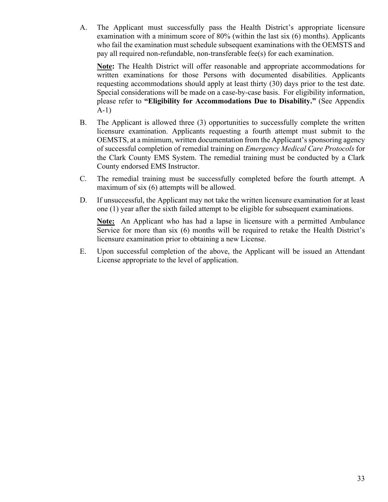A. The Applicant must successfully pass the Health District's appropriate licensure examination with a minimum score of 80% (within the last six (6) months). Applicants who fail the examination must schedule subsequent examinations with the OEMSTS and pay all required non-refundable, non-transferable fee(s) for each examination.

**Note:** The Health District will offer reasonable and appropriate accommodations for written examinations for those Persons with documented disabilities. Applicants requesting accommodations should apply at least thirty (30) days prior to the test date. Special considerations will be made on a case-by-case basis. For eligibility information, please refer to **"Eligibility for Accommodations Due to Disability."** (See Appendix A-1)

- B. The Applicant is allowed three (3) opportunities to successfully complete the written licensure examination. Applicants requesting a fourth attempt must submit to the OEMSTS, at a minimum, written documentation from the Applicant's sponsoring agency of successful completion of remedial training on *Emergency Medical Care Protocols* for the Clark County EMS System. The remedial training must be conducted by a Clark County endorsed EMS Instructor.
- C. The remedial training must be successfully completed before the fourth attempt. A maximum of six (6) attempts will be allowed.
- D. If unsuccessful, the Applicant may not take the written licensure examination for at least one (1) year after the sixth failed attempt to be eligible for subsequent examinations.

**Note:** An Applicant who has had a lapse in licensure with a permitted Ambulance Service for more than six (6) months will be required to retake the Health District's licensure examination prior to obtaining a new License.

E. Upon successful completion of the above, the Applicant will be issued an Attendant License appropriate to the level of application.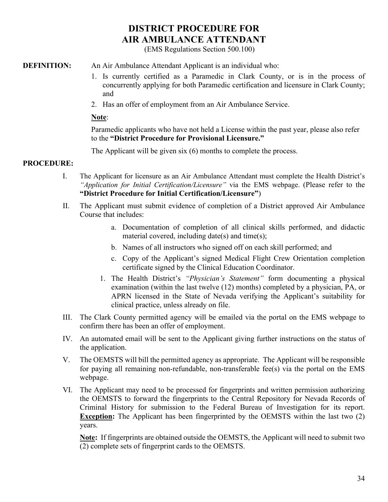## **DISTRICT PROCEDURE FOR AIR AMBULANCE ATTENDANT**

(EMS Regulations Section 500.100)

#### **DEFINITION:** An Air Ambulance Attendant Applicant is an individual who:

- 1. Is currently certified as a Paramedic in Clark County, or is in the process of concurrently applying for both Paramedic certification and licensure in Clark County; and
- 2. Has an offer of employment from an Air Ambulance Service.

#### **Note**:

Paramedic applicants who have not held a License within the past year, please also refer to the **"District Procedure for Provisional Licensure."**

The Applicant will be given six (6) months to complete the process.

#### **PROCEDURE:**

- I. The Applicant for licensure as an Air Ambulance Attendant must complete the Health District's *"Application for Initial Certification/Licensure"* via the EMS webpage. (Please refer to the **"District Procedure for Initial Certification/Licensure"**)
- II. The Applicant must submit evidence of completion of a District approved Air Ambulance Course that includes:
	- a. Documentation of completion of all clinical skills performed, and didactic material covered, including date(s) and time(s);
	- b. Names of all instructors who signed off on each skill performed; and
	- c. Copy of the Applicant's signed Medical Flight Crew Orientation completion certificate signed by the Clinical Education Coordinator.
	- 1. The Health District's *"Physician's Statement"* form documenting a physical examination (within the last twelve (12) months) completed by a physician, PA, or APRN licensed in the State of Nevada verifying the Applicant's suitability for clinical practice, unless already on file.
- III. The Clark County permitted agency will be emailed via the portal on the EMS webpage to confirm there has been an offer of employment.
- IV. An automated email will be sent to the Applicant giving further instructions on the status of the application.
- V. The OEMSTS will bill the permitted agency as appropriate. The Applicant will be responsible for paying all remaining non-refundable, non-transferable fee(s) via the portal on the EMS webpage.
- VI. The Applicant may need to be processed for fingerprints and written permission authorizing the OEMSTS to forward the fingerprints to the Central Repository for Nevada Records of Criminal History for submission to the Federal Bureau of Investigation for its report. **Exception:** The Applicant has been fingerprinted by the OEMSTS within the last two (2) years.

**Note:** If fingerprints are obtained outside the OEMSTS, the Applicant will need to submit two (2) complete sets of fingerprint cards to the OEMSTS.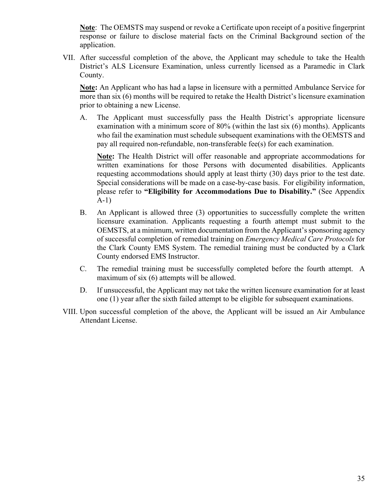**Note**: The OEMSTS may suspend or revoke a Certificate upon receipt of a positive fingerprint response or failure to disclose material facts on the Criminal Background section of the application.

VII. After successful completion of the above, the Applicant may schedule to take the Health District's ALS Licensure Examination, unless currently licensed as a Paramedic in Clark County.

**Note:** An Applicant who has had a lapse in licensure with a permitted Ambulance Service for more than six (6) months will be required to retake the Health District's licensure examination prior to obtaining a new License.

A. The Applicant must successfully pass the Health District's appropriate licensure examination with a minimum score of 80% (within the last six (6) months). Applicants who fail the examination must schedule subsequent examinations with the OEMSTS and pay all required non-refundable, non-transferable fee(s) for each examination.

**Note:** The Health District will offer reasonable and appropriate accommodations for written examinations for those Persons with documented disabilities. Applicants requesting accommodations should apply at least thirty (30) days prior to the test date. Special considerations will be made on a case-by-case basis. For eligibility information, please refer to **"Eligibility for Accommodations Due to Disability."** (See Appendix A-1)

- B. An Applicant is allowed three (3) opportunities to successfully complete the written licensure examination. Applicants requesting a fourth attempt must submit to the OEMSTS, at a minimum, written documentation from the Applicant's sponsoring agency of successful completion of remedial training on *Emergency Medical Care Protocols* for the Clark County EMS System. The remedial training must be conducted by a Clark County endorsed EMS Instructor.
- C. The remedial training must be successfully completed before the fourth attempt. A maximum of six (6) attempts will be allowed.
- D. If unsuccessful, the Applicant may not take the written licensure examination for at least one (1) year after the sixth failed attempt to be eligible for subsequent examinations.
- VIII. Upon successful completion of the above, the Applicant will be issued an Air Ambulance Attendant License.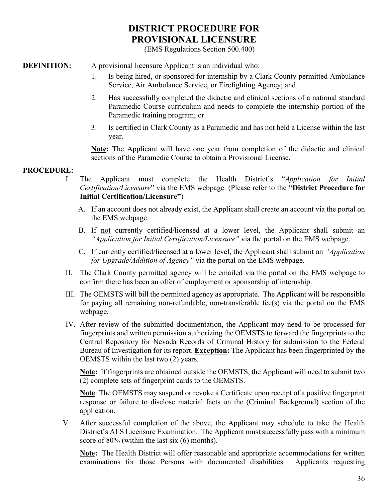## **DISTRICT PROCEDURE FOR PROVISIONAL LICENSURE**

(EMS Regulations Section 500.400)

**DEFINITION:** A provisional licensure Applicant is an individual who:

- 1. Is being hired, or sponsored for internship by a Clark County permitted Ambulance Service, Air Ambulance Service, or Firefighting Agency; and
- 2. Has successfully completed the didactic and clinical sections of a national standard Paramedic Course curriculum and needs to complete the internship portion of the Paramedic training program; or
- 3. Is certified in Clark County as a Paramedic and has not held a License within the last year.

**Note:** The Applicant will have one year from completion of the didactic and clinical sections of the Paramedic Course to obtain a Provisional License.

#### **PROCEDURE:**

- I. The Applicant must complete the Health District's "*Application for Initial Certification/Licensure*" via the EMS webpage. (Please refer to the **"District Procedure for Initial Certification/Licensure"**)
	- A. If an account does not already exist, the Applicant shall create an account via the portal on the EMS webpage.
	- B. If not currently certified/licensed at a lower level, the Applicant shall submit an *"Application for Initial Certification/Licensure"* via the portal on the EMS webpage.
	- C. If currently certified/licensed at a lower level, the Applicant shall submit an *"Application for Upgrade/Addition of Agency"* via the portal on the EMS webpage.
- II. The Clark County permitted agency will be emailed via the portal on the EMS webpage to confirm there has been an offer of employment or sponsorship of internship.
- III. The OEMSTS will bill the permitted agency as appropriate. The Applicant will be responsible for paying all remaining non-refundable, non-transferable fee(s) via the portal on the EMS webpage.
- IV. After review of the submitted documentation, the Applicant may need to be processed for fingerprints and written permission authorizing the OEMSTS to forward the fingerprints to the Central Repository for Nevada Records of Criminal History for submission to the Federal Bureau of Investigation for its report. **Exception:** The Applicant has been fingerprinted by the OEMSTS within the last two (2) years.

**Note:** If fingerprints are obtained outside the OEMSTS, the Applicant will need to submit two (2) complete sets of fingerprint cards to the OEMSTS.

**Note**: The OEMSTS may suspend or revoke a Certificate upon receipt of a positive fingerprint response or failure to disclose material facts on the (Criminal Background) section of the application.

V. After successful completion of the above, the Applicant may schedule to take the Health District's ALS Licensure Examination. The Applicant must successfully pass with a minimum score of 80% (within the last six (6) months).

**Note:** The Health District will offer reasonable and appropriate accommodations for written examinations for those Persons with documented disabilities. Applicants requesting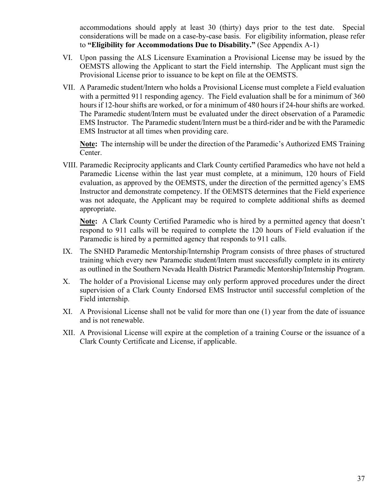accommodations should apply at least 30 (thirty) days prior to the test date. Special considerations will be made on a case-by-case basis. For eligibility information, please refer to **"Eligibility for Accommodations Due to Disability."** (See Appendix A-1)

- VI. Upon passing the ALS Licensure Examination a Provisional License may be issued by the OEMSTS allowing the Applicant to start the Field internship. The Applicant must sign the Provisional License prior to issuance to be kept on file at the OEMSTS.
- VII. A Paramedic student/Intern who holds a Provisional License must complete a Field evaluation with a permitted 911 responding agency. The Field evaluation shall be for a minimum of 360 hours if 12-hour shifts are worked, or for a minimum of 480 hours if 24-hour shifts are worked. The Paramedic student/Intern must be evaluated under the direct observation of a Paramedic EMS Instructor. The Paramedic student/Intern must be a third-rider and be with the Paramedic EMS Instructor at all times when providing care.

**Note:** The internship will be under the direction of the Paramedic's Authorized EMS Training Center.

VIII. Paramedic Reciprocity applicants and Clark County certified Paramedics who have not held a Paramedic License within the last year must complete, at a minimum, 120 hours of Field evaluation, as approved by the OEMSTS, under the direction of the permitted agency's EMS Instructor and demonstrate competency. If the OEMSTS determines that the Field experience was not adequate, the Applicant may be required to complete additional shifts as deemed appropriate.

**Note:** A Clark County Certified Paramedic who is hired by a permitted agency that doesn't respond to 911 calls will be required to complete the 120 hours of Field evaluation if the Paramedic is hired by a permitted agency that responds to 911 calls.

- IX. The SNHD Paramedic Mentorship/Internship Program consists of three phases of structured training which every new Paramedic student/Intern must successfully complete in its entirety as outlined in the Southern Nevada Health District Paramedic Mentorship/Internship Program.
- X. The holder of a Provisional License may only perform approved procedures under the direct supervision of a Clark County Endorsed EMS Instructor until successful completion of the Field internship.
- XI. A Provisional License shall not be valid for more than one (1) year from the date of issuance and is not renewable.
- XII. A Provisional License will expire at the completion of a training Course or the issuance of a Clark County Certificate and License, if applicable.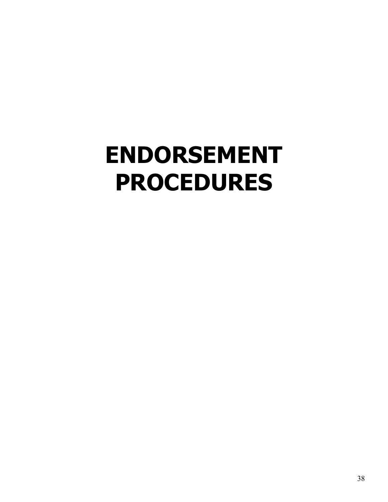# <span id="page-37-0"></span>**[ENDORSEMENT](#page-37-0) [PROCEDURES](#page-37-0)**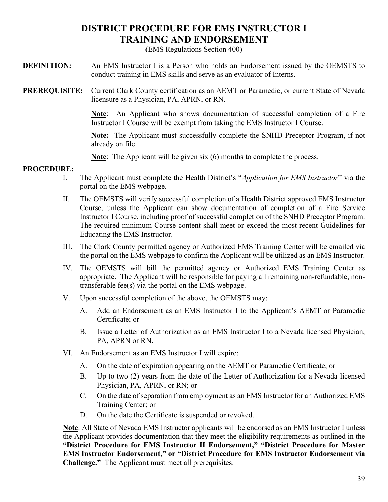## **[DISTRICT PROCEDURE FOR EMS INSTRUCTOR I](#page-38-0)  [TRAINING AND ENDORSEMENT](#page-38-0)**

(EMS Regulations Section 400)

<span id="page-38-0"></span>**DEFINITION:** An EMS Instructor I is a Person who holds an Endorsement issued by the OEMSTS to conduct training in EMS skills and serve as an evaluator of Interns.

**PREREQUISITE:** Current Clark County certification as an AEMT or Paramedic, or current State of Nevada licensure as a Physician, PA, APRN, or RN.

> **Note**: An Applicant who shows documentation of successful completion of a Fire Instructor I Course will be exempt from taking the EMS Instructor I Course.

> **Note:** The Applicant must successfully complete the SNHD Preceptor Program, if not already on file.

**Note**: The Applicant will be given six (6) months to complete the process.

## **PROCEDURE:**

- I. The Applicant must complete the Health District's "*Application for EMS Instructor*" via the portal on the EMS webpage.
- II. The OEMSTS will verify successful completion of a Health District approved EMS Instructor Course, unless the Applicant can show documentation of completion of a Fire Service Instructor I Course, including proof of successful completion of the SNHD Preceptor Program. The required minimum Course content shall meet or exceed the most recent Guidelines for Educating the EMS Instructor.
- III. The Clark County permitted agency or Authorized EMS Training Center will be emailed via the portal on the EMS webpage to confirm the Applicant will be utilized as an EMS Instructor.
- IV. The OEMSTS will bill the permitted agency or Authorized EMS Training Center as appropriate. The Applicant will be responsible for paying all remaining non-refundable, nontransferable fee(s) via the portal on the EMS webpage.
- V. Upon successful completion of the above, the OEMSTS may:
	- A. Add an Endorsement as an EMS Instructor I to the Applicant's AEMT or Paramedic Certificate; or
	- B. Issue a Letter of Authorization as an EMS Instructor I to a Nevada licensed Physician, PA, APRN or RN.
- VI. An Endorsement as an EMS Instructor I will expire:
	- A. On the date of expiration appearing on the AEMT or Paramedic Certificate; or
	- B. Up to two (2) years from the date of the Letter of Authorization for a Nevada licensed Physician, PA, APRN, or RN; or
	- C. On the date of separation from employment as an EMS Instructor for an Authorized EMS Training Center; or
	- D. On the date the Certificate is suspended or revoked.

**Note**: All State of Nevada EMS Instructor applicants will be endorsed as an EMS Instructor I unless the Applicant provides documentation that they meet the eligibility requirements as outlined in the **"District Procedure for EMS Instructor II Endorsement," "District Procedure for Master EMS Instructor Endorsement," or "District Procedure for EMS Instructor Endorsement via Challenge."** The Applicant must meet all prerequisites.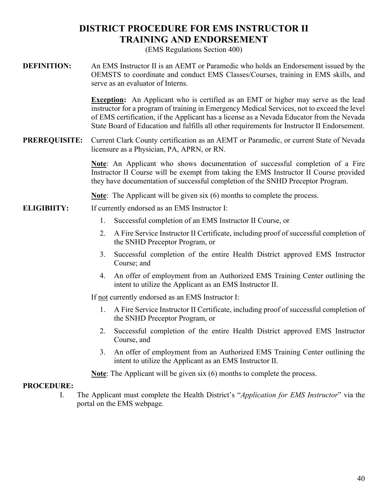## **[DISTRICT PROCEDURE FOR EMS INSTRUCTOR II](#page-39-0)  [TRAINING AND ENDORSEMENT](#page-39-0)**

(EMS Regulations Section 400)

<span id="page-39-0"></span>**DEFINITION:** An EMS Instructor II is an AEMT or Paramedic who holds an Endorsement issued by the OEMSTS to coordinate and conduct EMS Classes/Courses, training in EMS skills, and serve as an evaluator of Interns.

> **Exception:** An Applicant who is certified as an EMT or higher may serve as the lead instructor for a program of training in Emergency Medical Services, not to exceed the level of EMS certification, if the Applicant has a license as a Nevada Educator from the Nevada State Board of Education and fulfills all other requirements for Instructor II Endorsement.

**PREREQUISITE:** Current Clark County certification as an AEMT or Paramedic, or current State of Nevada licensure as a Physician, PA, APRN, or RN.

> **Note**: An Applicant who shows documentation of successful completion of a Fire Instructor II Course will be exempt from taking the EMS Instructor II Course provided they have documentation of successful completion of the SNHD Preceptor Program.

**Note**: The Applicant will be given six (6) months to complete the process.

- **ELIGIBIITY:** If currently endorsed as an EMS Instructor I:
	- 1. Successful completion of an EMS Instructor II Course, or
	- 2. A Fire Service Instructor II Certificate, including proof of successful completion of the SNHD Preceptor Program, or
	- 3. Successful completion of the entire Health District approved EMS Instructor Course; and
	- 4. An offer of employment from an Authorized EMS Training Center outlining the intent to utilize the Applicant as an EMS Instructor II.

If not currently endorsed as an EMS Instructor I:

- 1. A Fire Service Instructor II Certificate, including proof of successful completion of the SNHD Preceptor Program, or
- 2. Successful completion of the entire Health District approved EMS Instructor Course, and
- 3. An offer of employment from an Authorized EMS Training Center outlining the intent to utilize the Applicant as an EMS Instructor II.

**Note**: The Applicant will be given six (6) months to complete the process.

#### **PROCEDURE:**

I. The Applicant must complete the Health District's "*Application for EMS Instructor*" via the portal on the EMS webpage.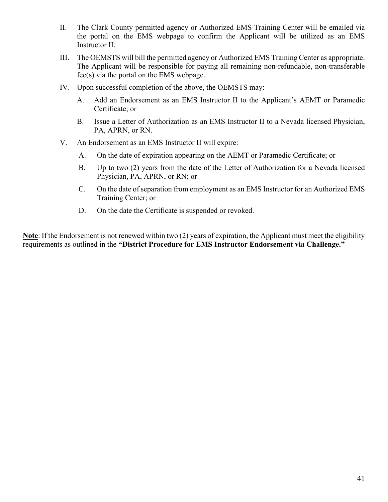- II. The Clark County permitted agency or Authorized EMS Training Center will be emailed via the portal on the EMS webpage to confirm the Applicant will be utilized as an EMS Instructor II.
- III. The OEMSTS will bill the permitted agency or Authorized EMS Training Center as appropriate. The Applicant will be responsible for paying all remaining non-refundable, non-transferable fee(s) via the portal on the EMS webpage.
- IV. Upon successful completion of the above, the OEMSTS may:
	- A. Add an Endorsement as an EMS Instructor II to the Applicant's AEMT or Paramedic Certificate; or
	- B. Issue a Letter of Authorization as an EMS Instructor II to a Nevada licensed Physician, PA, APRN, or RN.
- V. An Endorsement as an EMS Instructor II will expire:
	- A. On the date of expiration appearing on the AEMT or Paramedic Certificate; or
	- B. Up to two (2) years from the date of the Letter of Authorization for a Nevada licensed Physician, PA, APRN, or RN; or
	- C. On the date of separation from employment as an EMS Instructor for an Authorized EMS Training Center; or
	- D. On the date the Certificate is suspended or revoked.

<span id="page-40-0"></span>**Note**: If the Endorsement is not renewed within two (2) years of expiration, the Applicant must meet the eligibility requirements as outlined in the **"District Procedure for EMS Instructor Endorsement via Challenge."**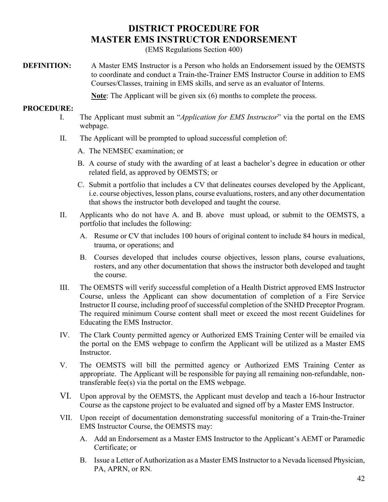## **[DISTRICT PROCEDURE FOR](#page-40-0) [MASTER EMS INSTRUCTOR ENDORSEMENT](#page-40-0)**

(EMS Regulations Section 400)

**DEFINITION:** A Master EMS Instructor is a Person who holds an Endorsement issued by the OEMSTS to coordinate and conduct a Train-the-Trainer EMS Instructor Course in addition to EMS Courses/Classes, training in EMS skills, and serve as an evaluator of Interns.

**Note**: The Applicant will be given six (6) months to complete the process.

- I. The Applicant must submit an "*Application for EMS Instructor*" via the portal on the EMS webpage.
- II. The Applicant will be prompted to upload successful completion of:
	- A. The NEMSEC examination; or
	- B. A course of study with the awarding of at least a bachelor's degree in education or other related field, as approved by OEMSTS; or
	- C. Submit a portfolio that includes a CV that delineates courses developed by the Applicant, i.e. course objectives, lesson plans, course evaluations, rosters, and any other documentation that shows the instructor both developed and taught the course.
- II. Applicants who do not have A. and B. above must upload, or submit to the OEMSTS, a portfolio that includes the following:
	- A. Resume or CV that includes 100 hours of original content to include 84 hours in medical, trauma, or operations; and
	- B. Courses developed that includes course objectives, lesson plans, course evaluations, rosters, and any other documentation that shows the instructor both developed and taught the course.
- III. The OEMSTS will verify successful completion of a Health District approved EMS Instructor Course, unless the Applicant can show documentation of completion of a Fire Service Instructor II course, including proof of successful completion of the SNHD Preceptor Program. The required minimum Course content shall meet or exceed the most recent Guidelines for Educating the EMS Instructor.
- IV. The Clark County permitted agency or Authorized EMS Training Center will be emailed via the portal on the EMS webpage to confirm the Applicant will be utilized as a Master EMS Instructor.
- V. The OEMSTS will bill the permitted agency or Authorized EMS Training Center as appropriate. The Applicant will be responsible for paying all remaining non-refundable, nontransferable fee(s) via the portal on the EMS webpage.
- VI. Upon approval by the OEMSTS, the Applicant must develop and teach a 16-hour Instructor Course as the capstone project to be evaluated and signed off by a Master EMS Instructor.
- VII. Upon receipt of documentation demonstrating successful monitoring of a Train-the-Trainer EMS Instructor Course, the OEMSTS may:
	- A. Add an Endorsement as a Master EMS Instructor to the Applicant's AEMT or Paramedic Certificate; or
	- B. Issue a Letter of Authorization as a Master EMS Instructor to a Nevada licensed Physician, PA, APRN, or RN*.*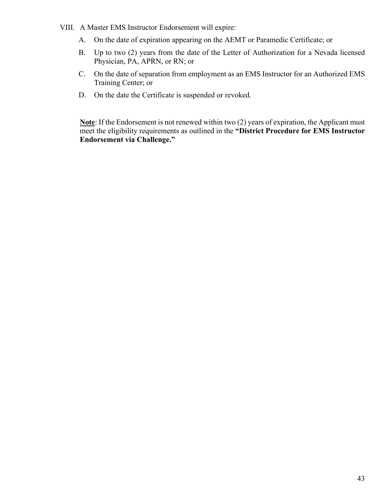- VIII. A Master EMS Instructor Endorsement will expire:
	- A. On the date of expiration appearing on the AEMT or Paramedic Certificate; or
	- B. Up to two (2) years from the date of the Letter of Authorization for a Nevada licensed Physician, PA, APRN, or RN; or
	- C. On the date of separation from employment as an EMS Instructor for an Authorized EMS Training Center; or
	- D. On the date the Certificate is suspended or revoked.

**Note**: If the Endorsement is not renewed within two (2) years of expiration, the Applicant must meet the eligibility requirements as outlined in the **"District Procedure for EMS Instructor Endorsement via Challenge."**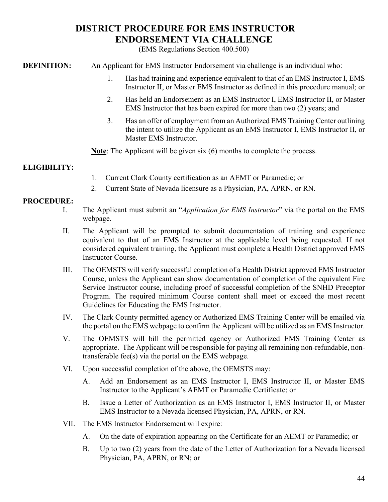## **[DISTRICT PROCEDURE FOR EMS INSTRUCTOR](#page-43-0) [ENDORSEMENT VIA CHALLENGE](#page-43-0)**

(EMS Regulations Section 400.500)

<span id="page-43-0"></span>**DEFINITION:** An Applicant for EMS Instructor Endorsement via challenge is an individual who:

- 1. Has had training and experience equivalent to that of an EMS Instructor I, EMS Instructor II, or Master EMS Instructor as defined in this procedure manual; or
- 2. Has held an Endorsement as an EMS Instructor I, EMS Instructor II, or Master EMS Instructor that has been expired for more than two (2) years; and
- 3. Has an offer of employment from an Authorized EMS Training Center outlining the intent to utilize the Applicant as an EMS Instructor I, EMS Instructor II, or Master EMS Instructor.

**Note**: The Applicant will be given six (6) months to complete the process.

## **ELIGIBILITY:**

- 1. Current Clark County certification as an AEMT or Paramedic; or
- 2. Current State of Nevada licensure as a Physician, PA, APRN, or RN.

- I. The Applicant must submit an "*Application for EMS Instructor*" via the portal on the EMS webpage.
- II. The Applicant will be prompted to submit documentation of training and experience equivalent to that of an EMS Instructor at the applicable level being requested. If not considered equivalent training, the Applicant must complete a Health District approved EMS Instructor Course.
- III. The OEMSTS will verify successful completion of a Health District approved EMS Instructor Course, unless the Applicant can show documentation of completion of the equivalent Fire Service Instructor course, including proof of successful completion of the SNHD Preceptor Program. The required minimum Course content shall meet or exceed the most recent Guidelines for Educating the EMS Instructor.
- IV. The Clark County permitted agency or Authorized EMS Training Center will be emailed via the portal on the EMS webpage to confirm the Applicant will be utilized as an EMS Instructor.
- V. The OEMSTS will bill the permitted agency or Authorized EMS Training Center as appropriate. The Applicant will be responsible for paying all remaining non-refundable, nontransferable fee(s) via the portal on the EMS webpage.
- VI. Upon successful completion of the above, the OEMSTS may:
	- A. Add an Endorsement as an EMS Instructor I, EMS Instructor II, or Master EMS Instructor to the Applicant's AEMT or Paramedic Certificate; or
	- B. Issue a Letter of Authorization as an EMS Instructor I, EMS Instructor II, or Master EMS Instructor to a Nevada licensed Physician, PA, APRN, or RN.
- VII. The EMS Instructor Endorsement will expire:
	- A. On the date of expiration appearing on the Certificate for an AEMT or Paramedic; or
	- B. Up to two (2) years from the date of the Letter of Authorization for a Nevada licensed Physician, PA, APRN, or RN; or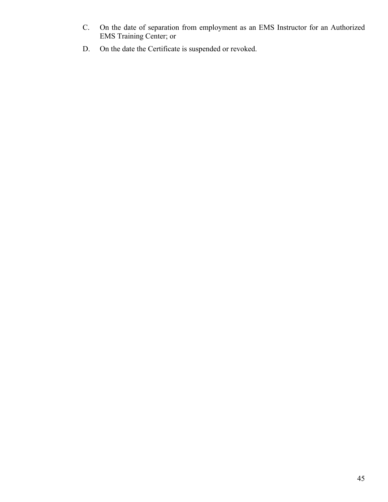- C. On the date of separation from employment as an EMS Instructor for an Authorized EMS Training Center; or
- D. On the date the Certificate is suspended or revoked.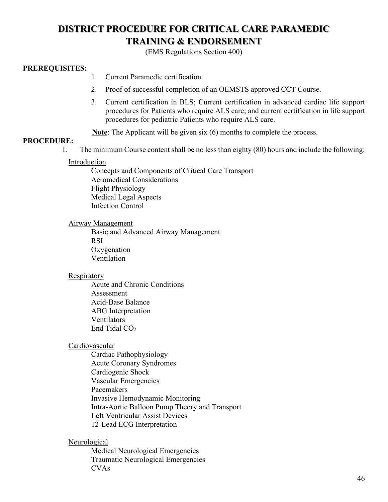## <span id="page-45-0"></span>**[DISTRICT PROCEDURE FOR CRITICAL CARE PARAMEDIC](#page-45-0) [TRAINING & ENDORSEMENT](#page-45-0)**

(EMS Regulations Section 400)

### **PREREQUISITES:**

- 1. Current Paramedic certification.
- 2. Proof of successful completion of an OEMSTS approved CCT Course.
- 3. Current certification in BLS; Current certification in advanced cardiac life support procedures for Patients who require ALS care; and current certification in life support procedures for pediatric Patients who require ALS care.

**Note**: The Applicant will be given six (6) months to complete the process.

#### **PROCEDURE:**

I. The minimum Course content shall be no less than eighty (80) hours and include the following:

#### Introduction

Concepts and Components of Critical Care Transport Aeromedical Considerations Flight Physiology Medical Legal Aspects Infection Control

#### Airway Management

Basic and Advanced Airway Management RSI Oxygenation Ventilation

#### Respiratory

Acute and Chronic Conditions Assessment Acid-Base Balance ABG Interpretation Ventilators End Tidal CO<sub>2</sub>

#### Cardiovascular

Cardiac Pathophysiology Acute Coronary Syndromes Cardiogenic Shock Vascular Emergencies Pacemakers Invasive Hemodynamic Monitoring Intra-Aortic Balloon Pump Theory and Transport Left Ventricular Assist Devices 12-Lead ECG Interpretation

#### **Neurological**

Medical Neurological Emergencies Traumatic Neurological Emergencies CVAs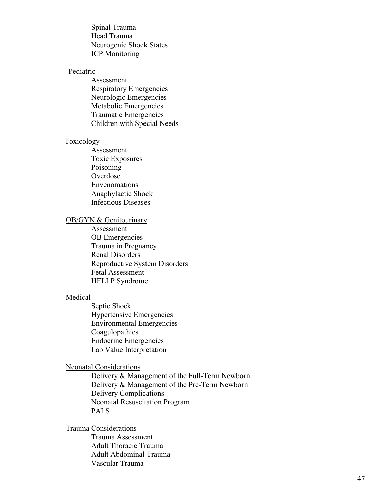Spinal Trauma Head Trauma Neurogenic Shock States ICP Monitoring

#### **Pediatric**

Assessment Respiratory Emergencies Neurologic Emergencies Metabolic Emergencies Traumatic Emergencies Children with Special Needs

#### Toxicology

Assessment Toxic Exposures Poisoning Overdose Envenomations Anaphylactic Shock Infectious Diseases

#### OB/GYN & Genitourinary

Assessment OB Emergencies Trauma in Pregnancy Renal Disorders Reproductive System Disorders Fetal Assessment HELLP Syndrome

#### Medical

Septic Shock Hypertensive Emergencies Environmental Emergencies Coagulopathies Endocrine Emergencies Lab Value Interpretation

#### Neonatal Considerations

Delivery & Management of the Full-Term Newborn Delivery & Management of the Pre-Term Newborn Delivery Complications Neonatal Resuscitation Program PALS

### Trauma Considerations

Trauma Assessment Adult Thoracic Trauma Adult Abdominal Trauma Vascular Trauma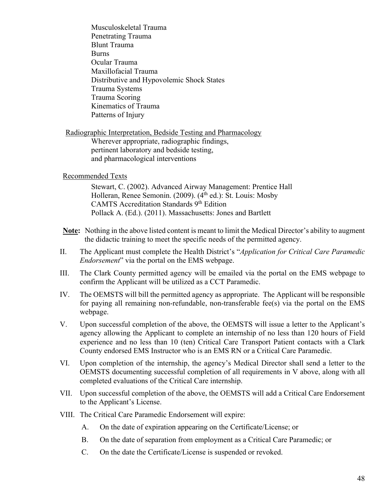Musculoskeletal Trauma Penetrating Trauma Blunt Trauma **Burns** Ocular Trauma Maxillofacial Trauma Distributive and Hypovolemic Shock States Trauma Systems Trauma Scoring Kinematics of Trauma Patterns of Injury

Radiographic Interpretation, Bedside Testing and Pharmacology Wherever appropriate, radiographic findings, pertinent laboratory and bedside testing, and pharmacological interventions

#### Recommended Texts

Stewart, C. (2002). Advanced Airway Management: Prentice Hall Holleran, Renee Semonin. (2009). (4<sup>th</sup> ed.): St. Louis: Mosby CAMTS Accreditation Standards 9<sup>th</sup> Edition Pollack A. (Ed.). (2011). Massachusetts: Jones and Bartlett

- **Note:** Nothing in the above listed content is meant to limit the Medical Director's ability to augment the didactic training to meet the specific needs of the permitted agency.
- II. The Applicant must complete the Health District's "*Application for Critical Care Paramedic Endorsement*" via the portal on the EMS webpage.
- III. The Clark County permitted agency will be emailed via the portal on the EMS webpage to confirm the Applicant will be utilized as a CCT Paramedic.
- IV. The OEMSTS will bill the permitted agency as appropriate. The Applicant will be responsible for paying all remaining non-refundable, non-transferable fee(s) via the portal on the EMS webpage.
- V. Upon successful completion of the above, the OEMSTS will issue a letter to the Applicant's agency allowing the Applicant to complete an internship of no less than 120 hours of Field experience and no less than 10 (ten) Critical Care Transport Patient contacts with a Clark County endorsed EMS Instructor who is an EMS RN or a Critical Care Paramedic.
- VI. Upon completion of the internship, the agency's Medical Director shall send a letter to the OEMSTS documenting successful completion of all requirements in V above, along with all completed evaluations of the Critical Care internship.
- VII. Upon successful completion of the above, the OEMSTS will add a Critical Care Endorsement to the Applicant's License.
- <span id="page-47-0"></span>VIII. The Critical Care Paramedic Endorsement will expire:
	- A. On the date of expiration appearing on the Certificate/License; or
	- B. On the date of separation from employment as a Critical Care Paramedic; or
	- C. On the date the Certificate/License is suspended or revoked.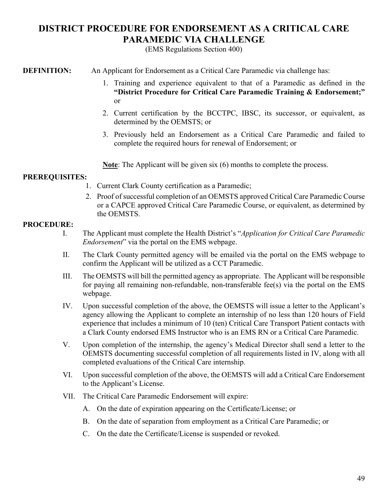## **[DISTRICT PROCEDURE FOR ENDORSEMENT AS A CRITICAL CARE](#page-47-0)  [PARAMEDIC VIA CHALLENGE](#page-47-0)**

(EMS Regulations Section 400)

**DEFINITION:** An Applicant for Endorsement as a Critical Care Paramedic via challenge has:

- 1. Training and experience equivalent to that of a Paramedic as defined in the **"District Procedure for Critical Care Paramedic Training & Endorsement;"** or
- 2. Current certification by the BCCTPC, IBSC, its successor, or equivalent, as determined by the OEMSTS; or
- 3. Previously held an Endorsement as a Critical Care Paramedic and failed to complete the required hours for renewal of Endorsement; or

**Note**: The Applicant will be given six (6) months to complete the process.

## **PREREQUISITES:**

- 1. Current Clark County certification as a Paramedic;
- 2. Proof of successful completion of an OEMSTS approved Critical Care Paramedic Course or a CAPCE approved Critical Care Paramedic Course, or equivalent, as determined by the OEMSTS.

- I. The Applicant must complete the Health District's "*Application for Critical Care Paramedic Endorsement*" via the portal on the EMS webpage.
- II. The Clark County permitted agency will be emailed via the portal on the EMS webpage to confirm the Applicant will be utilized as a CCT Paramedic.
- III. The OEMSTS will bill the permitted agency as appropriate. The Applicant will be responsible for paying all remaining non-refundable, non-transferable fee(s) via the portal on the EMS webpage.
- IV. Upon successful completion of the above, the OEMSTS will issue a letter to the Applicant's agency allowing the Applicant to complete an internship of no less than 120 hours of Field experience that includes a minimum of 10 (ten) Critical Care Transport Patient contacts with a Clark County endorsed EMS Instructor who is an EMS RN or a Critical Care Paramedic.
- V. Upon completion of the internship, the agency's Medical Director shall send a letter to the OEMSTS documenting successful completion of all requirements listed in IV, along with all completed evaluations of the Critical Care internship.
- VI. Upon successful completion of the above, the OEMSTS will add a Critical Care Endorsement to the Applicant's License.
- VII. The Critical Care Paramedic Endorsement will expire:
	- A. On the date of expiration appearing on the Certificate/License; or
	- B. On the date of separation from employment as a Critical Care Paramedic; or
	- C. On the date the Certificate/License is suspended or revoked.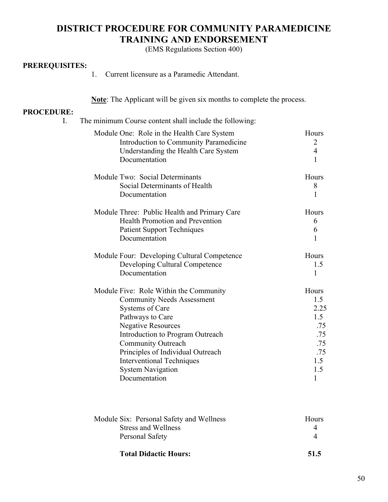## <span id="page-49-0"></span>**[DISTRICT PROCEDURE FOR COMMUNITY PARAMEDICINE](#page-49-0) [TRAINING AND ENDORSEMENT](#page-49-0)**

(EMS Regulations Section 400)

#### **PREREQUISITES:**

1. Current licensure as a Paramedic Attendant.

**Note**: The Applicant will be given six months to complete the process.

| . |                                                                                                                     |
|---|---------------------------------------------------------------------------------------------------------------------|
|   | The minimum Course content shall include the following:                                                             |
|   | $M_{\odot}$ 1.1. $\Omega_{\rm max}$ $D_{\odot}$ 1. $\Omega_{\rm max}$ II. 14. $\Omega_{\rm max}$ $\Omega_{\rm max}$ |

| Module One: Role in the Health Care System   | Hours          |
|----------------------------------------------|----------------|
| Introduction to Community Paramedicine       | $\overline{2}$ |
| Understanding the Health Care System         | $\overline{4}$ |
| Documentation                                | 1              |
| Module Two: Social Determinants              | Hours          |
| Social Determinants of Health                | 8              |
| Documentation                                | 1              |
| Module Three: Public Health and Primary Care | Hours          |
| <b>Health Promotion and Prevention</b>       | 6              |
| <b>Patient Support Techniques</b>            | 6              |
| Documentation                                | 1              |
| Module Four: Developing Cultural Competence  | Hours          |
| Developing Cultural Competence               | 1.5            |
| Documentation                                | $\mathbf{1}$   |
| Module Five: Role Within the Community       | Hours          |
| <b>Community Needs Assessment</b>            | 1.5            |
| <b>Systems of Care</b>                       | 2.25           |
| Pathways to Care                             | 1.5            |
| <b>Negative Resources</b>                    | .75            |
| Introduction to Program Outreach             | .75            |
| <b>Community Outreach</b>                    | .75            |
| Principles of Individual Outreach            | .75            |
| <b>Interventional Techniques</b>             | 1.5            |
| <b>System Navigation</b>                     | 1.5            |
| Documentation                                | 1              |

| Module Six: Personal Safety and Wellness | <b>Hours</b> |
|------------------------------------------|--------------|
| Stress and Wellness                      |              |
| Personal Safety                          |              |
| <b>Total Didactic Hours:</b>             | 51.5         |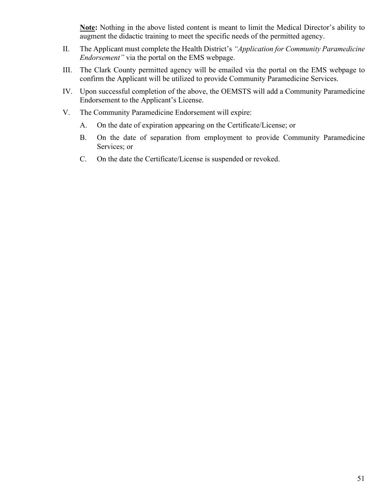**Note:** Nothing in the above listed content is meant to limit the Medical Director's ability to augment the didactic training to meet the specific needs of the permitted agency.

- II. The Applicant must complete the Health District's *"Application for Community Paramedicine Endorsement"* via the portal on the EMS webpage.
- III. The Clark County permitted agency will be emailed via the portal on the EMS webpage to confirm the Applicant will be utilized to provide Community Paramedicine Services.
- IV. Upon successful completion of the above, the OEMSTS will add a Community Paramedicine Endorsement to the Applicant's License.
- V. The Community Paramedicine Endorsement will expire:
	- A. On the date of expiration appearing on the Certificate/License; or
	- B. On the date of separation from employment to provide Community Paramedicine Services; or
	- C. On the date the Certificate/License is suspended or revoked.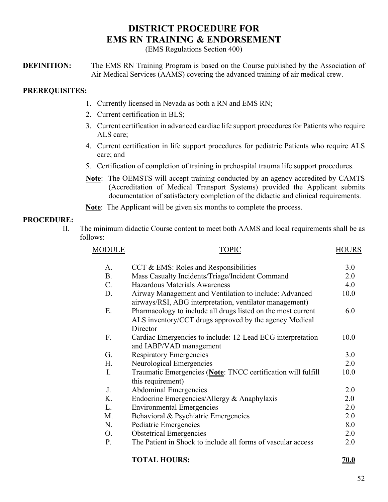## **[DISTRICT PROCEDURE FOR](#page-51-0) [EMS RN TRAINING & ENDORSEMENT](#page-51-0)**

(EMS Regulations Section 400)

<span id="page-51-0"></span>**DEFINITION:** The EMS RN Training Program is based on the Course published by the Association of Air Medical Services (AAMS) covering the advanced training of air medical crew.

## **PREREQUISITES:**

- 1. Currently licensed in Nevada as both a RN and EMS RN;
- 2. Current certification in BLS;
- 3. Current certification in advanced cardiac life support procedures for Patients who require ALS care;
- 4. Current certification in life support procedures for pediatric Patients who require ALS care; and
- 5. Certification of completion of training in prehospital trauma life support procedures.
- **Note**: The OEMSTS will accept training conducted by an agency accredited by CAMTS (Accreditation of Medical Transport Systems) provided the Applicant submits documentation of satisfactory completion of the didactic and clinical requirements.

**Note**: The Applicant will be given six months to complete the process.

### **PROCEDURE:**

II. The minimum didactic Course content to meet both AAMS and local requirements shall be as follows:

| <b>MODULE</b>  | <b>TOPIC</b>                                                                                                                       | <b>HOURS</b> |
|----------------|------------------------------------------------------------------------------------------------------------------------------------|--------------|
| $\mathsf{A}$ . | CCT & EMS: Roles and Responsibilities                                                                                              | 3.0          |
| <b>B.</b>      | Mass Casualty Incidents/Triage/Incident Command                                                                                    | 2.0          |
| $C_{\cdot}$    | Hazardous Materials Awareness                                                                                                      | 4.0          |
| D.             | Airway Management and Ventilation to include: Advanced<br>airways/RSI, ABG interpretation, ventilator management)                  | 10.0         |
| Ε.             | Pharmacology to include all drugs listed on the most current<br>ALS inventory/CCT drugs approved by the agency Medical<br>Director | 6.0          |
| F.             | Cardiac Emergencies to include: 12-Lead ECG interpretation<br>and IABP/VAD management                                              | 10.0         |
| G.             | <b>Respiratory Emergencies</b>                                                                                                     | 3.0          |
| Н.             | Neurological Emergencies                                                                                                           | 2.0          |
| Ι.             | Traumatic Emergencies (Note: TNCC certification will fulfill<br>this requirement)                                                  | 10.0         |
| J.             | <b>Abdominal Emergencies</b>                                                                                                       | 2.0          |
| Κ.             | Endocrine Emergencies/Allergy & Anaphylaxis                                                                                        | 2.0          |
| L.             | <b>Environmental Emergencies</b>                                                                                                   | 2.0          |
| М.             | Behavioral & Psychiatric Emergencies                                                                                               | 2.0          |
| N.             | Pediatric Emergencies                                                                                                              | 8.0          |
| O.             | <b>Obstetrical Emergencies</b>                                                                                                     | 2.0          |
| P.             | The Patient in Shock to include all forms of vascular access                                                                       | 2.0          |
|                | <b>TOTAL HOURS:</b>                                                                                                                | <b>70.0</b>  |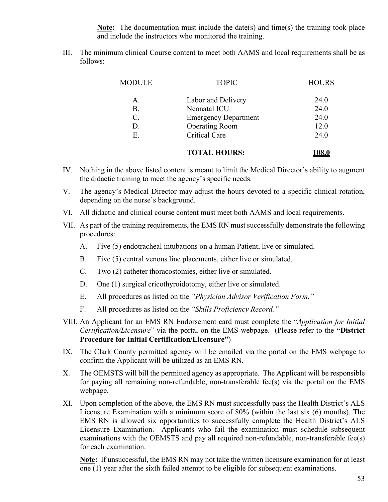**Note:** The documentation must include the date(s) and time(s) the training took place and include the instructors who monitored the training.

III. The minimum clinical Course content to meet both AAMS and local requirements shall be as follows:

| MODULE          | <b>TOPIC</b>                | <b>HOURS</b> |
|-----------------|-----------------------------|--------------|
| $\mathsf{A}$ .  | Labor and Delivery          | 24.0         |
| <b>B.</b>       | Neonatal ICU                | 24.0         |
| $\mathcal{C}$ . | <b>Emergency Department</b> | 24.0         |
| D.              | <b>Operating Room</b>       | 12.0         |
| Ε.              | <b>Critical Care</b>        | 24.0         |
|                 |                             |              |

#### **TOTAL HOURS: 108.0**

- IV. Nothing in the above listed content is meant to limit the Medical Director's ability to augment the didactic training to meet the agency's specific needs.
- V. The agency's Medical Director may adjust the hours devoted to a specific clinical rotation, depending on the nurse's background.
- VI. All didactic and clinical course content must meet both AAMS and local requirements.
- VII. As part of the training requirements, the EMS RN must successfully demonstrate the following procedures:
	- A. Five (5) endotracheal intubations on a human Patient, live or simulated.
	- B. Five (5) central venous line placements, either live or simulated.
	- C. Two (2) catheter thoracostomies, either live or simulated.
	- D. One (1) surgical cricothyroidotomy, either live or simulated.
	- E. All procedures as listed on the *"Physician Advisor Verification Form."*
	- F. All procedures as listed on the *"Skills Proficiency Record."*
- VIII. An Applicant for an EMS RN Endorsement card must complete the "*Application for Initial Certification/Licensure*" via the portal on the EMS webpage. (Please refer to the **"District Procedure for Initial Certification/Licensure"**)
- IX. The Clark County permitted agency will be emailed via the portal on the EMS webpage to confirm the Applicant will be utilized as an EMS RN.
- X. The OEMSTS will bill the permitted agency as appropriate. The Applicant will be responsible for paying all remaining non-refundable, non-transferable fee(s) via the portal on the EMS webpage.
- XI. Upon completion of the above, the EMS RN must successfully pass the Health District's ALS Licensure Examination with a minimum score of 80% (within the last six (6) months). The EMS RN is allowed six opportunities to successfully complete the Health District's ALS Licensure Examination. Applicants who fail the examination must schedule subsequent examinations with the OEMSTS and pay all required non-refundable, non-transferable fee(s) for each examination.

**Note:** If unsuccessful, the EMS RN may not take the written licensure examination for at least one (1) year after the sixth failed attempt to be eligible for subsequent examinations.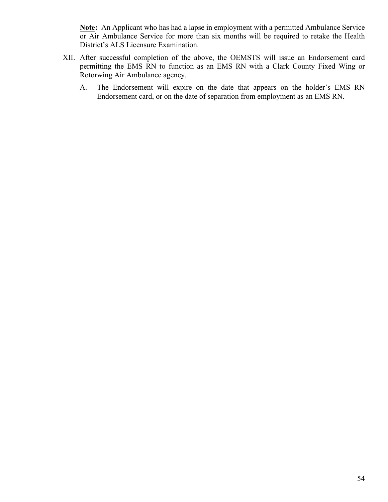**Note:** An Applicant who has had a lapse in employment with a permitted Ambulance Service or Air Ambulance Service for more than six months will be required to retake the Health District's ALS Licensure Examination.

- XII. After successful completion of the above, the OEMSTS will issue an Endorsement card permitting the EMS RN to function as an EMS RN with a Clark County Fixed Wing or Rotorwing Air Ambulance agency.
	- A. The Endorsement will expire on the date that appears on the holder's EMS RN Endorsement card, or on the date of separation from employment as an EMS RN.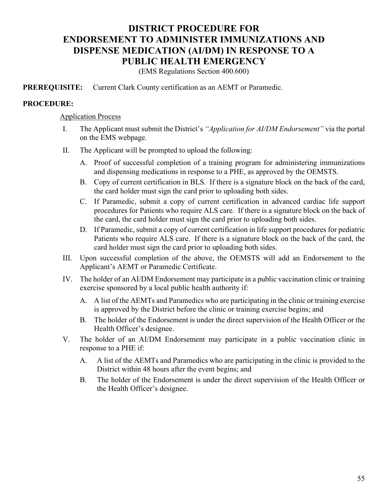## <span id="page-54-0"></span>**[DISTRICT PROCEDURE FOR](#page-54-0) [ENDORSEMENT TO ADMINISTER IMMUNIZATIONS AND](#page-54-0) [DISPENSE MEDICATION \(AI/DM\) IN RESPONSE TO A](#page-54-0) [PUBLIC HEALTH EMERGENCY](#page-54-0)**

(EMS Regulations Section 400.600)

**PREREQUISITE:** Current Clark County certification as an AEMT or Paramedic.

#### **PROCEDURE:**

#### Application Process

- I. The Applicant must submit the District's *"Application for AI/DM Endorsement"* via the portal on the EMS webpage.
- II. The Applicant will be prompted to upload the following:
	- A. Proof of successful completion of a training program for administering immunizations and dispensing medications in response to a PHE, as approved by the OEMSTS.
	- B. Copy of current certification in BLS. If there is a signature block on the back of the card, the card holder must sign the card prior to uploading both sides.
	- C. If Paramedic, submit a copy of current certification in advanced cardiac life support procedures for Patients who require ALS care. If there is a signature block on the back of the card, the card holder must sign the card prior to uploading both sides.
	- D. If Paramedic, submit a copy of current certification in life support procedures for pediatric Patients who require ALS care. If there is a signature block on the back of the card, the card holder must sign the card prior to uploading both sides.
- III. Upon successful completion of the above, the OEMSTS will add an Endorsement to the Applicant's AEMT or Paramedic Certificate.
- IV. The holder of an AI/DM Endorsement may participate in a public vaccination clinic or training exercise sponsored by a local public health authority if:
	- A. A list of the AEMTs and Paramedics who are participating in the clinic or training exercise is approved by the District before the clinic or training exercise begins; and
	- B. The holder of the Endorsement is under the direct supervision of the Health Officer or the Health Officer's designee.
- V. The holder of an AI/DM Endorsement may participate in a public vaccination clinic in response to a PHE if:
	- A. A list of the AEMTs and Paramedics who are participating in the clinic is provided to the District within 48 hours after the event begins; and
	- B. The holder of the Endorsement is under the direct supervision of the Health Officer or the Health Officer's designee.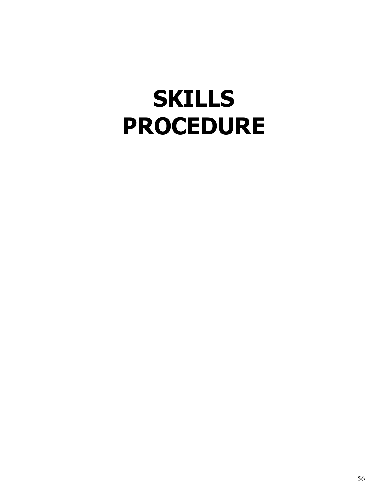## <span id="page-55-0"></span>**[SKILLS](#page-55-0) [PROCEDURE](#page-55-0)**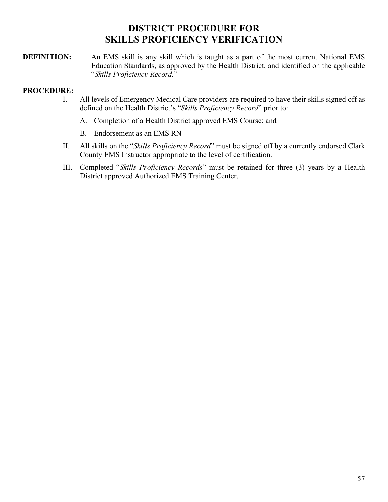## **[DISTRICT PROCEDURE FOR](#page-56-0) [SKILLS PROFICIENCY VERIFICATION](#page-56-0)**

<span id="page-56-0"></span>**DEFINITION:** An EMS skill is any skill which is taught as a part of the most current National EMS Education Standards, as approved by the Health District, and identified on the applicable "*Skills Proficiency Record.*"

- I. All levels of Emergency Medical Care providers are required to have their skills signed off as defined on the Health District's "*Skills Proficiency Record*" prior to:
	- A. Completion of a Health District approved EMS Course; and
	- B. Endorsement as an EMS RN
- II. All skills on the "*Skills Proficiency Record*" must be signed off by a currently endorsed Clark County EMS Instructor appropriate to the level of certification.
- III. Completed "*Skills Proficiency Records*" must be retained for three (3) years by a Health District approved Authorized EMS Training Center.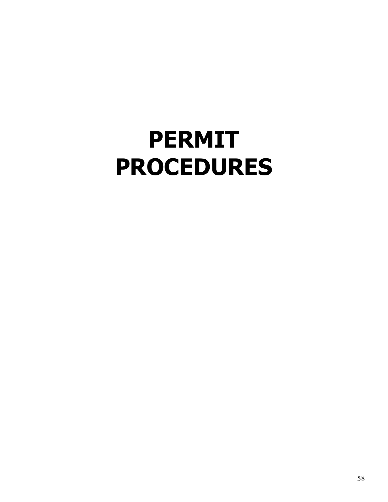# <span id="page-57-0"></span>**[PERMIT](#page-57-0) [PROCEDURES](#page-57-0)**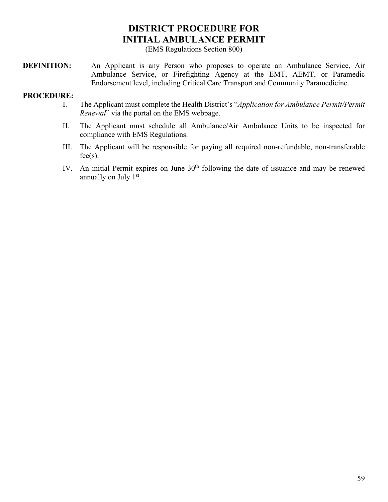## **[DISTRICT PROCEDURE FOR](#page-58-0) [INITIAL AMBULANCE PERMIT](#page-58-0)**

(EMS Regulations Section 800)

<span id="page-58-0"></span>**DEFINITION:** An Applicant is any Person who proposes to operate an Ambulance Service, Air Ambulance Service, or Firefighting Agency at the EMT, AEMT, or Paramedic Endorsement level, including Critical Care Transport and Community Paramedicine.

- I. The Applicant must complete the Health District's "*Application for Ambulance Permit/Permit Renewal*" via the portal on the EMS webpage.
- II. The Applicant must schedule all Ambulance/Air Ambulance Units to be inspected for compliance with EMS Regulations.
- III. The Applicant will be responsible for paying all required non-refundable, non-transferable  $fee(s)$ .
- IV. An initial Permit expires on June  $30<sup>th</sup>$  following the date of issuance and may be renewed annually on July 1<sup>st</sup>.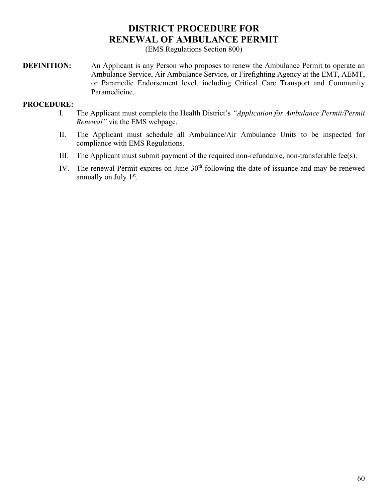## **[DISTRICT PROCEDURE FOR](#page-59-0) [RENEWAL OF AMBULANCE PERMIT](#page-59-0)**

(EMS Regulations Section 800)

<span id="page-59-0"></span>**DEFINITION:** An Applicant is any Person who proposes to renew the Ambulance Permit to operate an Ambulance Service, Air Ambulance Service, or Firefighting Agency at the EMT, AEMT, or Paramedic Endorsement level, including Critical Care Transport and Community Paramedicine.

- I. The Applicant must complete the Health District's *"Application for Ambulance Permit/Permit Renewal"* via the EMS webpage.
- II. The Applicant must schedule all Ambulance/Air Ambulance Units to be inspected for compliance with EMS Regulations.
- III. The Applicant must submit payment of the required non-refundable, non-transferable fee(s).
- IV. The renewal Permit expires on June  $30<sup>th</sup>$  following the date of issuance and may be renewed annually on July 1<sup>st</sup>.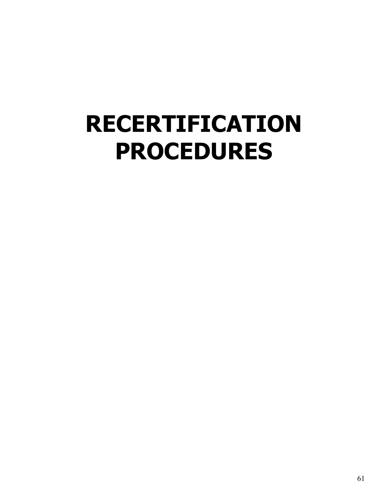## <span id="page-60-0"></span>**[RECERTIFICATION](#page-60-0) [PROCEDURES](#page-60-0)**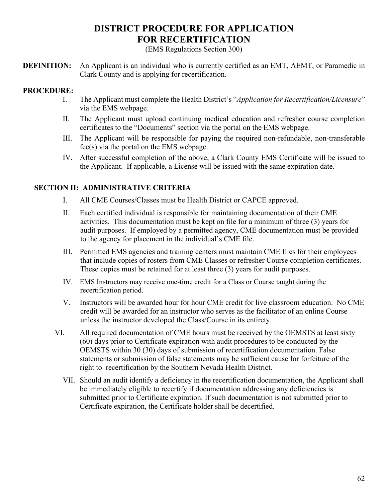## **[DISTRICT PROCEDURE FOR APPLICATION](#page-61-0) [FOR RECERTIFICATION](#page-61-0)**

(EMS Regulations Section 300)

<span id="page-61-0"></span>**DEFINITION:** An Applicant is an individual who is currently certified as an EMT, AEMT, or Paramedic in Clark County and is applying for recertification.

## **PROCEDURE:**

- I. The Applicant must complete the Health District's "*Application for Recertification/Licensure*" via the EMS webpage.
- II. The Applicant must upload continuing medical education and refresher course completion certificates to the "Documents" section via the portal on the EMS webpage.
- III. The Applicant will be responsible for paying the required non-refundable, non-transferable fee(s) via the portal on the EMS webpage.
- IV. After successful completion of the above, a Clark County EMS Certificate will be issued to the Applicant. If applicable, a License will be issued with the same expiration date.

## **SECTION II: ADMINISTRATIVE CRITERIA**

- I. All CME Courses/Classes must be Health District or CAPCE approved.
- II. Each certified individual is responsible for maintaining documentation of their CME activities. This documentation must be kept on file for a minimum of three (3) years for audit purposes. If employed by a permitted agency, CME documentation must be provided to the agency for placement in the individual's CME file.
- III. Permitted EMS agencies and training centers must maintain CME files for their employees that include copies of rosters from CME Classes or refresher Course completion certificates. These copies must be retained for at least three (3) years for audit purposes.
- IV. EMS Instructors may receive one-time credit for a Class or Course taught during the recertification period.
- V. Instructors will be awarded hour for hour CME credit for live classroom education. No CME credit will be awarded for an instructor who serves as the facilitator of an online Course unless the instructor developed the Class/Course in its entirety.
- VI. All required documentation of CME hours must be received by the OEMSTS at least sixty (60) days prior to Certificate expiration with audit procedures to be conducted by the OEMSTS within 30 (30) days of submission of recertification documentation. False statements or submission of false statements may be sufficient cause for forfeiture of the right to recertification by the Southern Nevada Health District.
	- VII. Should an audit identify a deficiency in the recertification documentation, the Applicant shall be immediately eligible to recertify if documentation addressing any deficiencies is submitted prior to Certificate expiration. If such documentation is not submitted prior to Certificate expiration, the Certificate holder shall be decertified.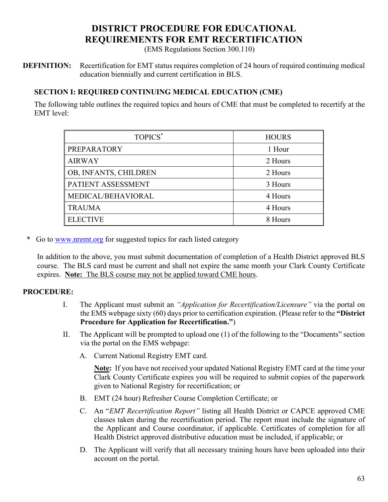## **[DISTRICT](#page-62-0) PROCEDURE FOR EDUCATIONAL REQUIREMENTS FOR EMT RECERTIFICATION**

(EMS Regulations Section 300.110)

<span id="page-62-0"></span>**DEFINITION:** Recertification for EMT status requires completion of 24 hours of required continuing medical education biennially and current certification in BLS.

## **SECTION I: REQUIRED CONTINUING MEDICAL EDUCATION (CME)**

The following table outlines the required topics and hours of CME that must be completed to recertify at the EMT level:

| TOPICS*               | <b>HOURS</b> |
|-----------------------|--------------|
| PREPARATORY           | 1 Hour       |
| <b>AIRWAY</b>         | 2 Hours      |
| OB, INFANTS, CHILDREN | 2 Hours      |
| PATIENT ASSESSMENT    | 3 Hours      |
| MEDICAL/BEHAVIORAL    | 4 Hours      |
| <b>TRAUMA</b>         | 4 Hours      |
| <b>ELECTIVE</b>       | 8 Hours      |

\* Go to [www.nremt.org](http://www.nremt.org/) for suggested topics for each listed category

In addition to the above, you must submit documentation of completion of a Health District approved BLS course. The BLS card must be current and shall not expire the same month your Clark County Certificate expires. **Note:** The BLS course may not be applied toward CME hours.

## **PROCEDURE:**

- I. The Applicant must submit an *"Application for Recertification/Licensure"* via the portal on the EMS webpage sixty (60) days prior to certification expiration. (Please refer to the **"District Procedure for Application for Recertification."**)
- II. The Applicant will be prompted to upload one (1) of the following to the "Documents" section via the portal on the EMS webpage:
	- A. Current National Registry EMT card.

**Note:** If you have not received your updated National Registry EMT card at the time your Clark County Certificate expires you will be required to submit copies of the paperwork given to National Registry for recertification; or

- B. EMT (24 hour) Refresher Course Completion Certificate; or
- C. An "*EMT Recertification Report"* listing all Health District or CAPCE approved CME classes taken during the recertification period. The report must include the signature of the Applicant and Course coordinator, if applicable. Certificates of completion for all Health District approved distributive education must be included, if applicable; or
- D. The Applicant will verify that all necessary training hours have been uploaded into their account on the portal.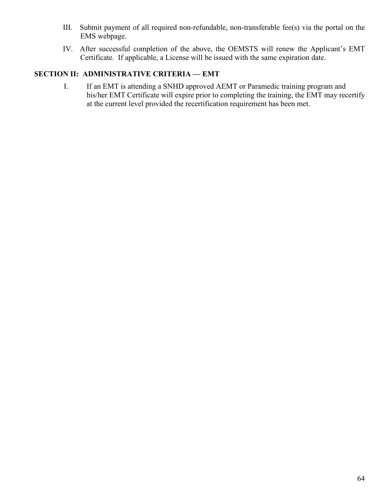- III. Submit payment of all required non-refundable, non-transferable fee(s) via the portal on the EMS webpage.
- IV. After successful completion of the above, the OEMSTS will renew the Applicant's EMT Certificate. If applicable, a License will be issued with the same expiration date.

## **SECTION II: ADMINISTRATIVE CRITERIA — EMT**

I. If an EMT is attending a SNHD approved AEMT or Paramedic training program and his/her EMT Certificate will expire prior to completing the training, the EMT may recertify at the current level provided the recertification requirement has been met.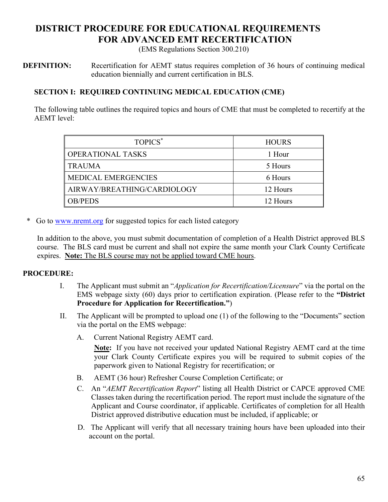## <span id="page-64-0"></span>**[DISTRICT](#page-64-0) PROCEDURE FOR EDUCATIONAL REQUIREMENTS FOR ADVANCED EMT RECERTIFICATION**

(EMS Regulations Section 300.210)

**DEFINITION:** Recertification for AEMT status requires completion of 36 hours of continuing medical education biennially and current certification in BLS.

## **SECTION I: REQUIRED CONTINUING MEDICAL EDUCATION (CME)**

The following table outlines the required topics and hours of CME that must be completed to recertify at the AEMT level:

| TOPICS <sup>*</sup>         | <b>HOURS</b> |
|-----------------------------|--------------|
| <b>OPERATIONAL TASKS</b>    | 1 Hour       |
| <b>TRAUMA</b>               | 5 Hours      |
| <b>MEDICAL EMERGENCIES</b>  | 6 Hours      |
| AIRWAY/BREATHING/CARDIOLOGY | 12 Hours     |
| <b>OB/PEDS</b>              | 12 Hours     |

\* Go to [www.nremt.org](http://www.nremt.org/) for suggested topics for each listed category

In addition to the above, you must submit documentation of completion of a Health District approved BLS course. The BLS card must be current and shall not expire the same month your Clark County Certificate expires. **Note:** The BLS course may not be applied toward CME hours.

## **PROCEDURE:**

- I. The Applicant must submit an "*Application for Recertification/Licensure*" via the portal on the EMS webpage sixty (60) days prior to certification expiration. (Please refer to the **"District Procedure for Application for Recertification."**)
- II. The Applicant will be prompted to upload one (1) of the following to the "Documents" section via the portal on the EMS webpage:
	- A. Current National Registry AEMT card.

**Note:** If you have not received your updated National Registry AEMT card at the time your Clark County Certificate expires you will be required to submit copies of the paperwork given to National Registry for recertification; or

- B. AEMT (36 hour) Refresher Course Completion Certificate; or
- C. An "*AEMT Recertification Report*" listing all Health District or CAPCE approved CME Classes taken during the recertification period. The report must include the signature of the Applicant and Course coordinator, if applicable. Certificates of completion for all Health District approved distributive education must be included, if applicable; or
- D. The Applicant will verify that all necessary training hours have been uploaded into their account on the portal.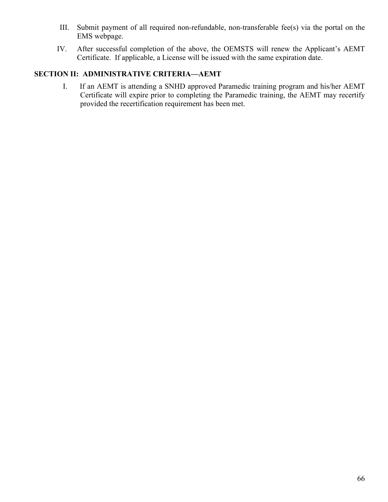- III. Submit payment of all required non-refundable, non-transferable fee(s) via the portal on the EMS webpage.
- IV. After successful completion of the above, the OEMSTS will renew the Applicant's AEMT Certificate. If applicable, a License will be issued with the same expiration date.

## **SECTION II: ADMINISTRATIVE CRITERIA—AEMT**

I. If an AEMT is attending a SNHD approved Paramedic training program and his/her AEMT Certificate will expire prior to completing the Paramedic training, the AEMT may recertify provided the recertification requirement has been met.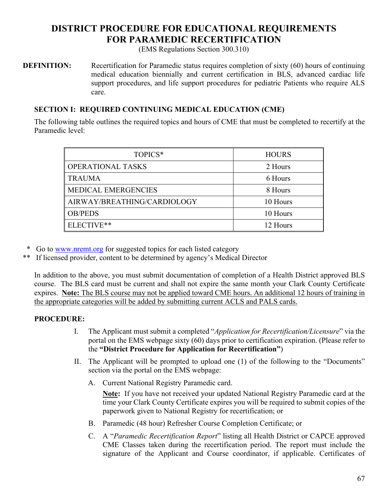## <span id="page-66-0"></span>**[DISTRICT](#page-66-0) PROCEDURE FOR EDUCATIONAL REQUIREMENTS FOR PARAMEDIC RECERTIFICATION**

(EMS Regulations Section 300.310)

**DEFINITION:** Recertification for Paramedic status requires completion of sixty (60) hours of continuing medical education biennially and current certification in BLS, advanced cardiac life support procedures, and life support procedures for pediatric Patients who require ALS care.

## **SECTION I: REQUIRED CONTINUING MEDICAL EDUCATION (CME)**

The following table outlines the required topics and hours of CME that must be completed to recertify at the Paramedic level:

| TOPICS*                     | <b>HOURS</b> |
|-----------------------------|--------------|
| <b>OPERATIONAL TASKS</b>    | 2 Hours      |
| <b>TRAUMA</b>               | 6 Hours      |
| <b>MEDICAL EMERGENCIES</b>  | 8 Hours      |
| AIRWAY/BREATHING/CARDIOLOGY | 10 Hours     |
| <b>OB/PEDS</b>              | 10 Hours     |
| ELECTIVE**                  | 12 Hours     |

Go to [www.nremt.org](http://www.nremt.org/) for suggested topics for each listed category

If licensed provider, content to be determined by agency's Medical Director

In addition to the above, you must submit documentation of completion of a Health District approved BLS course. The BLS card must be current and shall not expire the same month your Clark County Certificate expires. **Note:** The BLS course may not be applied toward CME hours. An additional 12 hours of training in the appropriate categories will be added by submitting current ACLS and PALS cards.

## **PROCEDURE:**

- I. The Applicant must submit a completed "*Application for Recertification/Licensure*" via the portal on the EMS webpage sixty (60) days prior to certification expiration. (Please refer to the **"District Procedure for Application for Recertification"**)
- II. The Applicant will be prompted to upload one (1) of the following to the "Documents" section via the portal on the EMS webpage:
	- A. Current National Registry Paramedic card.

**Note:** If you have not received your updated National Registry Paramedic card at the time your Clark County Certificate expires you will be required to submit copies of the paperwork given to National Registry for recertification; or

- B. Paramedic (48 hour) Refresher Course Completion Certificate; or
- C. A "*Paramedic Recertification Report*" listing all Health District or CAPCE approved CME Classes taken during the recertification period. The report must include the signature of the Applicant and Course coordinator, if applicable. Certificates of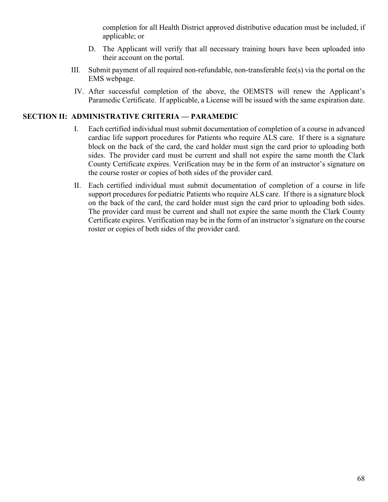completion for all Health District approved distributive education must be included, if applicable; or

- D. The Applicant will verify that all necessary training hours have been uploaded into their account on the portal.
- III. Submit payment of all required non-refundable, non-transferable fee(s) via the portal on the EMS webpage.
- IV. After successful completion of the above, the OEMSTS will renew the Applicant's Paramedic Certificate. If applicable, a License will be issued with the same expiration date.

## **SECTION II: ADMINISTRATIVE CRITERIA — PARAMEDIC**

- I. Each certified individual must submit documentation of completion of a course in advanced cardiac life support procedures for Patients who require ALS care. If there is a signature block on the back of the card, the card holder must sign the card prior to uploading both sides. The provider card must be current and shall not expire the same month the Clark County Certificate expires. Verification may be in the form of an instructor's signature on the course roster or copies of both sides of the provider card.
- II. Each certified individual must submit documentation of completion of a course in life support procedures for pediatric Patients who require ALS care. If there is a signature block on the back of the card, the card holder must sign the card prior to uploading both sides. The provider card must be current and shall not expire the same month the Clark County Certificate expires. Verification may be in the form of an instructor's signature on the course roster or copies of both sides of the provider card.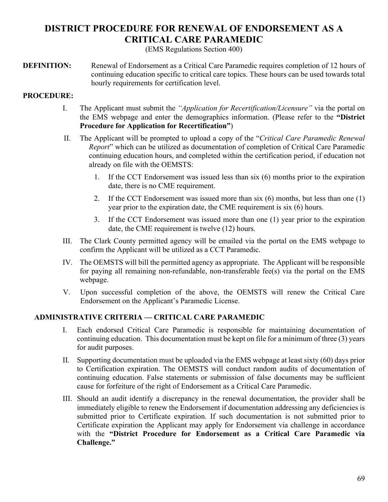## <span id="page-68-0"></span>**[DISTRICT PROCEDURE FOR RENEWAL OF ENDORSEMENT AS A](#page-68-0) [CRITICAL CARE PARAMEDIC](#page-68-0)**

(EMS Regulations Section 400)

**DEFINITION:** Renewal of Endorsement as a Critical Care Paramedic requires completion of 12 hours of continuing education specific to critical care topics. These hours can be used towards total hourly requirements for certification level.

## **PROCEDURE:**

- I. The Applicant must submit the *"Application for Recertification/Licensure"* via the portal on the EMS webpage and enter the demographics information. (Please refer to the **"District Procedure for Application for Recertification"**)
- II. The Applicant will be prompted to upload a copy of the "*Critical Care Paramedic Renewal Report*" which can be utilized as documentation of completion of Critical Care Paramedic continuing education hours, and completed within the certification period, if education not already on file with the OEMSTS:
	- 1. If the CCT Endorsement was issued less than six (6) months prior to the expiration date, there is no CME requirement.
	- 2. If the CCT Endorsement was issued more than six (6) months, but less than one (1) year prior to the expiration date, the CME requirement is six (6) hours.
	- 3. If the CCT Endorsement was issued more than one (1) year prior to the expiration date, the CME requirement is twelve (12) hours.
- III. The Clark County permitted agency will be emailed via the portal on the EMS webpage to confirm the Applicant will be utilized as a CCT Paramedic.
- IV. The OEMSTS will bill the permitted agency as appropriate. The Applicant will be responsible for paying all remaining non-refundable, non-transferable fee(s) via the portal on the EMS webpage.
- V. Upon successful completion of the above, the OEMSTS will renew the Critical Care Endorsement on the Applicant's Paramedic License.

## **ADMINISTRATIVE CRITERIA — CRITICAL CARE PARAMEDIC**

- I. Each endorsed Critical Care Paramedic is responsible for maintaining documentation of continuing education. This documentation must be kept on file for a minimum of three (3) years for audit purposes.
- II. Supporting documentation must be uploaded via the EMS webpage at least sixty (60) days prior to Certification expiration. The OEMSTS will conduct random audits of documentation of continuing education. False statements or submission of false documents may be sufficient cause for forfeiture of the right of Endorsement as a Critical Care Paramedic.
- III. Should an audit identify a discrepancy in the renewal documentation, the provider shall be immediately eligible to renew the Endorsement if documentation addressing any deficiencies is submitted prior to Certificate expiration. If such documentation is not submitted prior to Certificate expiration the Applicant may apply for Endorsement via challenge in accordance with the **"District Procedure for Endorsement as a Critical Care Paramedic via Challenge."**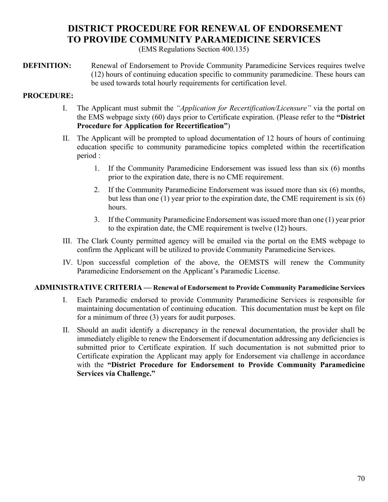## **[DISTRICT PROCEDURE FOR RENEWAL OF ENDORSEMENT](#page-69-0) [TO PROVIDE COMMUNITY PARAMEDICINE SERVICES](#page-69-0)**

(EMS Regulations Section 400.135)

<span id="page-69-0"></span>**DEFINITION:** Renewal of Endorsement to Provide Community Paramedicine Services requires twelve (12) hours of continuing education specific to community paramedicine. These hours can be used towards total hourly requirements for certification level.

## **PROCEDURE:**

- I. The Applicant must submit the *"Application for Recertification/Licensure"* via the portal on the EMS webpage sixty (60) days prior to Certificate expiration. (Please refer to the **"District Procedure for Application for Recertification"**)
- II. The Applicant will be prompted to upload documentation of 12 hours of hours of continuing education specific to community paramedicine topics completed within the recertification period :
	- 1. If the Community Paramedicine Endorsement was issued less than six (6) months prior to the expiration date, there is no CME requirement.
	- 2. If the Community Paramedicine Endorsement was issued more than six (6) months, but less than one (1) year prior to the expiration date, the CME requirement is six (6) hours.
	- 3. If the Community Paramedicine Endorsement was issued more than one (1) year prior to the expiration date, the CME requirement is twelve (12) hours.
- III. The Clark County permitted agency will be emailed via the portal on the EMS webpage to confirm the Applicant will be utilized to provide Community Paramedicine Services.
- IV. Upon successful completion of the above, the OEMSTS will renew the Community Paramedicine Endorsement on the Applicant's Paramedic License.

## **ADMINISTRATIVE CRITERIA — Renewal of Endorsement to Provide Community Paramedicine Services**

- I. Each Paramedic endorsed to provide Community Paramedicine Services is responsible for maintaining documentation of continuing education. This documentation must be kept on file for a minimum of three (3) years for audit purposes.
- II. Should an audit identify a discrepancy in the renewal documentation, the provider shall be immediately eligible to renew the Endorsement if documentation addressing any deficiencies is submitted prior to Certificate expiration. If such documentation is not submitted prior to Certificate expiration the Applicant may apply for Endorsement via challenge in accordance with the **"District Procedure for Endorsement to Provide Community Paramedicine Services via Challenge."**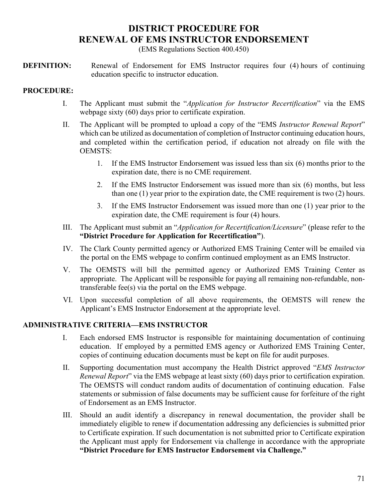## **[DISTRICT PROCEDURE FOR](#page-70-0) [RENEWAL OF EMS INSTRUCTOR ENDORSEMENT](#page-70-0)**

(EMS Regulations Section 400.450)

<span id="page-70-0"></span>**DEFINITION:** Renewal of Endorsement for EMS Instructor requires four (4) hours of continuing education specific to instructor education.

## **PROCEDURE:**

- I. The Applicant must submit the "*Application for Instructor Recertification*" via the EMS webpage sixty (60) days prior to certificate expiration.
- II. The Applicant will be prompted to upload a copy of the "EMS *Instructor Renewal Report*" which can be utilized as documentation of completion of Instructor continuing education hours, and completed within the certification period, if education not already on file with the OEMSTS:
	- 1. If the EMS Instructor Endorsement was issued less than six (6) months prior to the expiration date, there is no CME requirement.
	- 2. If the EMS Instructor Endorsement was issued more than six (6) months, but less than one (1) year prior to the expiration date, the CME requirement is two (2) hours.
	- 3. If the EMS Instructor Endorsement was issued more than one (1) year prior to the expiration date, the CME requirement is four (4) hours.
- III. The Applicant must submit an "*Application for Recertification/Licensure*" (please refer to the **"District Procedure for Application for Recertification"**).
- IV. The Clark County permitted agency or Authorized EMS Training Center will be emailed via the portal on the EMS webpage to confirm continued employment as an EMS Instructor.
- V. The OEMSTS will bill the permitted agency or Authorized EMS Training Center as appropriate. The Applicant will be responsible for paying all remaining non-refundable, nontransferable fee(s) via the portal on the EMS webpage.
- VI. Upon successful completion of all above requirements, the OEMSTS will renew the Applicant's EMS Instructor Endorsement at the appropriate level.

## **ADMINISTRATIVE CRITERIA—EMS INSTRUCTOR**

- I. Each endorsed EMS Instructor is responsible for maintaining documentation of continuing education. If employed by a permitted EMS agency or Authorized EMS Training Center, copies of continuing education documents must be kept on file for audit purposes.
- II. Supporting documentation must accompany the Health District approved "*EMS Instructor Renewal Report*" via the EMS webpage at least sixty (60) days prior to certification expiration. The OEMSTS will conduct random audits of documentation of continuing education. False statements or submission of false documents may be sufficient cause for forfeiture of the right of Endorsement as an EMS Instructor.
- III. Should an audit identify a discrepancy in renewal documentation, the provider shall be immediately eligible to renew if documentation addressing any deficiencies is submitted prior to Certificate expiration. If such documentation is not submitted prior to Certificate expiration the Applicant must apply for Endorsement via challenge in accordance with the appropriate **"District Procedure for EMS Instructor Endorsement via Challenge."**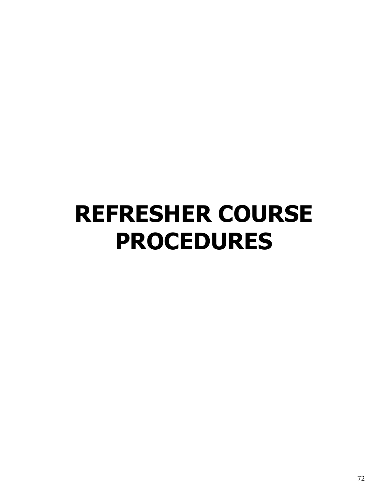## <span id="page-71-0"></span>**[REFRESHER COURSE](#page-71-0) [PROCEDURES](#page-71-0)**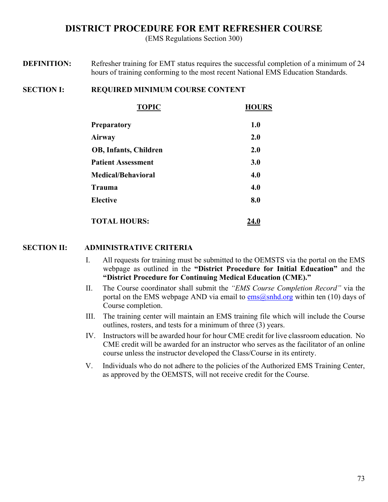## **[DISTRICT PROCEDURE FOR EMT REFRESHER COURSE](#page-72-0)**

(EMS Regulations Section 300)

<span id="page-72-0"></span>**DEFINITION:** Refresher training for EMT status requires the successful completion of a minimum of 24 hours of training conforming to the most recent National EMS Education Standards.

#### **SECTION I: REQUIRED MINIMUM COURSE CONTENT**

| <b>TOPIC</b>                 | <b>HOURS</b> |
|------------------------------|--------------|
| Preparatory                  | 1.0          |
| Airway                       | 2.0          |
| <b>OB, Infants, Children</b> | 2.0          |
| <b>Patient Assessment</b>    | 3.0          |
| Medical/Behavioral           | 4.0          |
| Trauma                       | 4.0          |
| <b>Elective</b>              | 8.0          |
| <b>TOTAL HOURS:</b>          | 24.0         |

- I. All requests for training must be submitted to the OEMSTS via the portal on the EMS webpage as outlined in the **"District Procedure for Initial Education"** and the **"District Procedure for Continuing Medical Education (CME)."**
- II. The Course coordinator shall submit the *"EMS Course Completion Record"* via the portal on the EMS webpage AND via email to  $\frac{ems(2) \text{snhd.org}}{ems(2)}$  within ten (10) days of Course completion.
- III. The training center will maintain an EMS training file which will include the Course outlines, rosters, and tests for a minimum of three (3) years.
- IV. Instructors will be awarded hour for hour CME credit for live classroom education. No CME credit will be awarded for an instructor who serves as the facilitator of an online course unless the instructor developed the Class/Course in its entirety.
- V. Individuals who do not adhere to the policies of the Authorized EMS Training Center, as approved by the OEMSTS, will not receive credit for the Course.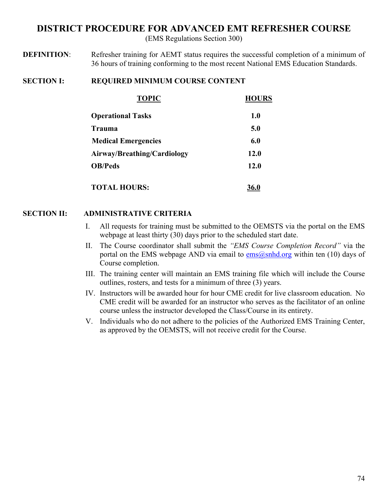## <span id="page-73-0"></span>**[DISTRICT PROCEDURE FOR ADVANCED EMT REFRESHER COURSE](#page-73-0)**

(EMS Regulations Section 300)

**DEFINITION:** Refresher training for AEMT status requires the successful completion of a minimum of 36 hours of training conforming to the most recent National EMS Education Standards.

### **SECTION I: REQUIRED MINIMUM COURSE CONTENT**

| <b>TOPIC</b>                | <b>HOURS</b> |
|-----------------------------|--------------|
| <b>Operational Tasks</b>    | 1.0          |
| Trauma                      | 5.0          |
| <b>Medical Emergencies</b>  | 6.0          |
| Airway/Breathing/Cardiology | 12.0         |
| <b>OB/Peds</b>              | 12.0         |
| <b>TOTAL HOURS:</b>         | 36.0         |

- I. All requests for training must be submitted to the OEMSTS via the portal on the EMS webpage at least thirty (30) days prior to the scheduled start date.
- II. The Course coordinator shall submit the *"EMS Course Completion Record"* via the portal on the EMS webpage AND via email to  $\frac{ems(\theta) \text{snhd.org}}{ems(\theta) \text{snhd.org}}$  within ten (10) days of Course completion.
- III. The training center will maintain an EMS training file which will include the Course outlines, rosters, and tests for a minimum of three (3) years.
- IV. Instructors will be awarded hour for hour CME credit for live classroom education. No CME credit will be awarded for an instructor who serves as the facilitator of an online course unless the instructor developed the Class/Course in its entirety.
- V. Individuals who do not adhere to the policies of the Authorized EMS Training Center, as approved by the OEMSTS, will not receive credit for the Course.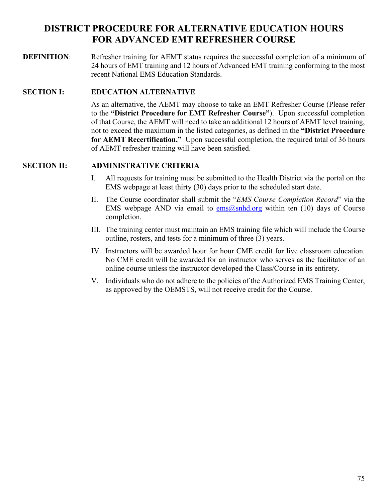## <span id="page-74-0"></span>**[DISTRICT PROCEDURE FOR ALTERNATIVE EDUCATION HOURS](#page-74-0)  [FOR ADVANCED EMT REFRESHER COURSE](#page-74-0)**

**DEFINITION:** Refresher training for AEMT status requires the successful completion of a minimum of 24 hours of EMT training and 12 hours of Advanced EMT training conforming to the most recent National EMS Education Standards.

## **SECTION I: EDUCATION ALTERNATIVE**

As an alternative, the AEMT may choose to take an EMT Refresher Course (Please refer to the **"District Procedure for EMT Refresher Course"**). Upon successful completion of that Course, the AEMT will need to take an additional 12 hours of AEMT level training, not to exceed the maximum in the listed categories, as defined in the **"District Procedure for AEMT Recertification."** Upon successful completion, the required total of 36 hours of AEMT refresher training will have been satisfied.

- I. All requests for training must be submitted to the Health District via the portal on the EMS webpage at least thirty (30) days prior to the scheduled start date.
- II. The Course coordinator shall submit the "*EMS Course Completion Record*" via the EMS webpage AND via email to  $\cos(\omega)$ snhd.org within ten (10) days of Course completion.
- III. The training center must maintain an EMS training file which will include the Course outline, rosters, and tests for a minimum of three (3) years.
- IV. Instructors will be awarded hour for hour CME credit for live classroom education. No CME credit will be awarded for an instructor who serves as the facilitator of an online course unless the instructor developed the Class/Course in its entirety.
- V. Individuals who do not adhere to the policies of the Authorized EMS Training Center, as approved by the OEMSTS, will not receive credit for the Course.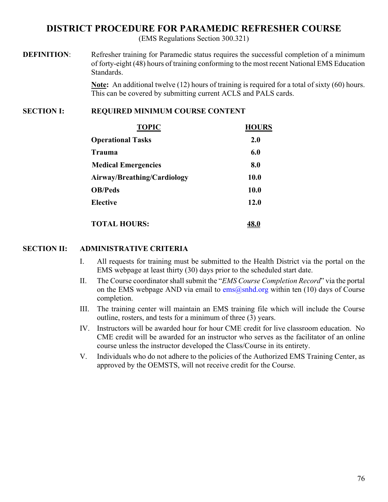## <span id="page-75-0"></span>**[DISTRICT PROCEDURE FOR PARAMEDIC REFRESHER COURSE](#page-75-0)**

(EMS Regulations Section 300.321)

**DEFINITION:** Refresher training for Paramedic status requires the successful completion of a minimum of forty-eight (48) hours of training conforming to the most recent National EMS Education Standards.

> **Note:** An additional twelve (12) hours of training is required for a total of sixty (60) hours. This can be covered by submitting current ACLS and PALS cards.

### **SECTION I: REQUIRED MINIMUM COURSE CONTENT**

| <b>TOPIC</b>                | <b>HOURS</b> |
|-----------------------------|--------------|
| <b>Operational Tasks</b>    | 2.0          |
| Trauma                      | 6.0          |
| <b>Medical Emergencies</b>  | 8.0          |
| Airway/Breathing/Cardiology | 10.0         |
| <b>OB/Peds</b>              | 10.0         |
| <b>Elective</b>             | 12.0         |
| <b>TOTAL HOURS:</b>         |              |

- I. All requests for training must be submitted to the Health District via the portal on the EMS webpage at least thirty (30) days prior to the scheduled start date.
- II. The Course coordinator shall submit the "*EMS Course Completion Record*" via the portal on the EMS webpage AND via email to  $\frac{ems(}Q\text{snhd.org}$  within ten (10) days of Course completion.
- III. The training center will maintain an EMS training file which will include the Course outline, rosters, and tests for a minimum of three (3) years.
- IV. Instructors will be awarded hour for hour CME credit for live classroom education. No CME credit will be awarded for an instructor who serves as the facilitator of an online course unless the instructor developed the Class/Course in its entirety.
- V. Individuals who do not adhere to the policies of the Authorized EMS Training Center, as approved by the OEMSTS, will not receive credit for the Course.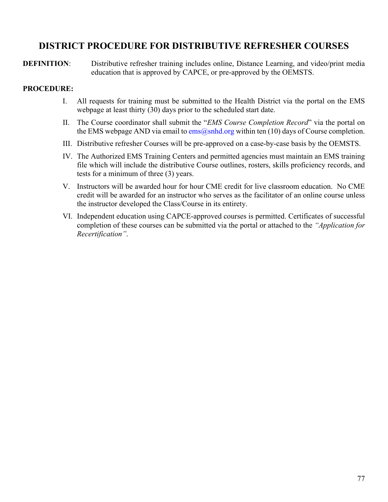## <span id="page-76-0"></span>**[DISTRICT PROCEDURE FOR DISTRIBUTIVE REFRESHER COURSES](#page-76-0)**

**DEFINITION:** Distributive refresher training includes online, Distance Learning, and video/print media education that is approved by CAPCE, or pre-approved by the OEMSTS.

### **PROCEDURE:**

- I. All requests for training must be submitted to the Health District via the portal on the EMS webpage at least thirty (30) days prior to the scheduled start date.
- II. The Course coordinator shall submit the "*EMS Course Completion Record*" via the portal on the EMS webpage AND via email to  $\cos(\omega)$ snhd.org within ten (10) days of Course completion.
- III. Distributive refresher Courses will be pre-approved on a case-by-case basis by the OEMSTS.
- IV. The Authorized EMS Training Centers and permitted agencies must maintain an EMS training file which will include the distributive Course outlines, rosters, skills proficiency records, and tests for a minimum of three (3) years.
- V. Instructors will be awarded hour for hour CME credit for live classroom education. No CME credit will be awarded for an instructor who serves as the facilitator of an online course unless the instructor developed the Class/Course in its entirety.
- VI. Independent education using CAPCE-approved courses is permitted. Certificates of successful completion of these courses can be submitted via the portal or attached to the *"Application for Recertification"*.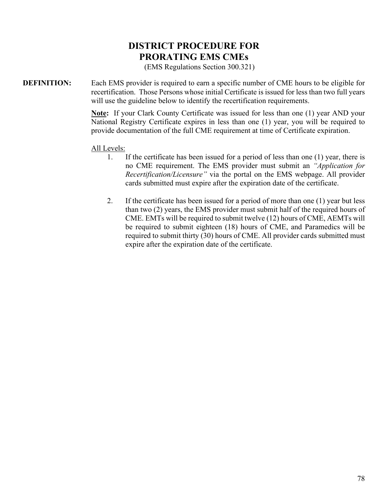## **[DISTRICT PROCEDURE FOR](#page-77-0) [PRORATING EMS CMEs](#page-77-0)**

(EMS Regulations Section 300.321)

<span id="page-77-0"></span>**DEFINITION:** Each EMS provider is required to earn a specific number of CME hours to be eligible for recertification. Those Persons whose initial Certificate is issued for less than two full years will use the guideline below to identify the recertification requirements.

> **Note:** If your Clark County Certificate was issued for less than one (1) year AND your National Registry Certificate expires in less than one (1) year, you will be required to provide documentation of the full CME requirement at time of Certificate expiration.

All Levels:

- 1. If the certificate has been issued for a period of less than one (1) year, there is no CME requirement. The EMS provider must submit an *"Application for Recertification/Licensure"* via the portal on the EMS webpage. All provider cards submitted must expire after the expiration date of the certificate.
- 2. If the certificate has been issued for a period of more than one (1) year but less than two (2) years, the EMS provider must submit half of the required hours of CME. EMTs will be required to submit twelve (12) hours of CME, AEMTs will be required to submit eighteen (18) hours of CME, and Paramedics will be required to submit thirty (30) hours of CME. All provider cards submitted must expire after the expiration date of the certificate.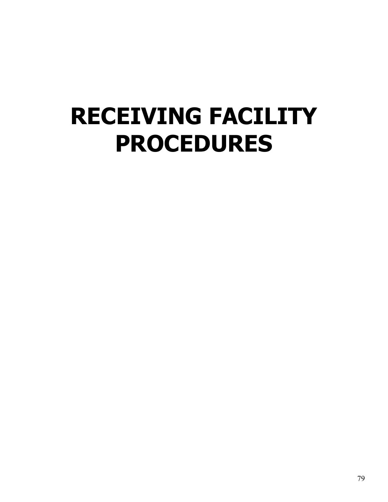# <span id="page-78-0"></span>**[RECEIVING FACILITY](#page-78-0)  [PROCEDURES](#page-78-0)**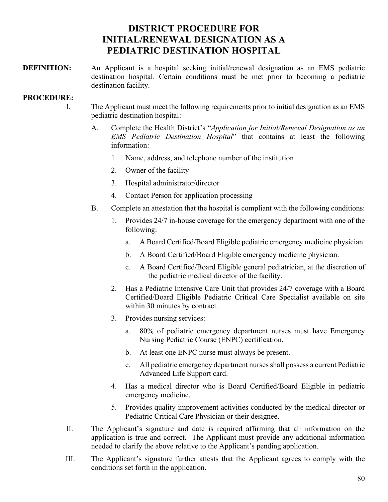## **[DISTRICT PROCEDURE FOR](#page-79-0) [INITIAL/RENEWAL DESIGNATION AS A](#page-79-0) [PEDIATRIC DESTINATION HOSPITAL](#page-79-0)**

<span id="page-79-0"></span>**DEFINITION:** An Applicant is a hospital seeking initial/renewal designation as an EMS pediatric destination hospital. Certain conditions must be met prior to becoming a pediatric destination facility.

### **PROCEDURE:**

- I. The Applicant must meet the following requirements prior to initial designation as an EMS pediatric destination hospital:
	- A. Complete the Health District's "*Application for Initial/Renewal Designation as an EMS Pediatric Destination Hospital*" that contains at least the following information:
		- 1. Name, address, and telephone number of the institution
		- 2. Owner of the facility
		- 3. Hospital administrator/director
		- 4. Contact Person for application processing
	- B. Complete an attestation that the hospital is compliant with the following conditions:
		- 1. Provides 24/7 in-house coverage for the emergency department with one of the following:
			- a. A Board Certified/Board Eligible pediatric emergency medicine physician.
			- b. A Board Certified/Board Eligible emergency medicine physician.
			- c. A Board Certified/Board Eligible general pediatrician, at the discretion of the pediatric medical director of the facility.
		- 2. Has a Pediatric Intensive Care Unit that provides 24/7 coverage with a Board Certified/Board Eligible Pediatric Critical Care Specialist available on site within 30 minutes by contract.
		- 3. Provides nursing services:
			- a. 80% of pediatric emergency department nurses must have Emergency Nursing Pediatric Course (ENPC) certification.
			- b. At least one ENPC nurse must always be present.
			- c. All pediatric emergency department nurses shall possess a current Pediatric Advanced Life Support card.
		- 4. Has a medical director who is Board Certified/Board Eligible in pediatric emergency medicine.
		- 5. Provides quality improvement activities conducted by the medical director or Pediatric Critical Care Physician or their designee.
- II. The Applicant's signature and date is required affirming that all information on the application is true and correct. The Applicant must provide any additional information needed to clarify the above relative to the Applicant's pending application.
- III. The Applicant's signature further attests that the Applicant agrees to comply with the conditions set forth in the application.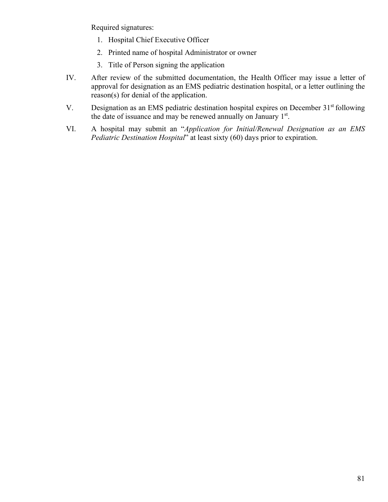Required signatures:

- 1. Hospital Chief Executive Officer
- 2. Printed name of hospital Administrator or owner
- 3. Title of Person signing the application
- IV. After review of the submitted documentation, the Health Officer may issue a letter of approval for designation as an EMS pediatric destination hospital, or a letter outlining the reason(s) for denial of the application.
- V. Designation as an EMS pediatric destination hospital expires on December  $31<sup>st</sup>$  following the date of issuance and may be renewed annually on January  $1<sup>st</sup>$ .
- VI. A hospital may submit an "*Application for Initial/Renewal Designation as an EMS Pediatric Destination Hospital*" at least sixty (60) days prior to expiration.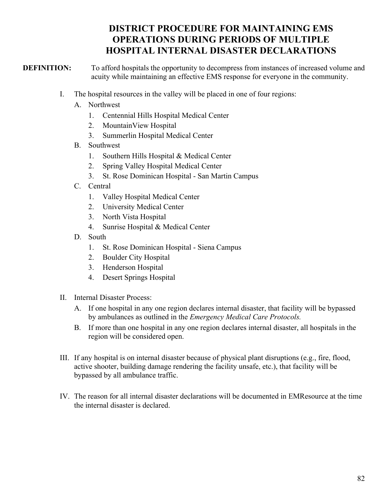## **[DISTRICT PROCEDURE FOR MAINTAINING EMS](#page-81-0)  [OPERATIONS DURING PERIODS OF MULTIPLE](#page-81-0)  [HOSPITAL INTERNAL DISASTER DECLARATIONS](#page-81-0)**

<span id="page-81-0"></span>**DEFINITION:** To afford hospitals the opportunity to decompress from instances of increased volume and acuity while maintaining an effective EMS response for everyone in the community.

- I. The hospital resources in the valley will be placed in one of four regions:
	- A. Northwest
		- 1. Centennial Hills Hospital Medical Center
		- 2. MountainView Hospital
		- 3. Summerlin Hospital Medical Center
	- B. Southwest
		- 1. Southern Hills Hospital & Medical Center
		- 2. Spring Valley Hospital Medical Center
		- 3. St. Rose Dominican Hospital San Martin Campus
	- C. Central
		- 1. Valley Hospital Medical Center
		- 2. University Medical Center
		- 3. North Vista Hospital
		- 4. Sunrise Hospital & Medical Center
	- D. South
		- 1. St. Rose Dominican Hospital Siena Campus
		- 2. Boulder City Hospital
		- 3. Henderson Hospital
		- 4. Desert Springs Hospital
- II. Internal Disaster Process:
	- A. If one hospital in any one region declares internal disaster, that facility will be bypassed by ambulances as outlined in the *Emergency Medical Care Protocols.*
	- B. If more than one hospital in any one region declares internal disaster, all hospitals in the region will be considered open.
- III. If any hospital is on internal disaster because of physical plant disruptions (e.g., fire, flood, active shooter, building damage rendering the facility unsafe, etc.), that facility will be bypassed by all ambulance traffic.
- IV. The reason for all internal disaster declarations will be documented in EMResource at the time the internal disaster is declared.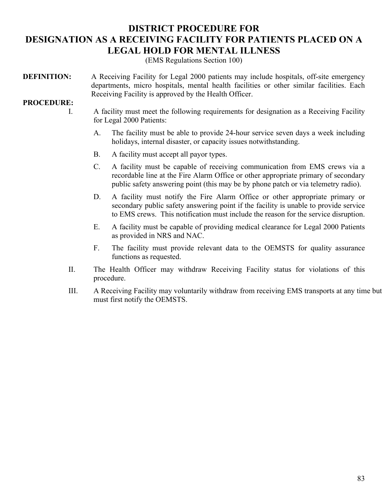## <span id="page-82-0"></span>**[DISTRICT PROCEDURE FOR](#page-82-0) [DESIGNATION AS A RECEIVING FACILITY FOR PATIENTS PLACED ON A](#page-82-0)  [LEGAL HOLD FOR MENTAL ILLNESS](#page-82-0)**

(EMS Regulations Section 100)

**DEFINITION:** A Receiving Facility for Legal 2000 patients may include hospitals, off-site emergency departments, micro hospitals, mental health facilities or other similar facilities. Each Receiving Facility is approved by the Health Officer.

#### **PROCEDURE:**

- I. A facility must meet the following requirements for designation as a Receiving Facility for Legal 2000 Patients:
	- A. The facility must be able to provide 24-hour service seven days a week including holidays, internal disaster, or capacity issues notwithstanding.
	- B. A facility must accept all payor types.
	- C. A facility must be capable of receiving communication from EMS crews via a recordable line at the Fire Alarm Office or other appropriate primary of secondary public safety answering point (this may be by phone patch or via telemetry radio).
	- D. A facility must notify the Fire Alarm Office or other appropriate primary or secondary public safety answering point if the facility is unable to provide service to EMS crews. This notification must include the reason for the service disruption.
	- E. A facility must be capable of providing medical clearance for Legal 2000 Patients as provided in NRS and NAC.
	- F. The facility must provide relevant data to the OEMSTS for quality assurance functions as requested.
- II. The Health Officer may withdraw Receiving Facility status for violations of this procedure.
- III. A Receiving Facility may voluntarily withdraw from receiving EMS transports at any time but must first notify the OEMSTS.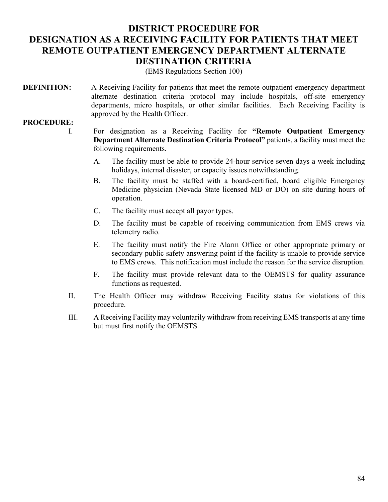## <span id="page-83-0"></span>**[DISTRICT PROCEDURE FOR](#page-83-0) [DESIGNATION AS A RECEIVING FACILITY FOR PATIENTS THAT MEET](#page-83-0)  [REMOTE OUTPATIENT EMERGENCY DEPARTMENT ALTERNATE](#page-83-0)  [DESTINATION CRITERIA](#page-83-0)**

(EMS Regulations Section 100)

**DEFINITION:** A Receiving Facility for patients that meet the remote outpatient emergency department alternate destination criteria protocol may include hospitals, off-site emergency departments, micro hospitals, or other similar facilities. Each Receiving Facility is approved by the Health Officer.

### **PROCEDURE:**

I. For designation as a Receiving Facility for **"Remote Outpatient Emergency Department Alternate Destination Criteria Protocol"** patients, a facility must meet the following requirements.

- A. The facility must be able to provide 24-hour service seven days a week including holidays, internal disaster, or capacity issues notwithstanding.
- B. The facility must be staffed with a board-certified, board eligible Emergency Medicine physician (Nevada State licensed MD or DO) on site during hours of operation.
- C. The facility must accept all payor types.
- D. The facility must be capable of receiving communication from EMS crews via telemetry radio.
- E. The facility must notify the Fire Alarm Office or other appropriate primary or secondary public safety answering point if the facility is unable to provide service to EMS crews. This notification must include the reason for the service disruption.
- F. The facility must provide relevant data to the OEMSTS for quality assurance functions as requested.
- II. The Health Officer may withdraw Receiving Facility status for violations of this procedure.
- III. A Receiving Facility may voluntarily withdraw from receiving EMS transports at any time but must first notify the OEMSTS.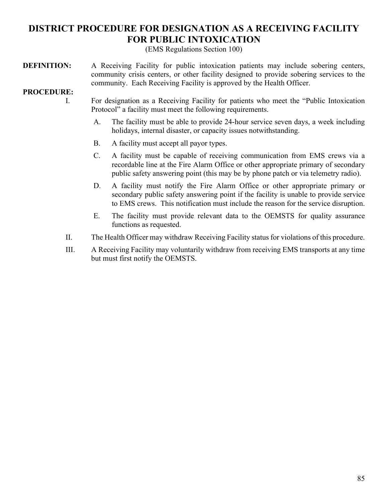# <span id="page-84-0"></span>**[DISTRICT PROCEDURE FOR DESIGNATION AS A RECEIVING FACILITY](#page-84-0)  [FOR PUBLIC INTOXICATION](#page-84-0)**

(EMS Regulations Section 100)

**DEFINITION:** A Receiving Facility for public intoxication patients may include sobering centers, community crisis centers, or other facility designed to provide sobering services to the community. Each Receiving Facility is approved by the Health Officer.

### **PROCEDURE:**

- I. For designation as a Receiving Facility for patients who meet the "Public Intoxication Protocol" a facility must meet the following requirements.
	- A. The facility must be able to provide 24-hour service seven days, a week including holidays, internal disaster, or capacity issues notwithstanding.
	- B. A facility must accept all payor types.
	- C. A facility must be capable of receiving communication from EMS crews via a recordable line at the Fire Alarm Office or other appropriate primary of secondary public safety answering point (this may be by phone patch or via telemetry radio).
	- D. A facility must notify the Fire Alarm Office or other appropriate primary or secondary public safety answering point if the facility is unable to provide service to EMS crews. This notification must include the reason for the service disruption.
	- E. The facility must provide relevant data to the OEMSTS for quality assurance functions as requested.
- II. The Health Officer may withdraw Receiving Facility status for violations of this procedure.
- III. A Receiving Facility may voluntarily withdraw from receiving EMS transports at any time but must first notify the OEMSTS.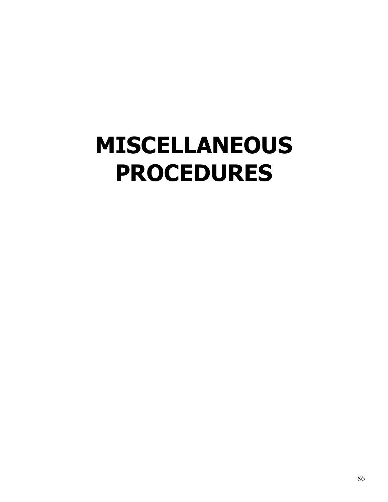# <span id="page-85-0"></span>**[MISCELLANEOUS](#page-85-0) [PROCEDURES](#page-85-0)**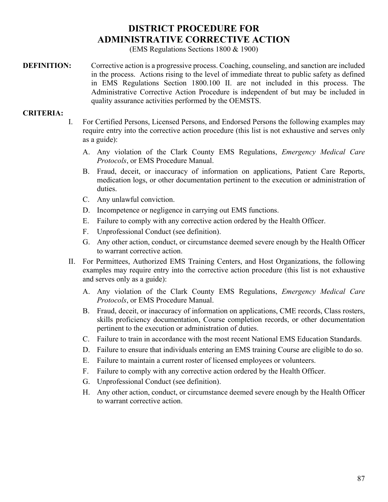# **[DISTRICT PROCEDURE FOR](#page-86-0) [ADMINISTRATIVE CORRECTIVE ACTION](#page-86-0)**

(EMS Regulations Sections 1800 & 1900)

<span id="page-86-0"></span>**DEFINITION:** Corrective action is a progressive process. Coaching, counseling, and sanction are included in the process. Actions rising to the level of immediate threat to public safety as defined in EMS Regulations Section 1800.100 II. are not included in this process. The Administrative Corrective Action Procedure is independent of but may be included in quality assurance activities performed by the OEMSTS.

#### **CRITERIA:**

- I. For Certified Persons, Licensed Persons, and Endorsed Persons the following examples may require entry into the corrective action procedure (this list is not exhaustive and serves only as a guide):
	- A. Any violation of the Clark County EMS Regulations, *Emergency Medical Care Protocols*, or EMS Procedure Manual.
	- B. Fraud, deceit, or inaccuracy of information on applications, Patient Care Reports, medication logs, or other documentation pertinent to the execution or administration of duties.
	- C. Any unlawful conviction.
	- D. Incompetence or negligence in carrying out EMS functions.
	- E. Failure to comply with any corrective action ordered by the Health Officer.
	- F. Unprofessional Conduct (see definition).
	- G. Any other action, conduct, or circumstance deemed severe enough by the Health Officer to warrant corrective action.
- II. For Permittees, Authorized EMS Training Centers, and Host Organizations, the following examples may require entry into the corrective action procedure (this list is not exhaustive and serves only as a guide):
	- A. Any violation of the Clark County EMS Regulations, *Emergency Medical Care Protocols*, or EMS Procedure Manual.
	- B. Fraud, deceit, or inaccuracy of information on applications, CME records, Class rosters, skills proficiency documentation, Course completion records, or other documentation pertinent to the execution or administration of duties.
	- C. Failure to train in accordance with the most recent National EMS Education Standards.
	- D. Failure to ensure that individuals entering an EMS training Course are eligible to do so.
	- E. Failure to maintain a current roster of licensed employees or volunteers.
	- F. Failure to comply with any corrective action ordered by the Health Officer.
	- G. Unprofessional Conduct (see definition).
	- H. Any other action, conduct, or circumstance deemed severe enough by the Health Officer to warrant corrective action.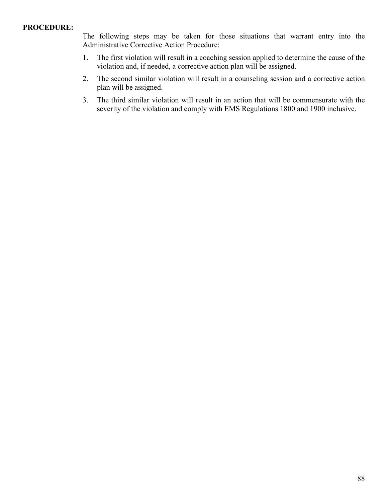#### **PROCEDURE:**

The following steps may be taken for those situations that warrant entry into the Administrative Corrective Action Procedure:

- 1. The first violation will result in a coaching session applied to determine the cause of the violation and, if needed, a corrective action plan will be assigned.
- 2. The second similar violation will result in a counseling session and a corrective action plan will be assigned.
- 3. The third similar violation will result in an action that will be commensurate with the severity of the violation and comply with EMS Regulations 1800 and 1900 inclusive.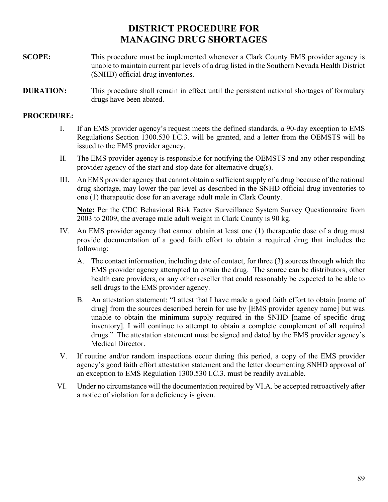## **[DISTRICT PROCEDURE FOR](#page-88-0) [MANAGING DRUG SHORTAGES](#page-88-0)**

- <span id="page-88-0"></span>**SCOPE:** This procedure must be implemented whenever a Clark County EMS provider agency is unable to maintain current par levels of a drug listed in the Southern Nevada Health District (SNHD) official drug inventories.
- **DURATION:** This procedure shall remain in effect until the persistent national shortages of formulary drugs have been abated.

## **PROCEDURE:**

- I. If an EMS provider agency's request meets the defined standards, a 90-day exception to EMS Regulations Section 1300.530 I.C.3. will be granted, and a letter from the OEMSTS will be issued to the EMS provider agency.
- II. The EMS provider agency is responsible for notifying the OEMSTS and any other responding provider agency of the start and stop date for alternative drug(s).
- III. An EMS provider agency that cannot obtain a sufficient supply of a drug because of the national drug shortage, may lower the par level as described in the SNHD official drug inventories to one (1) therapeutic dose for an average adult male in Clark County.

**Note:** Per the CDC Behavioral Risk Factor Surveillance System Survey Questionnaire from 2003 to 2009, the average male adult weight in Clark County is 90 kg.

- IV. An EMS provider agency that cannot obtain at least one (1) therapeutic dose of a drug must provide documentation of a good faith effort to obtain a required drug that includes the following:
	- A. The contact information, including date of contact, for three (3) sources through which the EMS provider agency attempted to obtain the drug. The source can be distributors, other health care providers, or any other reseller that could reasonably be expected to be able to sell drugs to the EMS provider agency.
	- B. An attestation statement: "I attest that I have made a good faith effort to obtain [name of drug] from the sources described herein for use by [EMS provider agency name] but was unable to obtain the minimum supply required in the SNHD [name of specific drug inventory]. I will continue to attempt to obtain a complete complement of all required drugs." The attestation statement must be signed and dated by the EMS provider agency's Medical Director.
- V. If routine and/or random inspections occur during this period, a copy of the EMS provider agency's good faith effort attestation statement and the letter documenting SNHD approval of an exception to EMS Regulation 1300.530 I.C.3. must be readily available.
- <span id="page-88-1"></span>VI. Under no circumstance will the documentation required by VI.A. be accepted retroactively after a notice of violation for a deficiency is given.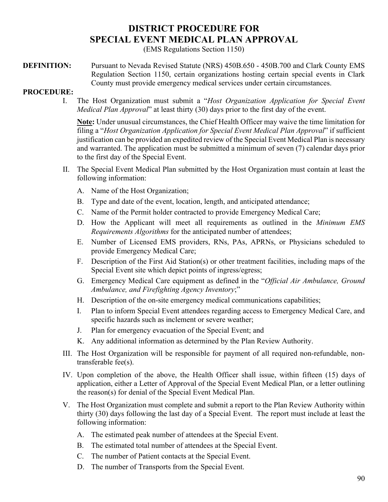# **[DISTRICT PROCEDURE FOR](#page-88-1) [SPECIAL EVENT MEDICAL PLAN APPROVAL](#page-88-1)**

(EMS Regulations Section 1150)

**DEFINITION:** Pursuant to Nevada Revised Statute (NRS) 450B.650 - 450B.700 and Clark County EMS Regulation Section 1150, certain organizations hosting certain special events in Clark County must provide emergency medical services under certain circumstances.

#### **PROCEDURE:**

I. The Host Organization must submit a "*Host Organization Application for Special Event Medical Plan Approval*" at least thirty (30) days prior to the first day of the event.

**Note:** Under unusual circumstances, the Chief Health Officer may waive the time limitation for filing a "*Host Organization Application for Special Event Medical Plan Approval*" if sufficient justification can be provided an expedited review of the Special Event Medical Plan is necessary and warranted. The application must be submitted a minimum of seven (7) calendar days prior to the first day of the Special Event.

- II. The Special Event Medical Plan submitted by the Host Organization must contain at least the following information:
	- A. Name of the Host Organization;
	- B. Type and date of the event, location, length, and anticipated attendance;
	- C. Name of the Permit holder contracted to provide Emergency Medical Care;
	- D. How the Applicant will meet all requirements as outlined in the *Minimum EMS Requirements Algorithms* for the anticipated number of attendees;
	- E. Number of Licensed EMS providers, RNs, PAs, APRNs, or Physicians scheduled to provide Emergency Medical Care;
	- F. Description of the First Aid Station(s) or other treatment facilities, including maps of the Special Event site which depict points of ingress/egress;
	- G. Emergency Medical Care equipment as defined in the "*Official Air Ambulance, Ground Ambulance, and Firefighting Agency Inventory*;"
	- H. Description of the on-site emergency medical communications capabilities;
	- I. Plan to inform Special Event attendees regarding access to Emergency Medical Care, and specific hazards such as inclement or severe weather;
	- J. Plan for emergency evacuation of the Special Event; and
	- K. Any additional information as determined by the Plan Review Authority.
- III. The Host Organization will be responsible for payment of all required non-refundable, nontransferable fee(s).
- IV. Upon completion of the above, the Health Officer shall issue, within fifteen (15) days of application, either a Letter of Approval of the Special Event Medical Plan, or a letter outlining the reason(s) for denial of the Special Event Medical Plan.
- V. The Host Organization must complete and submit a report to the Plan Review Authority within thirty (30) days following the last day of a Special Event. The report must include at least the following information:
	- A. The estimated peak number of attendees at the Special Event.
	- B. The estimated total number of attendees at the Special Event.
	- C. The number of Patient contacts at the Special Event.
	- D. The number of Transports from the Special Event.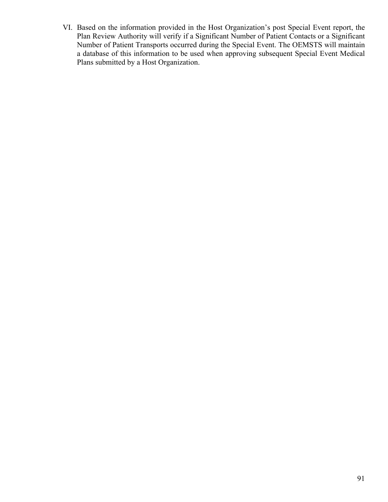VI. Based on the information provided in the Host Organization's post Special Event report, the Plan Review Authority will verify if a Significant Number of Patient Contacts or a Significant Number of Patient Transports occurred during the Special Event. The OEMSTS will maintain a database of this information to be used when approving subsequent Special Event Medical Plans submitted by a Host Organization.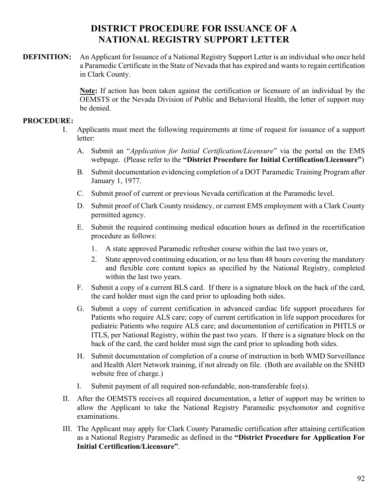## **[DISTRICT PROCEDURE FOR ISSUANCE OF A](#page-91-0)  [NATIONAL REGISTRY SUPPORT LETTER](#page-91-0)**

<span id="page-91-0"></span>**DEFINITION:** An Applicant for Issuance of a National Registry Support Letter is an individual who once held a Paramedic Certificate in the State of Nevada that has expired and wants to regain certification in Clark County.

> **Note:** If action has been taken against the certification or licensure of an individual by the OEMSTS or the Nevada Division of Public and Behavioral Health, the letter of support may be denied.

### **PROCEDURE:**

- I. Applicants must meet the following requirements at time of request for issuance of a support letter:
	- A. Submit an "*Application for Initial Certification/Licensure*" via the portal on the EMS webpage. (Please refer to the **"District Procedure for Initial Certification/Licensure"**)
	- B. Submit documentation evidencing completion of a DOT Paramedic Training Program after January 1, 1977.
	- C. Submit proof of current or previous Nevada certification at the Paramedic level.
	- D. Submit proof of Clark County residency, or current EMS employment with a Clark County permitted agency.
	- E. Submit the required continuing medical education hours as defined in the recertification procedure as follows:
		- 1. A state approved Paramedic refresher course within the last two years or,
		- 2. State approved continuing education, or no less than 48 hours covering the mandatory and flexible core content topics as specified by the National Registry, completed within the last two years.
	- F. Submit a copy of a current BLS card. If there is a signature block on the back of the card, the card holder must sign the card prior to uploading both sides.
	- G. Submit a copy of current certification in advanced cardiac life support procedures for Patients who require ALS care; copy of current certification in life support procedures for pediatric Patients who require ALS care; and documentation of certification in PHTLS or ITLS, per National Registry, within the past two years. If there is a signature block on the back of the card, the card holder must sign the card prior to uploading both sides.
	- H. Submit documentation of completion of a course of instruction in both WMD Surveillance and Health Alert Network training, if not already on file. (Both are available on the SNHD website free of charge.)
	- I. Submit payment of all required non-refundable, non-transferable fee(s).
- II. After the OEMSTS receives all required documentation, a letter of support may be written to allow the Applicant to take the National Registry Paramedic psychomotor and cognitive examinations.
- III. The Applicant may apply for Clark County Paramedic certification after attaining certification as a National Registry Paramedic as defined in the **"District Procedure for Application For Initial Certification/Licensure"**.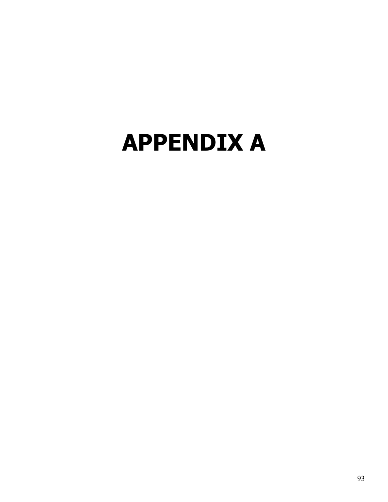# <span id="page-92-1"></span><span id="page-92-0"></span>**[APPENDIX A](#page-92-0)**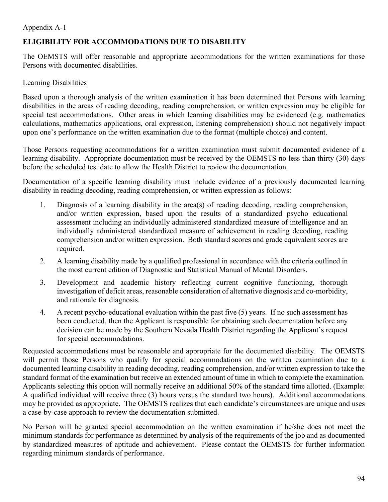## Appendix A-1

## **[ELIGIBILITY FOR ACCOMMODATIONS DUE TO DISABILITY](#page-92-1)**

The OEMSTS will offer reasonable and appropriate accommodations for the written examinations for those Persons with documented disabilities.

### Learning Disabilities

Based upon a thorough analysis of the written examination it has been determined that Persons with learning disabilities in the areas of reading decoding, reading comprehension, or written expression may be eligible for special test accommodations. Other areas in which learning disabilities may be evidenced (e.g. mathematics calculations, mathematics applications, oral expression, listening comprehension) should not negatively impact upon one's performance on the written examination due to the format (multiple choice) and content.

Those Persons requesting accommodations for a written examination must submit documented evidence of a learning disability. Appropriate documentation must be received by the OEMSTS no less than thirty (30) days before the scheduled test date to allow the Health District to review the documentation.

Documentation of a specific learning disability must include evidence of a previously documented learning disability in reading decoding, reading comprehension, or written expression as follows:

- 1. Diagnosis of a learning disability in the area(s) of reading decoding, reading comprehension, and/or written expression, based upon the results of a standardized psycho educational assessment including an individually administered standardized measure of intelligence and an individually administered standardized measure of achievement in reading decoding, reading comprehension and/or written expression. Both standard scores and grade equivalent scores are required.
- 2. A learning disability made by a qualified professional in accordance with the criteria outlined in the most current edition of Diagnostic and Statistical Manual of Mental Disorders.
- 3. Development and academic history reflecting current cognitive functioning, thorough investigation of deficit areas, reasonable consideration of alternative diagnosis and co-morbidity, and rationale for diagnosis.
- 4. A recent psycho-educational evaluation within the past five (5) years. If no such assessment has been conducted, then the Applicant is responsible for obtaining such documentation before any decision can be made by the Southern Nevada Health District regarding the Applicant's request for special accommodations.

Requested accommodations must be reasonable and appropriate for the documented disability. The OEMSTS will permit those Persons who qualify for special accommodations on the written examination due to a documented learning disability in reading decoding, reading comprehension, and/or written expression to take the standard format of the examination but receive an extended amount of time in which to complete the examination. Applicants selecting this option will normally receive an additional 50% of the standard time allotted. (Example: A qualified individual will receive three (3) hours versus the standard two hours). Additional accommodations may be provided as appropriate. The OEMSTS realizes that each candidate's circumstances are unique and uses a case-by-case approach to review the documentation submitted.

No Person will be granted special accommodation on the written examination if he/she does not meet the minimum standards for performance as determined by analysis of the requirements of the job and as documented by standardized measures of aptitude and achievement. Please contact the OEMSTS for further information regarding minimum standards of performance.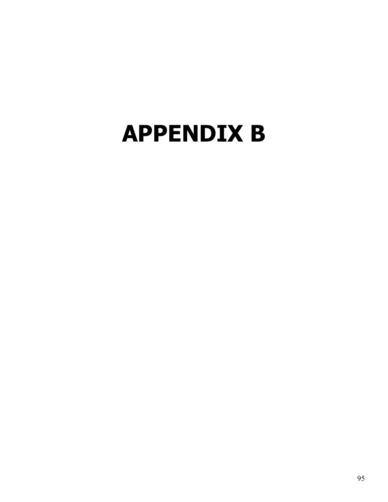# <span id="page-94-0"></span>**[APPENDIX B](#page-94-0)**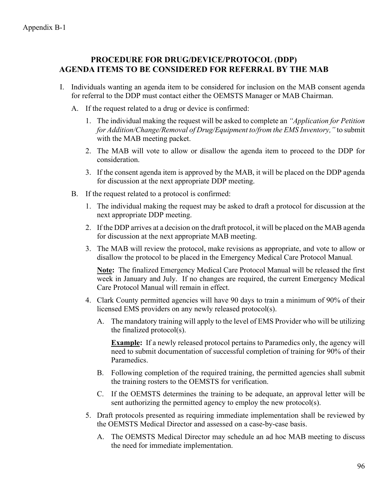## **PROCEDURE FOR DRUG/DEVICE/PROTOCOL (DDP) AGENDA ITEMS TO BE CONSIDERED FOR REFERRAL BY THE MAB**

- I. Individuals wanting an agenda item to be considered for inclusion on the MAB consent agenda for referral to the DDP must contact either the OEMSTS Manager or MAB Chairman.
	- A. If the request related to a drug or device is confirmed:
		- 1. The individual making the request will be asked to complete an *"Application for Petition for Addition/Change/Removal of Drug/Equipment to/from the EMS Inventory,"* to submit with the MAB meeting packet.
		- 2. The MAB will vote to allow or disallow the agenda item to proceed to the DDP for consideration.
		- 3. If the consent agenda item is approved by the MAB, it will be placed on the DDP agenda for discussion at the next appropriate DDP meeting.
	- B. If the request related to a protocol is confirmed:
		- 1. The individual making the request may be asked to draft a protocol for discussion at the next appropriate DDP meeting.
		- 2. If the DDP arrives at a decision on the draft protocol, it will be placed on the MAB agenda for discussion at the next appropriate MAB meeting.
		- 3. The MAB will review the protocol, make revisions as appropriate, and vote to allow or disallow the protocol to be placed in the Emergency Medical Care Protocol Manual*.*

**Note:** The finalized Emergency Medical Care Protocol Manual will be released the first week in January and July. If no changes are required, the current Emergency Medical Care Protocol Manual will remain in effect.

- 4. Clark County permitted agencies will have 90 days to train a minimum of 90% of their licensed EMS providers on any newly released protocol(s).
	- A. The mandatory training will apply to the level of EMS Provider who will be utilizing the finalized protocol(s).

**Example:** If a newly released protocol pertains to Paramedics only, the agency will need to submit documentation of successful completion of training for 90% of their Paramedics.

- B. Following completion of the required training, the permitted agencies shall submit the training rosters to the OEMSTS for verification.
- C. If the OEMSTS determines the training to be adequate, an approval letter will be sent authorizing the permitted agency to employ the new protocol(s).
- 5. Draft protocols presented as requiring immediate implementation shall be reviewed by the OEMSTS Medical Director and assessed on a case-by-case basis.
	- A. The OEMSTS Medical Director may schedule an ad hoc MAB meeting to discuss the need for immediate implementation.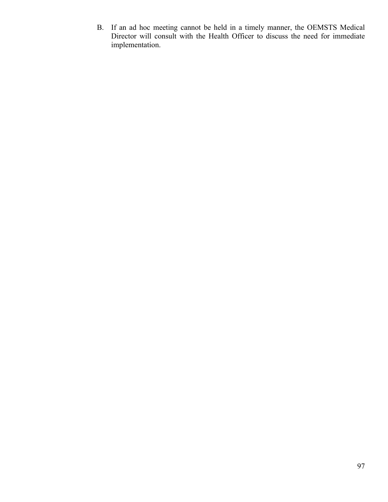B. If an ad hoc meeting cannot be held in a timely manner, the OEMSTS Medical Director will consult with the Health Officer to discuss the need for immediate implementation.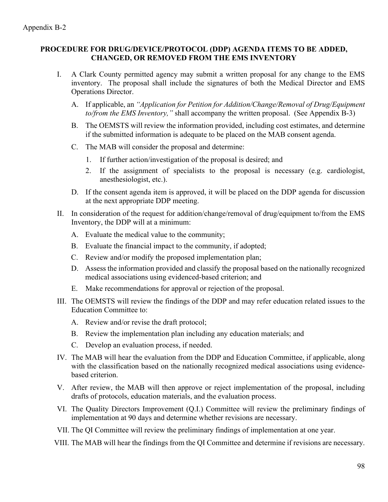### **PROCEDURE FOR DRUG/DEVICE/PROTOCOL (DDP) AGENDA ITEMS TO BE ADDED, CHANGED, OR REMOVED FROM THE EMS INVENTORY**

- I. A Clark County permitted agency may submit a written proposal for any change to the EMS inventory. The proposal shall include the signatures of both the Medical Director and EMS Operations Director.
	- A. If applicable, an *"Application for Petition for Addition/Change/Removal of Drug/Equipment to/from the EMS Inventory,"* shall accompany the written proposal. (See Appendix B-3)
	- B. The OEMSTS will review the information provided, including cost estimates, and determine if the submitted information is adequate to be placed on the MAB consent agenda.
	- C. The MAB will consider the proposal and determine:
		- 1. If further action/investigation of the proposal is desired; and
		- 2. If the assignment of specialists to the proposal is necessary (e.g. cardiologist, anesthesiologist, etc.).
	- D. If the consent agenda item is approved, it will be placed on the DDP agenda for discussion at the next appropriate DDP meeting.
- II. In consideration of the request for addition/change/removal of drug/equipment to/from the EMS Inventory, the DDP will at a minimum:
	- A. Evaluate the medical value to the community;
	- B. Evaluate the financial impact to the community, if adopted;
	- C. Review and/or modify the proposed implementation plan;
	- D. Assess the information provided and classify the proposal based on the nationally recognized medical associations using evidenced-based criterion; and
	- E. Make recommendations for approval or rejection of the proposal.
- III. The OEMSTS will review the findings of the DDP and may refer education related issues to the Education Committee to:
	- A. Review and/or revise the draft protocol;
	- B. Review the implementation plan including any education materials; and
	- C. Develop an evaluation process, if needed.
- IV. The MAB will hear the evaluation from the DDP and Education Committee, if applicable, along with the classification based on the nationally recognized medical associations using evidencebased criterion.
- V. After review, the MAB will then approve or reject implementation of the proposal, including drafts of protocols, education materials, and the evaluation process.
- VI. The Quality Directors Improvement (Q.I.) Committee will review the preliminary findings of implementation at 90 days and determine whether revisions are necessary.
- VII. The QI Committee will review the preliminary findings of implementation at one year.
- VIII. The MAB will hear the findings from the QI Committee and determine if revisions are necessary.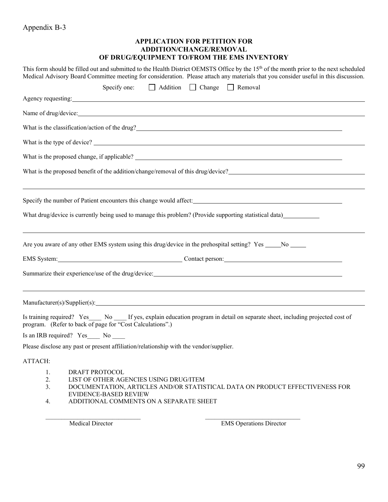## <span id="page-98-0"></span>Appendix B-3

#### **[APPLICATION FOR PETITION FOR](#page-98-0)  [ADDITION/CHANGE/REMOVAL](#page-98-0)  [OF DRUG/EQUIPMENT TO/FROM THE EMS INVENTORY](#page-98-0)**

| This form should be filled out and submitted to the Health District OEMSTS Office by the 15 <sup>th</sup> of the month prior to the next scheduled<br>Medical Advisory Board Committee meeting for consideration. Please attach any materials that you consider useful in this discussion. |
|--------------------------------------------------------------------------------------------------------------------------------------------------------------------------------------------------------------------------------------------------------------------------------------------|
| $\Box$ Addition<br>$\Box$ Change $\Box$ Removal<br>Specify one:                                                                                                                                                                                                                            |
| Agency requesting: 1999 and 2008 and 2009 and 2009 and 2009 and 2009 and 2009 and 2009 and 2009 and 2009 and 2009 and 2009 and 2009 and 2009 and 2009 and 2009 and 2009 and 2009 and 2009 and 2009 and 2009 and 2009 and 2009                                                              |
|                                                                                                                                                                                                                                                                                            |
|                                                                                                                                                                                                                                                                                            |
|                                                                                                                                                                                                                                                                                            |
|                                                                                                                                                                                                                                                                                            |
| What is the proposed benefit of the addition/change/removal of this drug/device?                                                                                                                                                                                                           |
| Specify the number of Patient encounters this change would affect:                                                                                                                                                                                                                         |
| What drug/device is currently being used to manage this problem? (Provide supporting statistical data)                                                                                                                                                                                     |
| <u> 1989 - Johann Stoff, amerikansk politiker (d. 1989)</u><br>Are you aware of any other EMS system using this drug/device in the prehospital setting? Yes ____No ____                                                                                                                    |
|                                                                                                                                                                                                                                                                                            |
|                                                                                                                                                                                                                                                                                            |
|                                                                                                                                                                                                                                                                                            |
| Is training required? Yes No If yes, explain education program in detail on separate sheet, including projected cost of<br>program. (Refer to back of page for "Cost Calculations".)                                                                                                       |
| Is an IRB required? Yes No                                                                                                                                                                                                                                                                 |
| Please disclose any past or present affiliation/relationship with the vendor/supplier.                                                                                                                                                                                                     |
| ATTACH:                                                                                                                                                                                                                                                                                    |
| DRAFT PROTOCOL<br>1.                                                                                                                                                                                                                                                                       |
| 2.<br>LIST OF OTHER AGENCIES USING DRUG/ITEM                                                                                                                                                                                                                                               |
| 3.<br>DOCUMENTATION, ARTICLES AND/OR STATISTICAL DATA ON PRODUCT EFFECTIVENESS FOR<br><b>EVIDENCE-BASED REVIEW</b>                                                                                                                                                                         |
| ADDITIONAL COMMENTS ON A SEPARATE SHEET<br>4.                                                                                                                                                                                                                                              |

 $\_$  ,  $\_$  ,  $\_$  ,  $\_$  ,  $\_$  ,  $\_$  ,  $\_$  ,  $\_$  ,  $\_$  ,  $\_$  ,  $\_$  ,  $\_$  ,  $\_$  ,  $\_$  ,  $\_$  ,  $\_$  ,  $\_$  ,  $\_$  ,  $\_$ 

Medical Director EMS Operations Director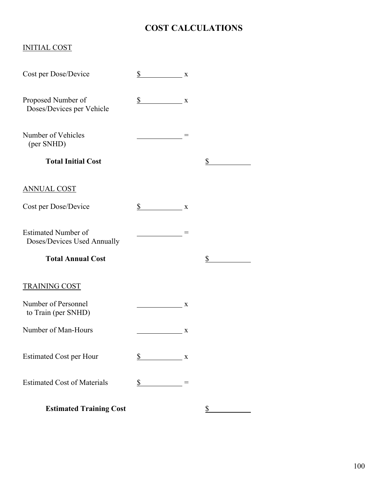## **COST CALCULATIONS**

## INITIAL COST

| Cost per Dose/Device                                      | \$<br>$\mathbf X$                                                                                                   |   |    |
|-----------------------------------------------------------|---------------------------------------------------------------------------------------------------------------------|---|----|
| Proposed Number of<br>Doses/Devices per Vehicle           | $\mathbb{S}$<br>$\overline{\phantom{a}}$ $\overline{\phantom{a}}$ $\overline{\phantom{a}}$ $\overline{\phantom{a}}$ |   |    |
| Number of Vehicles<br>(per SNHD)                          |                                                                                                                     |   |    |
| <b>Total Initial Cost</b>                                 |                                                                                                                     |   | \$ |
| <b>ANNUAL COST</b>                                        |                                                                                                                     |   |    |
| Cost per Dose/Device                                      | $\frac{\S}{}$ x                                                                                                     |   |    |
| <b>Estimated Number of</b><br>Doses/Devices Used Annually |                                                                                                                     |   |    |
| <b>Total Annual Cost</b>                                  |                                                                                                                     |   | \$ |
| <b>TRAINING COST</b>                                      |                                                                                                                     |   |    |
| Number of Personnel<br>to Train (per SNHD)                |                                                                                                                     | X |    |
| Number of Man-Hours                                       |                                                                                                                     | X |    |
| <b>Estimated Cost per Hour</b>                            | \$<br>$\overline{\phantom{a}}$ X                                                                                    |   |    |
| <b>Estimated Cost of Materials</b>                        | $\frac{\text{S}}{\text{S}}$                                                                                         |   |    |
| <b>Estimated Training Cost</b>                            |                                                                                                                     |   | \$ |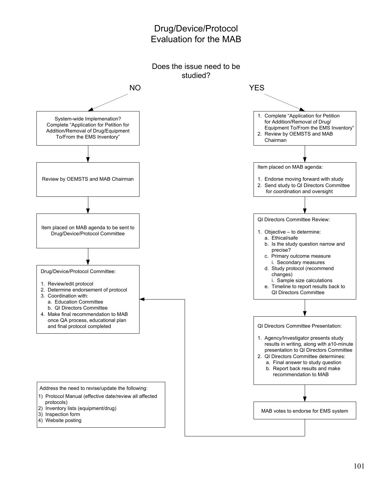## Drug/Device/Protocol Evaluation for the MAB